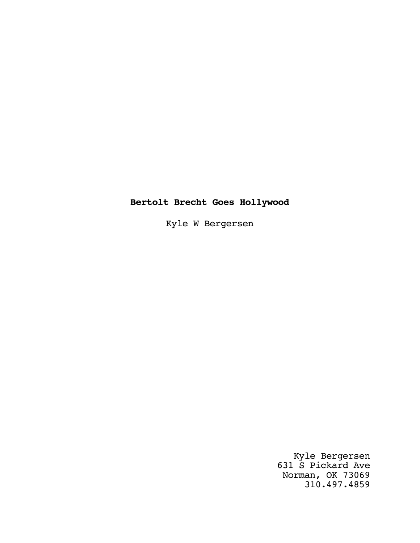# **Bertolt Brecht Goes Hollywood**

Kyle W Bergersen

Kyle Bergersen 631 S Pickard Ave Norman, OK 73069 310.497.4859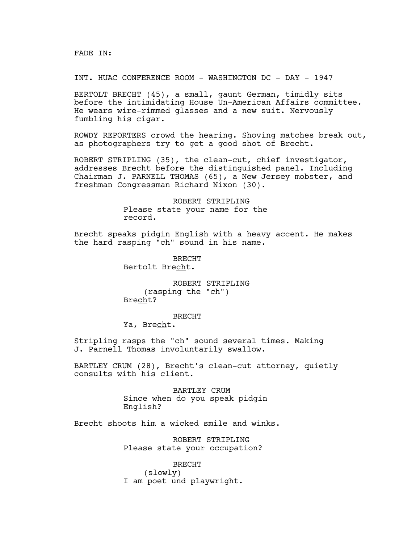FADE IN:

INT. HUAC CONFERENCE ROOM - WASHINGTON DC - DAY - 1947

BERTOLT BRECHT (45), a small, gaunt German, timidly sits before the intimidating House Un-American Affairs committee. He wears wire-rimmed glasses and a new suit. Nervously fumbling his cigar.

ROWDY REPORTERS crowd the hearing. Shoving matches break out, as photographers try to get a good shot of Brecht.

ROBERT STRIPLING (35), the clean-cut, chief investigator, addresses Brecht before the distinguished panel. Including Chairman J. PARNELL THOMAS (65), a New Jersey mobster, and freshman Congressman Richard Nixon (30).

> ROBERT STRIPLING Please state your name for the record.

Brecht speaks pidgin English with a heavy accent. He makes the hard rasping "ch" sound in his name.

> BRECHT Bertolt Brecht.

ROBERT STRIPLING (rasping the "ch") Brecht?

BRECHT Ya, Brecht.

Stripling rasps the "ch" sound several times. Making J. Parnell Thomas involuntarily swallow.

BARTLEY CRUM (28), Brecht's clean-cut attorney, quietly consults with his client.

> BARTLEY CRUM Since when do you speak pidgin English?

Brecht shoots him a wicked smile and winks.

ROBERT STRIPLING Please state your occupation?

BRECHT (slowly) I am poet und playwright.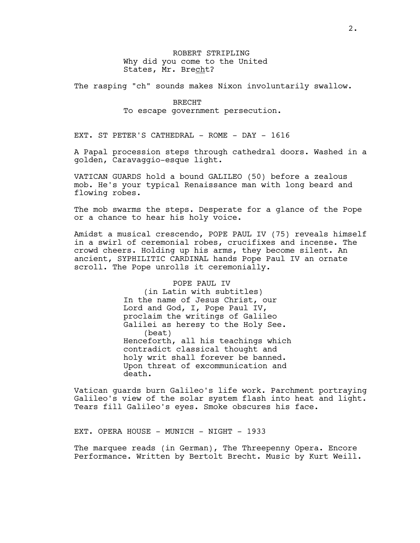ROBERT STRIPLING Why did you come to the United States, Mr. Brecht?

The rasping "ch" sounds makes Nixon involuntarily swallow.

## BRECHT To escape government persecution.

EXT. ST PETER'S CATHEDRAL - ROME - DAY - 1616

A Papal procession steps through cathedral doors. Washed in a golden, Caravaggio-esque light.

VATICAN GUARDS hold a bound GALILEO (50) before a zealous mob. He's your typical Renaissance man with long beard and flowing robes.

The mob swarms the steps. Desperate for a glance of the Pope or a chance to hear his holy voice.

Amidst a musical crescendo, POPE PAUL IV (75) reveals himself in a swirl of ceremonial robes, crucifixes and incense. The crowd cheers. Holding up his arms, they become silent. An ancient, SYPHILITIC CARDINAL hands Pope Paul IV an ornate scroll. The Pope unrolls it ceremonially.

#### POPE PAUL IV

(in Latin with subtitles) In the name of Jesus Christ, our Lord and God, I, Pope Paul IV, proclaim the writings of Galileo Galilei as heresy to the Holy See. (beat) Henceforth, all his teachings which contradict classical thought and holy writ shall forever be banned. Upon threat of excommunication and death.

Vatican guards burn Galileo's life work. Parchment portraying Galileo's view of the solar system flash into heat and light. Tears fill Galileo's eyes. Smoke obscures his face.

EXT. OPERA HOUSE - MUNICH - NIGHT - 1933

The marquee reads (in German), The Threepenny Opera. Encore Performance. Written by Bertolt Brecht. Music by Kurt Weill.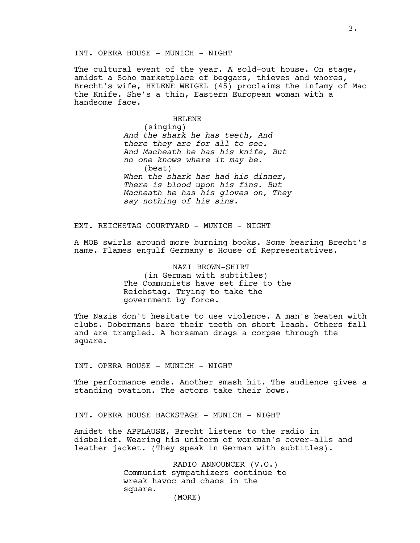INT. OPERA HOUSE - MUNICH - NIGHT

The cultural event of the year. A sold-out house. On stage, amidst a Soho marketplace of beggars, thieves and whores, Brecht's wife, HELENE WEIGEL (45) proclaims the infamy of Mac the Knife. She's a thin, Eastern European woman with a handsome face.

> HELENE (singing) *And the shark he has teeth, And there they are for all to see. And Macheath he has his knife, But no one knows where it may be.* (beat) *When the shark has had his dinner, There is blood upon his fins. But Macheath he has his gloves on, They say nothing of his sins.*

EXT. REICHSTAG COURTYARD - MUNICH - NIGHT

A MOB swirls around more burning books. Some bearing Brecht's name. Flames engulf Germany's House of Representatives.

> NAZI BROWN-SHIRT (in German with subtitles) The Communists have set fire to the Reichstag. Trying to take the government by force.

The Nazis don't hesitate to use violence. A man's beaten with clubs. Dobermans bare their teeth on short leash. Others fall and are trampled. A horseman drags a corpse through the square.

INT. OPERA HOUSE - MUNICH - NIGHT

The performance ends. Another smash hit. The audience gives a standing ovation. The actors take their bows.

INT. OPERA HOUSE BACKSTAGE - MUNICH - NIGHT

Amidst the APPLAUSE, Brecht listens to the radio in disbelief. Wearing his uniform of workman's cover-alls and leather jacket. (They speak in German with subtitles).

> RADIO ANNOUNCER (V.O.) Communist sympathizers continue to wreak havoc and chaos in the square.

(MORE)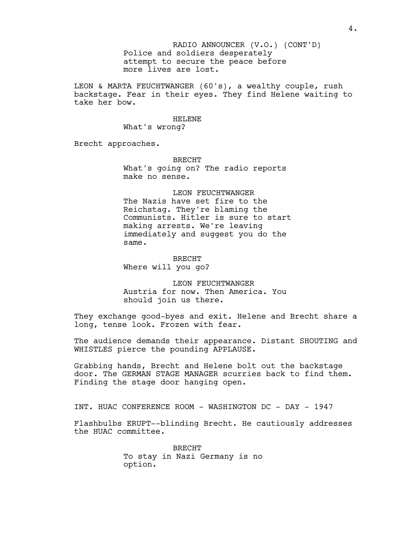Police and soldiers desperately attempt to secure the peace before more lives are lost. RADIO ANNOUNCER (V.O.) (CONT'D)

LEON & MARTA FEUCHTWANGER (60's), a wealthy couple, rush backstage. Fear in their eyes. They find Helene waiting to take her bow.

> HELENE What's wrong?

Brecht approaches.

BRECHT What's going on? The radio reports make no sense.

LEON FEUCHTWANGER The Nazis have set fire to the Reichstag. They're blaming the Communists. Hitler is sure to start making arrests. We're leaving immediately and suggest you do the same.

BRECHT Where will you go?

LEON FEUCHTWANGER Austria for now. Then America. You should join us there.

They exchange good-byes and exit. Helene and Brecht share a long, tense look. Frozen with fear.

The audience demands their appearance. Distant SHOUTING and WHISTLES pierce the pounding APPLAUSE.

Grabbing hands, Brecht and Helene bolt out the backstage door. The GERMAN STAGE MANAGER scurries back to find them. Finding the stage door hanging open.

INT. HUAC CONFERENCE ROOM - WASHINGTON DC - DAY - 1947

Flashbulbs ERUPT--blinding Brecht. He cautiously addresses the HUAC committee.

> BRECHT To stay in Nazi Germany is no option.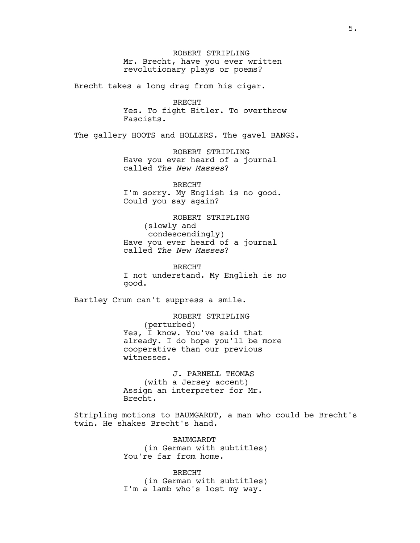ROBERT STRIPLING Mr. Brecht, have you ever written revolutionary plays or poems?

Brecht takes a long drag from his cigar.

BRECHT Yes. To fight Hitler. To overthrow Fascists.

The gallery HOOTS and HOLLERS. The gavel BANGS.

ROBERT STRIPLING Have you ever heard of a journal called *The New Masses*?

BRECHT I'm sorry. My English is no good. Could you say again?

ROBERT STRIPLING (slowly and condescendingly) Have you ever heard of a journal called *The New Masses*?

BRECHT I not understand. My English is no good.

Bartley Crum can't suppress a smile.

ROBERT STRIPLING (perturbed) Yes, I know. You've said that already. I do hope you'll be more cooperative than our previous witnesses.

J. PARNELL THOMAS (with a Jersey accent) Assign an interpreter for Mr. Brecht.

Stripling motions to BAUMGARDT, a man who could be Brecht's twin. He shakes Brecht's hand.

> BAUMGARDT (in German with subtitles) You're far from home.

> BRECHT (in German with subtitles) I'm a lamb who's lost my way.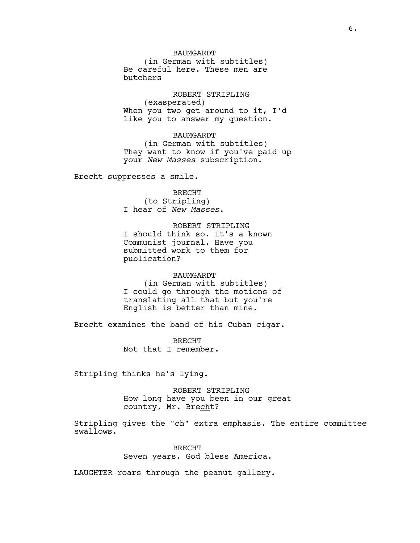## BAUMGARDT

(in German with subtitles) Be careful here. These men are butchers

ROBERT STRIPLING (exasperated) When you two get around to it, I'd like you to answer my question.

#### BAUMGARDT

(in German with subtitles) They want to know if you've paid up your *New Masses* subscription.

Brecht suppresses a smile.

BRECHT (to Stripling) I hear of *New Masses*.

ROBERT STRIPLING I should think so. It's a known Communist journal. Have you submitted work to them for publication?

## BAUMGARDT (in German with subtitles) I could go through the motions of translating all that but you're English is better than mine.

Brecht examines the band of his Cuban cigar.

BRECHT Not that I remember.

Stripling thinks he's lying.

ROBERT STRIPLING How long have you been in our great country, Mr. Brecht?

Stripling gives the "ch" extra emphasis. The entire committee swallows.

> BRECHT Seven years. God bless America.

LAUGHTER roars through the peanut gallery.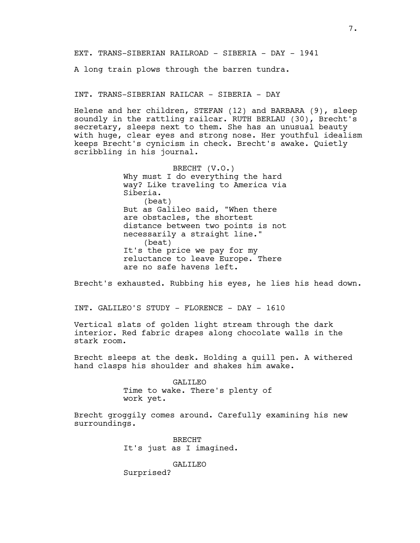EXT. TRANS-SIBERIAN RAILROAD - SIBERIA - DAY - 1941

A long train plows through the barren tundra.

INT. TRANS-SIBERIAN RAILCAR - SIBERIA - DAY

Helene and her children, STEFAN (12) and BARBARA (9), sleep soundly in the rattling railcar. RUTH BERLAU (30), Brecht's secretary, sleeps next to them. She has an unusual beauty with huge, clear eyes and strong nose. Her youthful idealism keeps Brecht's cynicism in check. Brecht's awake. Quietly scribbling in his journal.

> BRECHT (V.O.) Why must I do everything the hard way? Like traveling to America via Siberia. (beat) But as Galileo said, "When there are obstacles, the shortest distance between two points is not necessarily a straight line." (beat) It's the price we pay for my reluctance to leave Europe. There are no safe havens left.

Brecht's exhausted. Rubbing his eyes, he lies his head down.

INT. GALILEO'S STUDY - FLORENCE - DAY - 1610

Vertical slats of golden light stream through the dark interior. Red fabric drapes along chocolate walls in the stark room.

Brecht sleeps at the desk. Holding a quill pen. A withered hand clasps his shoulder and shakes him awake.

> GALILEO Time to wake. There's plenty of work yet.

Brecht groggily comes around. Carefully examining his new surroundings.

> BRECHT It's just as I imagined.

> > GALILEO

Surprised?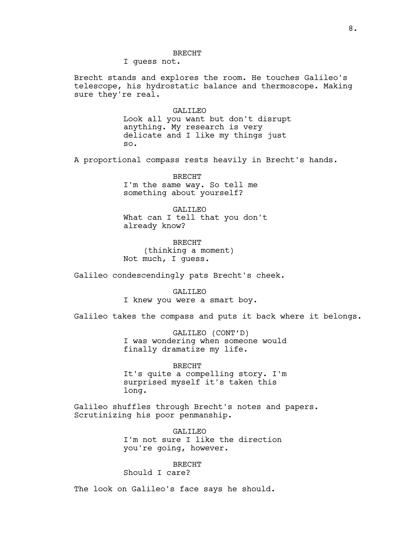I guess not.

Brecht stands and explores the room. He touches Galileo's telescope, his hydrostatic balance and thermoscope. Making sure they're real.

> GALILEO Look all you want but don't disrupt anything. My research is very delicate and I like my things just so.

A proportional compass rests heavily in Brecht's hands.

BRECHT I'm the same way. So tell me something about yourself?

GALILEO What can I tell that you don't already know?

BRECHT (thinking a moment) Not much, I guess.

Galileo condescendingly pats Brecht's cheek.

GALILEO I knew you were a smart boy.

Galileo takes the compass and puts it back where it belongs.

GALILEO (CONT'D) I was wondering when someone would finally dramatize my life.

BRECHT It's quite a compelling story. I'm surprised myself it's taken this long.

Galileo shuffles through Brecht's notes and papers. Scrutinizing his poor penmanship.

> GALILEO I'm not sure I like the direction you're going, however.

BRECHT Should I care?

The look on Galileo's face says he should.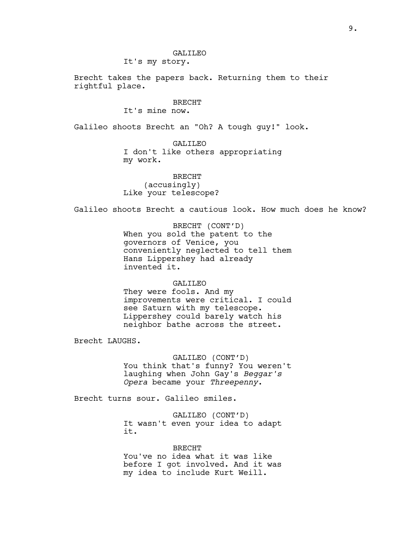## GALILEO

It's my story.

Brecht takes the papers back. Returning them to their rightful place.

# BRECHT

It's mine now.

Galileo shoots Brecht an "Oh? A tough guy!" look.

GALILEO I don't like others appropriating my work.

BRECHT (accusingly) Like your telescope?

Galileo shoots Brecht a cautious look. How much does he know?

BRECHT (CONT'D) When you sold the patent to the governors of Venice, you conveniently neglected to tell them Hans Lippershey had already invented it.

#### GALILEO

They were fools. And my improvements were critical. I could see Saturn with my telescope. Lippershey could barely watch his neighbor bathe across the street.

Brecht LAUGHS.

GALILEO (CONT'D) You think that's funny? You weren't laughing when John Gay's *Beggar's Opera* became your *Threepenny*.

Brecht turns sour. Galileo smiles.

GALILEO (CONT'D) It wasn't even your idea to adapt it.

BRECHT You've no idea what it was like before I got involved. And it was my idea to include Kurt Weill.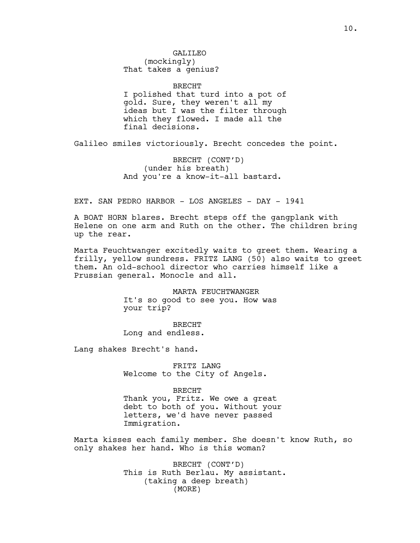final decisions.

BRECHT I polished that turd into a pot of gold. Sure, they weren't all my ideas but I was the filter through which they flowed. I made all the

Galileo smiles victoriously. Brecht concedes the point.

BRECHT (CONT'D) (under his breath) And you're a know-it-all bastard.

EXT. SAN PEDRO HARBOR - LOS ANGELES - DAY - 1941

A BOAT HORN blares. Brecht steps off the gangplank with Helene on one arm and Ruth on the other. The children bring up the rear.

Marta Feuchtwanger excitedly waits to greet them. Wearing a frilly, yellow sundress. FRITZ LANG (50) also waits to greet them. An old-school director who carries himself like a Prussian general. Monocle and all.

> MARTA FEUCHTWANGER It's so good to see you. How was your trip?

BRECHT Long and endless.

Lang shakes Brecht's hand.

FRITZ LANG Welcome to the City of Angels.

BRECHT

Thank you, Fritz. We owe a great debt to both of you. Without your letters, we'd have never passed Immigration.

Marta kisses each family member. She doesn't know Ruth, so only shakes her hand. Who is this woman?

> BRECHT (CONT'D) This is Ruth Berlau. My assistant. (taking a deep breath) (MORE)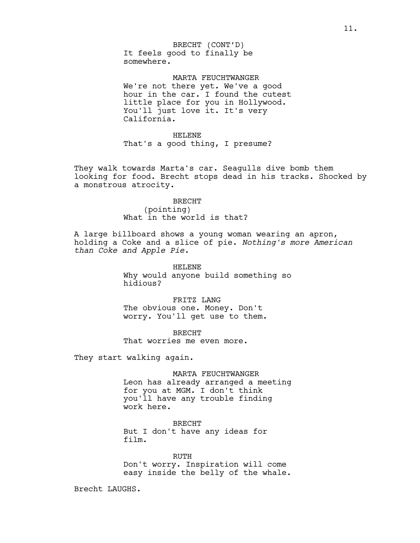It feels good to finally be somewhere. BRECHT (CONT'D)

MARTA FEUCHTWANGER We're not there yet. We've a good hour in the car. I found the cutest little place for you in Hollywood. You'll just love it. It's very California.

HELENE That's a good thing, I presume?

They walk towards Marta's car. Seagulls dive bomb them looking for food. Brecht stops dead in his tracks. Shocked by a monstrous atrocity.

> BRECHT (pointing) What in the world is that?

A large billboard shows a young woman wearing an apron, holding a Coke and a slice of pie. *Nothing's more American than Coke and Apple Pie.*

> HELENE Why would anyone build something so hidious?

FRITZ LANG The obvious one. Money. Don't worry. You'll get use to them.

BRECHT That worries me even more.

They start walking again.

MARTA FEUCHTWANGER Leon has already arranged a meeting for you at MGM. I don't think you'll have any trouble finding work here.

BRECHT But I don't have any ideas for film.

RUTH Don't worry. Inspiration will come easy inside the belly of the whale.

Brecht LAUGHS.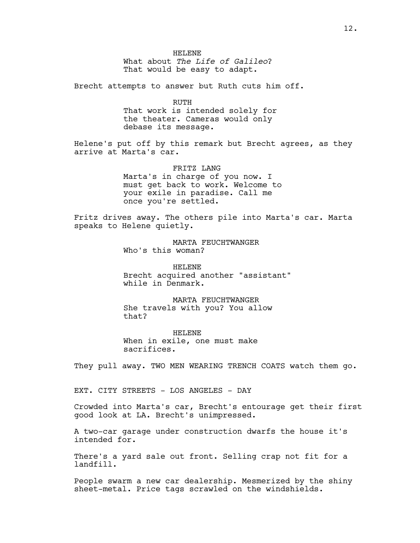HELENE What about *The Life of Galileo*? That would be easy to adapt.

Brecht attempts to answer but Ruth cuts him off.

RUTH That work is intended solely for the theater. Cameras would only debase its message.

Helene's put off by this remark but Brecht agrees, as they arrive at Marta's car.

> FRITZ LANG Marta's in charge of you now. I must get back to work. Welcome to your exile in paradise. Call me once you're settled.

Fritz drives away. The others pile into Marta's car. Marta speaks to Helene quietly.

> MARTA FEUCHTWANGER Who's this woman?

HELENE Brecht acquired another "assistant" while in Denmark.

MARTA FEUCHTWANGER She travels with you? You allow that?

HELENE When in exile, one must make sacrifices.

They pull away. TWO MEN WEARING TRENCH COATS watch them go.

EXT. CITY STREETS - LOS ANGELES - DAY

Crowded into Marta's car, Brecht's entourage get their first good look at LA. Brecht's unimpressed.

A two-car garage under construction dwarfs the house it's intended for.

There's a yard sale out front. Selling crap not fit for a landfill.

People swarm a new car dealership. Mesmerized by the shiny sheet-metal. Price tags scrawled on the windshields.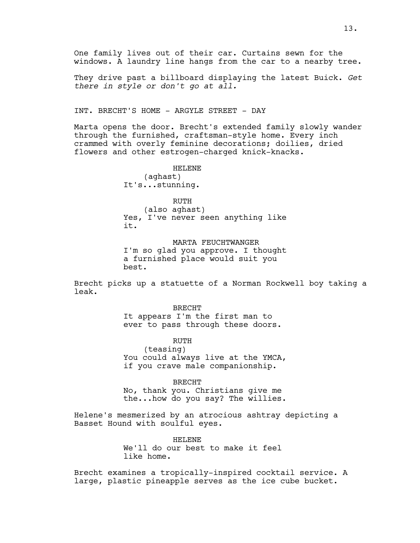One family lives out of their car. Curtains sewn for the windows. A laundry line hangs from the car to a nearby tree.

They drive past a billboard displaying the latest Buick. *Get there in style or don't go at all.*

INT. BRECHT'S HOME - ARGYLE STREET - DAY

Marta opens the door. Brecht's extended family slowly wander through the furnished, craftsman-style home. Every inch crammed with overly feminine decorations; doilies, dried flowers and other estrogen-charged knick-knacks.

> HELENE (aghast) It's...stunning.

RUTH (also aghast) Yes, I've never seen anything like it.

MARTA FEUCHTWANGER I'm so glad you approve. I thought a furnished place would suit you best.

Brecht picks up a statuette of a Norman Rockwell boy taking a leak.

> BRECHT It appears I'm the first man to ever to pass through these doors.

RUTH (teasing) You could always live at the YMCA, if you crave male companionship.

BRECHT No, thank you. Christians give me the...how do you say? The willies.

Helene's mesmerized by an atrocious ashtray depicting a Basset Hound with soulful eyes.

> HELENE We'll do our best to make it feel like home.

Brecht examines a tropically-inspired cocktail service. A large, plastic pineapple serves as the ice cube bucket.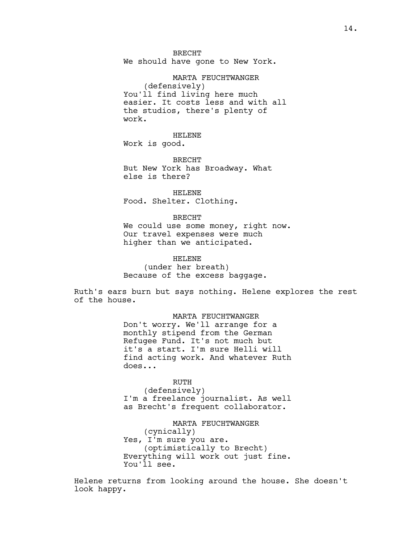BRECHT We should have gone to New York.

MARTA FEUCHTWANGER (defensively) You'll find living here much easier. It costs less and with all the studios, there's plenty of work.

HELENE Work is good.

BRECHT But New York has Broadway. What else is there?

HELENE Food. Shelter. Clothing.

BRECHT

We could use some money, right now. Our travel expenses were much higher than we anticipated.

HELENE (under her breath) Because of the excess baggage.

Ruth's ears burn but says nothing. Helene explores the rest of the house.

> MARTA FEUCHTWANGER Don't worry. We'll arrange for a monthly stipend from the German Refugee Fund. It's not much but it's a start. I'm sure Helli will find acting work. And whatever Ruth does...

> RUTH (defensively) I'm a freelance journalist. As well as Brecht's frequent collaborator.

> MARTA FEUCHTWANGER (cynically) Yes, I'm sure you are. (optimistically to Brecht) Everything will work out just fine. You'll see.

Helene returns from looking around the house. She doesn't look happy.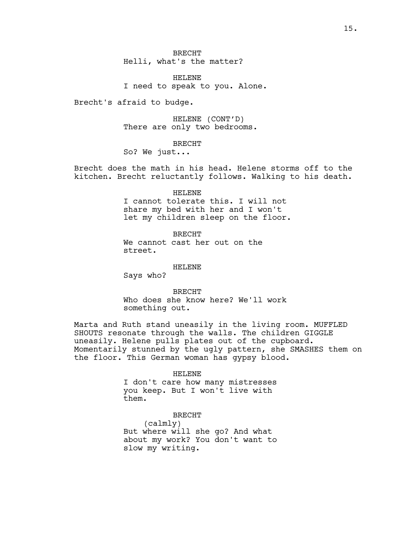BRECHT Helli, what's the matter?

HELENE I need to speak to you. Alone.

Brecht's afraid to budge.

HELENE (CONT'D) There are only two bedrooms.

BRECHT

So? We just...

Brecht does the math in his head. Helene storms off to the kitchen. Brecht reluctantly follows. Walking to his death.

HELENE

I cannot tolerate this. I will not share my bed with her and I won't let my children sleep on the floor.

BRECHT We cannot cast her out on the street.

HELENE

Says who?

BRECHT Who does she know here? We'll work something out.

Marta and Ruth stand uneasily in the living room. MUFFLED SHOUTS resonate through the walls. The children GIGGLE uneasily. Helene pulls plates out of the cupboard. Momentarily stunned by the ugly pattern, she SMASHES them on the floor. This German woman has gypsy blood.

HELENE

I don't care how many mistresses you keep. But I won't live with them.

BRECHT

(calmly) But where will she go? And what about my work? You don't want to slow my writing.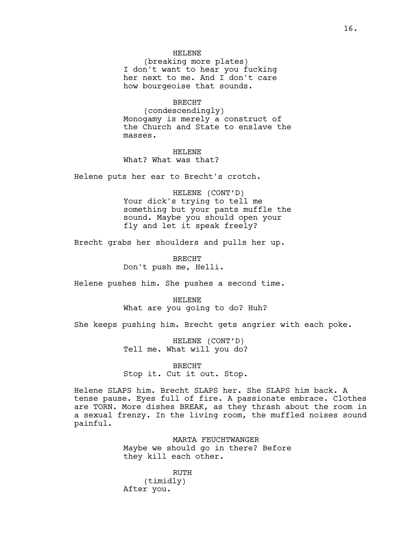#### HELENE

(breaking more plates) I don't want to hear you fucking her next to me. And I don't care how bourgeoise that sounds.

### BRECHT

(condescendingly) Monogamy is merely a construct of the Church and State to enslave the masses.

HELENE What? What was that?

Helene puts her ear to Brecht's crotch.

#### HELENE (CONT'D)

Your dick's trying to tell me something but your pants muffle the sound. Maybe you should open your fly and let it speak freely?

Brecht grabs her shoulders and pulls her up.

BRECHT Don't push me, Helli.

Helene pushes him. She pushes a second time.

#### HELENE

What are you going to do? Huh?

She keeps pushing him. Brecht gets angrier with each poke.

HELENE (CONT'D) Tell me. What will you do?

### BRECHT

Stop it. Cut it out. Stop.

Helene SLAPS him. Brecht SLAPS her. She SLAPS him back. A tense pause. Eyes full of fire. A passionate embrace. Clothes are TORN. More dishes BREAK, as they thrash about the room in a sexual frenzy. In the living room, the muffled noises sound painful.

> MARTA FEUCHTWANGER Maybe we should go in there? Before they kill each other.

RUTH (timidly) After you.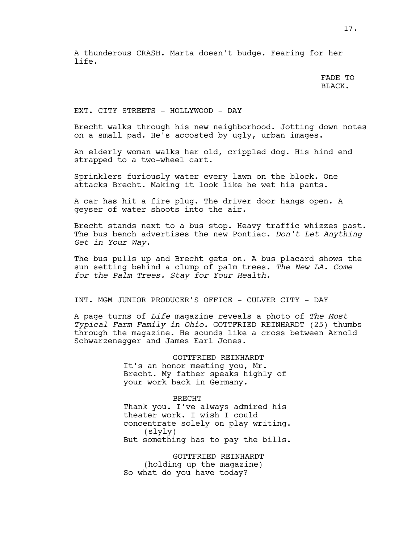A thunderous CRASH. Marta doesn't budge. Fearing for her life.

> FADE TO BLACK.

EXT. CITY STREETS - HOLLYWOOD - DAY

Brecht walks through his new neighborhood. Jotting down notes on a small pad. He's accosted by ugly, urban images.

An elderly woman walks her old, crippled dog. His hind end strapped to a two-wheel cart.

Sprinklers furiously water every lawn on the block. One attacks Brecht. Making it look like he wet his pants.

A car has hit a fire plug. The driver door hangs open. A geyser of water shoots into the air.

Brecht stands next to a bus stop. Heavy traffic whizzes past. The bus bench advertises the new Pontiac. *Don't Let Anything Get in Your Way.*

The bus pulls up and Brecht gets on. A bus placard shows the sun setting behind a clump of palm trees. *The New LA. Come for the Palm Trees. Stay for Your Health.*

INT. MGM JUNIOR PRODUCER'S OFFICE - CULVER CITY - DAY

A page turns of *Life* magazine reveals a photo of *The Most Typical Farm Family in Ohio*. GOTTFRIED REINHARDT (25) thumbs through the magazine. He sounds like a cross between Arnold Schwarzenegger and James Earl Jones.

> GOTTFRIED REINHARDT It's an honor meeting you, Mr. Brecht. My father speaks highly of your work back in Germany.

BRECHT Thank you. I've always admired his theater work. I wish I could concentrate solely on play writing. (slyly) But something has to pay the bills.

GOTTFRIED REINHARDT (holding up the magazine) So what do you have today?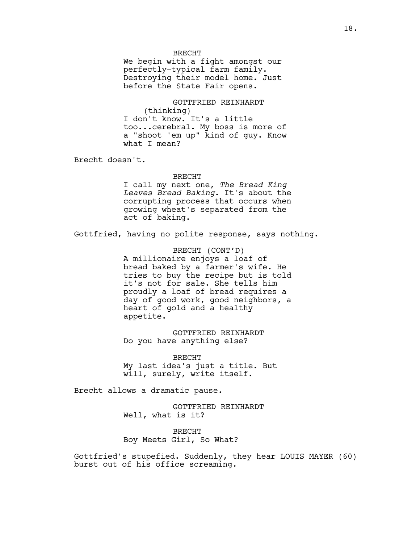#### BRECHT

We begin with a fight amongst our perfectly-typical farm family. Destroying their model home. Just before the State Fair opens.

GOTTFRIED REINHARDT (thinking) I don't know. It's a little too...cerebral. My boss is more of a "shoot 'em up" kind of guy. Know what I mean?

Brecht doesn't.

#### BRECHT

I call my next one, *The Bread King Leaves Bread Baking*. It's about the corrupting process that occurs when growing wheat's separated from the act of baking.

Gottfried, having no polite response, says nothing.

BRECHT (CONT'D) A millionaire enjoys a loaf of bread baked by a farmer's wife. He tries to buy the recipe but is told it's not for sale. She tells him proudly a loaf of bread requires a day of good work, good neighbors, a heart of gold and a healthy appetite.

GOTTFRIED REINHARDT Do you have anything else?

BRECHT My last idea's just a title. But will, surely, write itself.

Brecht allows a dramatic pause.

GOTTFRIED REINHARDT Well, what is it?

BRECHT Boy Meets Girl, So What?

Gottfried's stupefied. Suddenly, they hear LOUIS MAYER (60) burst out of his office screaming.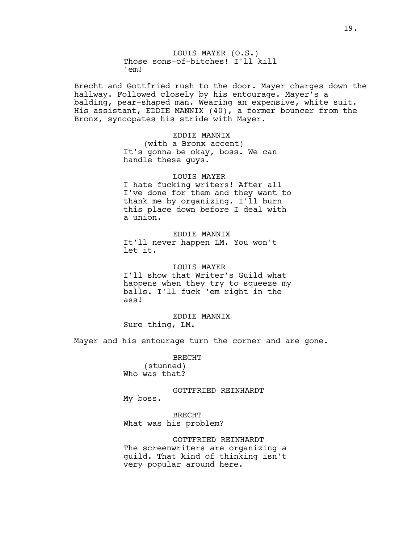LOUIS MAYER (O.S.) Those sons-of-bitches! I'll kill 'em!

Brecht and Gottfried rush to the door. Mayer charges down the hallway. Followed closely by his entourage. Mayer's a balding, pear-shaped man. Wearing an expensive, white suit. His assistant, EDDIE MANNIX (40), a former bouncer from the Bronx, syncopates his stride with Mayer.

EDDIE MANNIX

(with a Bronx accent) It's gonna be okay, boss. We can handle these guys.

LOUIS MAYER I hate fucking writers! After all I've done for them and they want to thank me by organizing. I'll burn this place down before I deal with a union.

EDDIE MANNIX It'll never happen LM. You won't let it.

LOUIS MAYER I'll show that Writer's Guild what happens when they try to squeeze my balls. I'll fuck 'em right in the ass!

EDDIE MANNIX Sure thing, LM.

Mayer and his entourage turn the corner and are gone.

BRECHT (stunned) Who was that?

GOTTFRIED REINHARDT My boss.

BRECHT What was his problem?

GOTTFRIED REINHARDT The screenwriters are organizing a guild. That kind of thinking isn't very popular around here.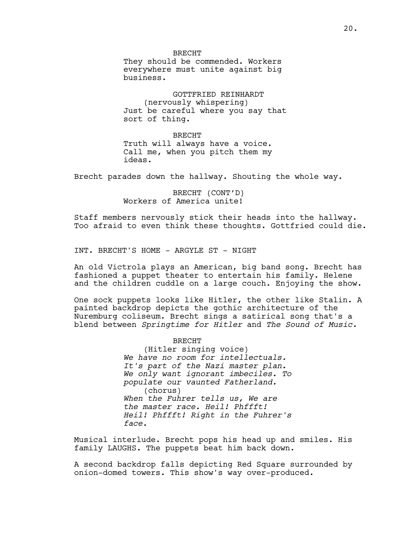BRECHT They should be commended. Workers everywhere must unite against big business.

GOTTFRIED REINHARDT (nervously whispering) Just be careful where you say that sort of thing.

BRECHT Truth will always have a voice. Call me, when you pitch them my ideas.

Brecht parades down the hallway. Shouting the whole way.

BRECHT (CONT'D) Workers of America unite!

Staff members nervously stick their heads into the hallway. Too afraid to even think these thoughts. Gottfried could die.

INT. BRECHT'S HOME - ARGYLE ST - NIGHT

An old Victrola plays an American, big band song. Brecht has fashioned a puppet theater to entertain his family. Helene and the children cuddle on a large couch. Enjoying the show.

One sock puppets looks like Hitler, the other like Stalin. A painted backdrop depicts the gothic architecture of the Nuremburg coliseum. Brecht sings a satirical song that's a blend between *Springtime for Hitler* and *The Sound of Music.*

BRECHT

(Hitler singing voice) *We have no room for intellectuals. It's part of the Nazi master plan. We only want ignorant imbeciles. To populate our vaunted Fatherland.* (chorus) *When the Fuhrer tells us, We are the master race. Heil! Phffft! Heil! Phffft! Right in the Fuhrer's face.*

Musical interlude. Brecht pops his head up and smiles. His family LAUGHS. The puppets beat him back down.

A second backdrop falls depicting Red Square surrounded by onion-domed towers. This show's way over-produced.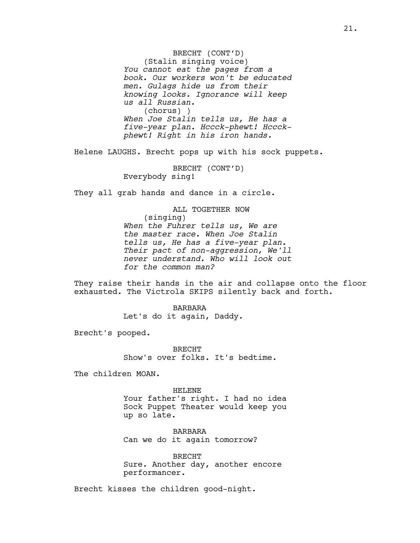BRECHT (CONT'D) (Stalin singing voice) *You cannot eat the pages from a book. Our workers won't be educated men. Gulags hide us from their knowing looks. Ignorance will keep us all Russian.*  (chorus) ) *When Joe Stalin tells us, He has a five-year plan. Hccck-phewt! Hccckphewt! Right in his iron hands.* 

Helene LAUGHS. Brecht pops up with his sock puppets.

BRECHT (CONT'D) Everybody sing!

They all grab hands and dance in a circle.

ALL TOGETHER NOW (singing) *When the Fuhrer tells us, We are the master race. When Joe Stalin tells us, He has a five-year plan. Their pact of non-aggression, We'll never understand. Who will look out for the common man?*

They raise their hands in the air and collapse onto the floor exhausted. The Victrola SKIPS silently back and forth.

> BARBARA Let's do it again, Daddy.

Brecht's pooped.

BRECHT Show's over folks. It's bedtime.

The children MOAN.

HELENE Your father's right. I had no idea Sock Puppet Theater would keep you up so late.

BARBARA Can we do it again tomorrow?

BRECHT Sure. Another day, another encore performancer.

Brecht kisses the children good-night.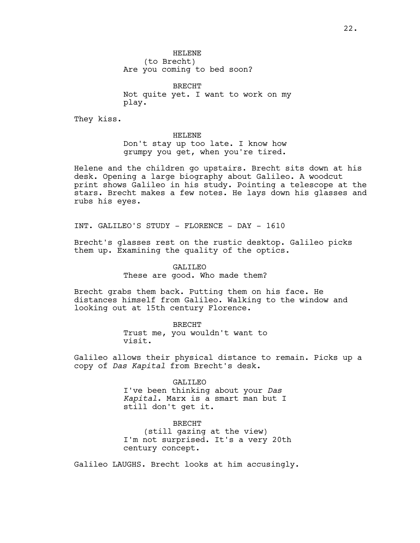HELENE (to Brecht) Are you coming to bed soon?

BRECHT Not quite yet. I want to work on my play.

They kiss.

#### HELENE

Don't stay up too late. I know how grumpy you get, when you're tired.

Helene and the children go upstairs. Brecht sits down at his desk. Opening a large biography about Galileo. A woodcut print shows Galileo in his study. Pointing a telescope at the stars. Brecht makes a few notes. He lays down his glasses and rubs his eyes.

INT. GALILEO'S STUDY - FLORENCE - DAY - 1610

Brecht's glasses rest on the rustic desktop. Galileo picks them up. Examining the quality of the optics.

> GALILEO These are good. Who made them?

Brecht grabs them back. Putting them on his face. He distances himself from Galileo. Walking to the window and looking out at 15th century Florence.

> BRECHT Trust me, you wouldn't want to visit.

Galileo allows their physical distance to remain. Picks up a copy of *Das Kapital* from Brecht's desk.

#### GALILEO

I've been thinking about your *Das Kapital*. Marx is a smart man but I still don't get it.

BRECHT (still gazing at the view) I'm not surprised. It's a very 20th century concept.

Galileo LAUGHS. Brecht looks at him accusingly.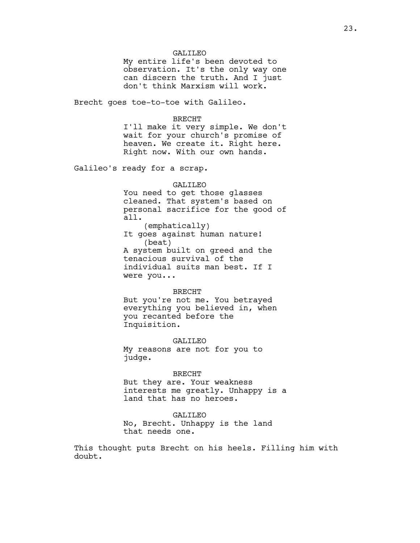### GALILEO

My entire life's been devoted to observation. It's the only way one can discern the truth. And I just don't think Marxism will work.

Brecht goes toe-to-toe with Galileo.

#### BRECHT

I'll make it very simple. We don't wait for your church's promise of heaven. We create it. Right here. Right now. With our own hands.

Galileo's ready for a scrap.

#### GALILEO

You need to get those glasses cleaned. That system's based on personal sacrifice for the good of all. (emphatically) It goes against human nature!

(beat) A system built on greed and the tenacious survival of the individual suits man best. If I were you...

#### BRECHT

But you're not me. You betrayed everything you believed in, when you recanted before the Inquisition.

GALILEO My reasons are not for you to judge.

#### BRECHT

But they are. Your weakness interests me greatly. Unhappy is a land that has no heroes.

### GALILEO

No, Brecht. Unhappy is the land that needs one.

This thought puts Brecht on his heels. Filling him with doubt.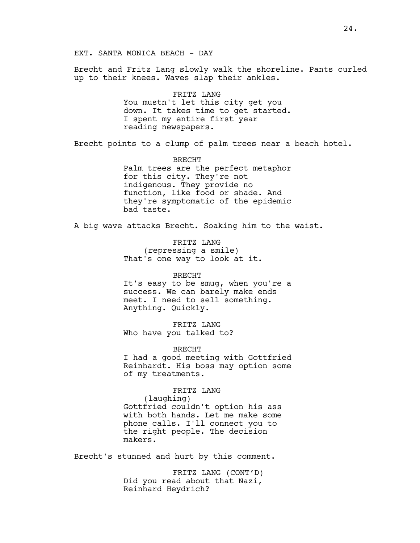Brecht and Fritz Lang slowly walk the shoreline. Pants curled up to their knees. Waves slap their ankles.

> FRITZ LANG You mustn't let this city get you down. It takes time to get started. I spent my entire first year reading newspapers.

Brecht points to a clump of palm trees near a beach hotel.

BRECHT Palm trees are the perfect metaphor for this city. They're not indigenous. They provide no function, like food or shade. And they're symptomatic of the epidemic bad taste.

A big wave attacks Brecht. Soaking him to the waist.

FRITZ LANG (repressing a smile) That's one way to look at it.

BRECHT It's easy to be smug, when you're a success. We can barely make ends meet. I need to sell something. Anything. Quickly.

FRITZ LANG Who have you talked to?

BRECHT

I had a good meeting with Gottfried Reinhardt. His boss may option some of my treatments.

FRITZ LANG

(laughing) Gottfried couldn't option his ass with both hands. Let me make some phone calls. I'll connect you to the right people. The decision makers.

Brecht's stunned and hurt by this comment.

FRITZ LANG (CONT'D) Did you read about that Nazi, Reinhard Heydrich?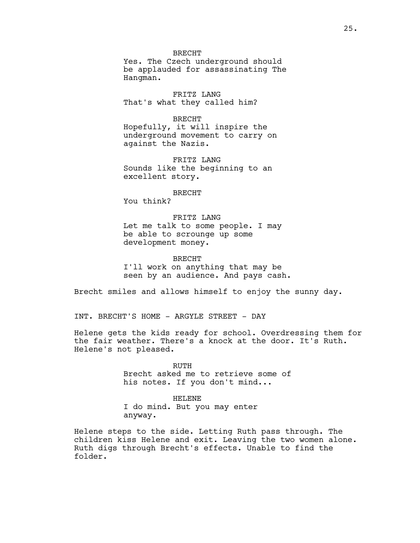BRECHT

Yes. The Czech underground should be applauded for assassinating The Hangman.

FRITZ LANG That's what they called him?

BRECHT Hopefully, it will inspire the underground movement to carry on

FRITZ LANG Sounds like the beginning to an excellent story.

BRECHT You think?

against the Nazis.

FRITZ LANG Let me talk to some people. I may be able to scrounge up some development money.

BRECHT I'll work on anything that may be seen by an audience. And pays cash.

Brecht smiles and allows himself to enjoy the sunny day.

INT. BRECHT'S HOME - ARGYLE STREET - DAY

Helene gets the kids ready for school. Overdressing them for the fair weather. There's a knock at the door. It's Ruth. Helene's not pleased.

> RUTH Brecht asked me to retrieve some of his notes. If you don't mind...

HELENE I do mind. But you may enter anyway.

Helene steps to the side. Letting Ruth pass through. The children kiss Helene and exit. Leaving the two women alone. Ruth digs through Brecht's effects. Unable to find the folder.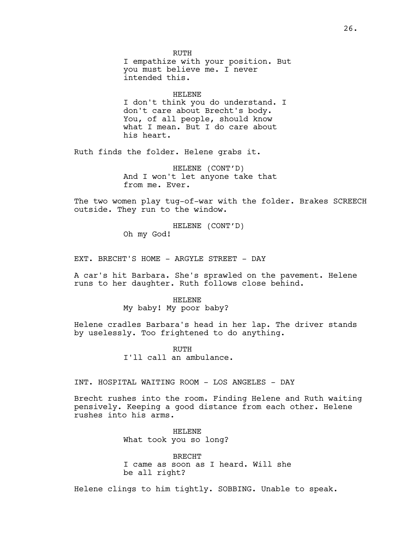RUTH I empathize with your position. But you must believe me. I never intended this.

HELENE I don't think you do understand. I don't care about Brecht's body. You, of all people, should know what I mean. But I do care about his heart.

Ruth finds the folder. Helene grabs it.

HELENE (CONT'D) And I won't let anyone take that from me. Ever.

The two women play tug-of-war with the folder. Brakes SCREECH outside. They run to the window.

> HELENE (CONT'D) Oh my God!

EXT. BRECHT'S HOME - ARGYLE STREET - DAY

A car's hit Barbara. She's sprawled on the pavement. Helene runs to her daughter. Ruth follows close behind.

#### HELENE

My baby! My poor baby?

Helene cradles Barbara's head in her lap. The driver stands by uselessly. Too frightened to do anything.

> RUTH I'll call an ambulance.

INT. HOSPITAL WAITING ROOM - LOS ANGELES - DAY

Brecht rushes into the room. Finding Helene and Ruth waiting pensively. Keeping a good distance from each other. Helene rushes into his arms.

> HELENE What took you so long?

BRECHT I came as soon as I heard. Will she be all right?

Helene clings to him tightly. SOBBING. Unable to speak.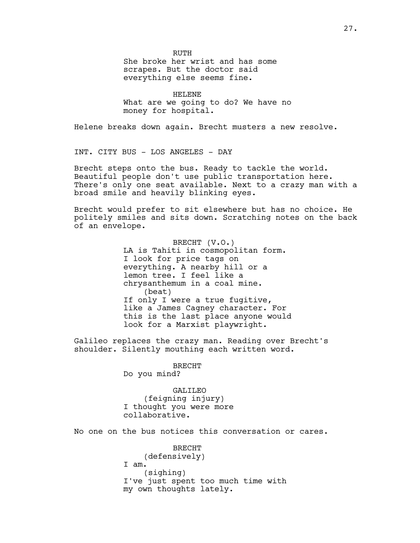RUTH She broke her wrist and has some scrapes. But the doctor said everything else seems fine.

HELENE What are we going to do? We have no money for hospital.

Helene breaks down again. Brecht musters a new resolve.

INT. CITY BUS - LOS ANGELES - DAY

Brecht steps onto the bus. Ready to tackle the world. Beautiful people don't use public transportation here. There's only one seat available. Next to a crazy man with a broad smile and heavily blinking eyes.

Brecht would prefer to sit elsewhere but has no choice. He politely smiles and sits down. Scratching notes on the back of an envelope.

> BRECHT (V.O.) LA is Tahiti in cosmopolitan form. I look for price tags on everything. A nearby hill or a lemon tree. I feel like a chrysanthemum in a coal mine. (beat) If only I were a true fugitive, like a James Cagney character. For this is the last place anyone would look for a Marxist playwright.

Galileo replaces the crazy man. Reading over Brecht's shoulder. Silently mouthing each written word.

> BRECHT Do you mind?

GALILEO (feigning injury) I thought you were more collaborative.

No one on the bus notices this conversation or cares.

BRECHT (defensively) I am. (sighing) I've just spent too much time with my own thoughts lately.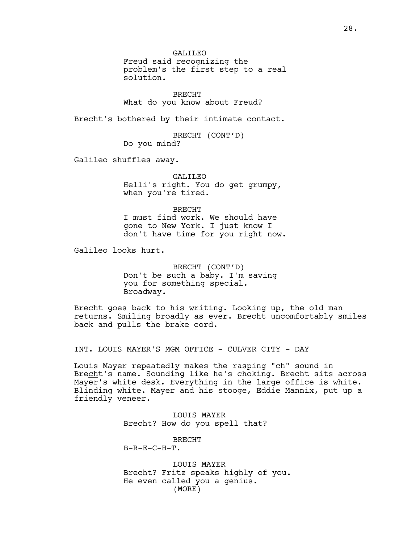GALILEO

Freud said recognizing the problem's the first step to a real solution.

BRECHT What do you know about Freud?

Brecht's bothered by their intimate contact.

BRECHT (CONT'D) Do you mind?

Galileo shuffles away.

GALILEO Helli's right. You do get grumpy, when you're tired.

BRECHT I must find work. We should have gone to New York. I just know I don't have time for you right now.

Galileo looks hurt.

BRECHT (CONT'D) Don't be such a baby. I'm saving you for something special. Broadway.

Brecht goes back to his writing. Looking up, the old man returns. Smiling broadly as ever. Brecht uncomfortably smiles back and pulls the brake cord.

INT. LOUIS MAYER'S MGM OFFICE - CULVER CITY - DAY

Louis Mayer repeatedly makes the rasping "ch" sound in Brecht's name. Sounding like he's choking. Brecht sits across Mayer's white desk. Everything in the large office is white. Blinding white. Mayer and his stooge, Eddie Mannix, put up a friendly veneer.

> LOUIS MAYER Brecht? How do you spell that?

BRECHT  $B-R-E-C-H-T$ .

LOUIS MAYER Brecht? Fritz speaks highly of you. He even called you a genius. (MORE)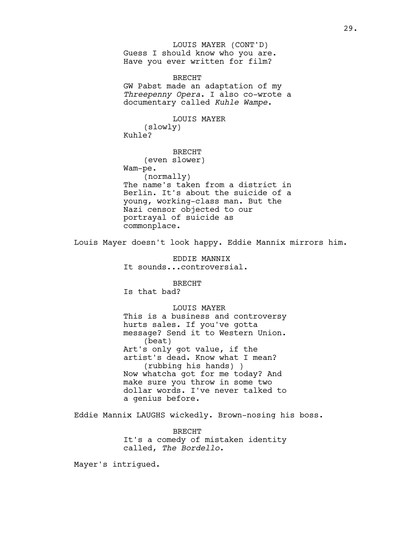Guess I should know who you are. Have you ever written for film? LOUIS MAYER (CONT'D)

BRECHT GW Pabst made an adaptation of my *Threepenny Opera*. I also co-wrote a documentary called *Kuhle Wampe*.

LOUIS MAYER (slowly) Kuhle?

BRECHT (even slower) Wam-pe. (normally) The name's taken from a district in Berlin. It's about the suicide of a young, working-class man. But the Nazi censor objected to our portrayal of suicide as commonplace.

Louis Mayer doesn't look happy. Eddie Mannix mirrors him.

EDDIE MANNIX It sounds...controversial.

BRECHT Is that bad?

LOUIS MAYER This is a business and controversy hurts sales. If you've gotta message? Send it to Western Union. (beat) Art's only got value, if the artist's dead. Know what I mean? (rubbing his hands) ) Now whatcha got for me today? And make sure you throw in some two dollar words. I've never talked to a genius before.

Eddie Mannix LAUGHS wickedly. Brown-nosing his boss.

BRECHT It's a comedy of mistaken identity called, *The Bordello*.

Mayer's intrigued.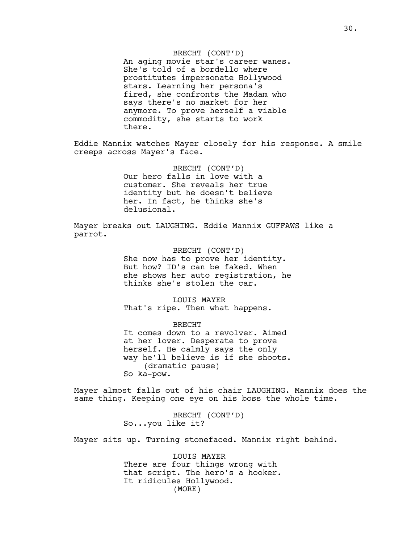#### BRECHT (CONT'D)

An aging movie star's career wanes. She's told of a bordello where prostitutes impersonate Hollywood stars. Learning her persona's fired, she confronts the Madam who says there's no market for her anymore. To prove herself a viable commodity, she starts to work there.

Eddie Mannix watches Mayer closely for his response. A smile creeps across Mayer's face.

> BRECHT (CONT'D) Our hero falls in love with a customer. She reveals her true identity but he doesn't believe her. In fact, he thinks she's delusional.

Mayer breaks out LAUGHING. Eddie Mannix GUFFAWS like a parrot.

> BRECHT (CONT'D) She now has to prove her identity. But how? ID's can be faked. When she shows her auto registration, he thinks she's stolen the car.

LOUIS MAYER That's ripe. Then what happens.

BRECHT It comes down to a revolver. Aimed at her lover. Desperate to prove herself. He calmly says the only way he'll believe is if she shoots. (dramatic pause) So ka-pow.

Mayer almost falls out of his chair LAUGHING. Mannix does the same thing. Keeping one eye on his boss the whole time.

> BRECHT (CONT'D) So...you like it?

Mayer sits up. Turning stonefaced. Mannix right behind.

LOUIS MAYER There are four things wrong with that script. The hero's a hooker. It ridicules Hollywood. (MORE)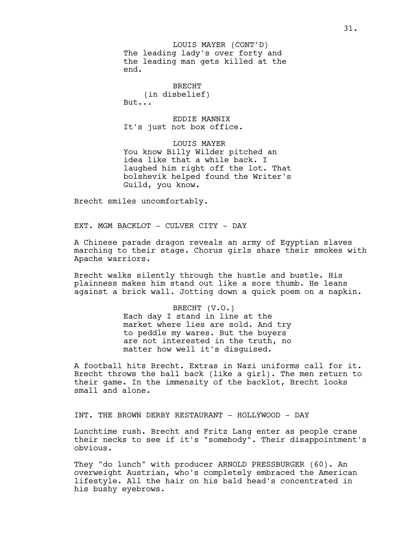The leading lady's over forty and the leading man gets killed at the end. LOUIS MAYER (CONT'D)

BRECHT (in disbelief) But...

EDDIE MANNIX It's just not box office.

LOUIS MAYER You know Billy Wilder pitched an idea like that a while back. I laughed him right off the lot. That bolshevik helped found the Writer's Guild, you know.

Brecht smiles uncomfortably.

EXT. MGM BACKLOT - CULVER CITY - DAY

A Chinese parade dragon reveals an army of Egyptian slaves marching to their stage. Chorus girls share their smokes with Apache warriors.

Brecht walks silently through the hustle and bustle. His plainness makes him stand out like a sore thumb. He leans against a brick wall. Jotting down a quick poem on a napkin.

> BRECHT (V.O.) Each day I stand in line at the market where lies are sold. And try to peddle my wares. But the buyers are not interested in the truth, no matter how well it's disguised.

A football hits Brecht. Extras in Nazi uniforms call for it. Brecht throws the ball back (like a girl). The men return to their game. In the immensity of the backlot, Brecht looks small and alone.

INT. THE BROWN DERBY RESTAURANT - HOLLYWOOD - DAY

Lunchtime rush. Brecht and Fritz Lang enter as people crane their necks to see if it's "somebody". Their disappointment's obvious.

They "do lunch" with producer ARNOLD PRESSBURGER (60). An overweight Austrian, who's completely embraced the American lifestyle. All the hair on his bald head's concentrated in his bushy eyebrows.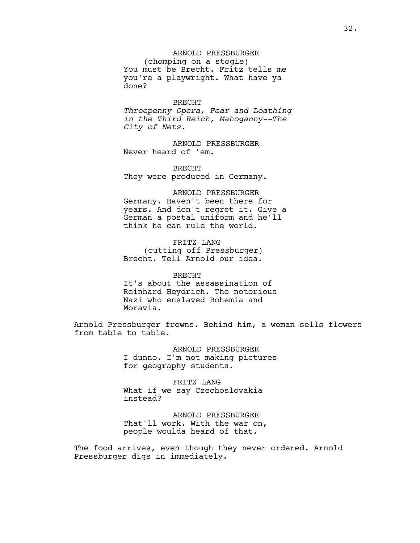ARNOLD PRESSBURGER

(chomping on a stogie) You must be Brecht. Fritz tells me you're a playwright. What have ya done?

#### BRECHT

*Threepenny Opera, Fear and Loathing in the Third Reich, Mahoganny--The City of Nets.*

ARNOLD PRESSBURGER Never heard of 'em.

BRECHT They were produced in Germany.

ARNOLD PRESSBURGER Germany. Haven't been there for years. And don't regret it. Give a German a postal uniform and he'll think he can rule the world.

FRITZ LANG (cutting off Pressburger) Brecht. Tell Arnold our idea.

## BRECHT It's about the assassination of Reinhard Heydrich. The notorious Nazi who enslaved Bohemia and Moravia.

Arnold Pressburger frowns. Behind him, a woman sells flowers from table to table.

> ARNOLD PRESSBURGER I dunno. I'm not making pictures for geography students.

FRITZ LANG What if we say Czechoslovakia instead?

ARNOLD PRESSBURGER That'll work. With the war on, people woulda heard of that.

The food arrives, even though they never ordered. Arnold Pressburger digs in immediately.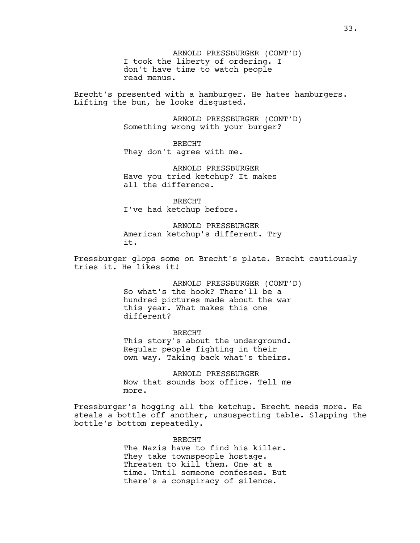ARNOLD PRESSBURGER (CONT'D) I took the liberty of ordering. I don't have time to watch people read menus.

Brecht's presented with a hamburger. He hates hamburgers. Lifting the bun, he looks disgusted.

> ARNOLD PRESSBURGER (CONT'D) Something wrong with your burger?

BRECHT They don't agree with me.

ARNOLD PRESSBURGER Have you tried ketchup? It makes all the difference.

BRECHT I've had ketchup before.

ARNOLD PRESSBURGER American ketchup's different. Try it.

Pressburger glops some on Brecht's plate. Brecht cautiously tries it. He likes it!

> ARNOLD PRESSBURGER (CONT'D) So what's the hook? There'll be a hundred pictures made about the war this year. What makes this one different?

BRECHT This story's about the underground. Regular people fighting in their own way. Taking back what's theirs.

ARNOLD PRESSBURGER Now that sounds box office. Tell me more.

Pressburger's hogging all the ketchup. Brecht needs more. He steals a bottle off another, unsuspecting table. Slapping the bottle's bottom repeatedly.

> BRECHT The Nazis have to find his killer. They take townspeople hostage. Threaten to kill them. One at a time. Until someone confesses. But there's a conspiracy of silence.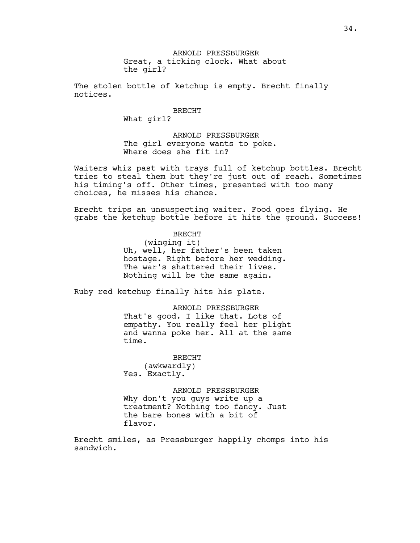ARNOLD PRESSBURGER Great, a ticking clock. What about the girl?

The stolen bottle of ketchup is empty. Brecht finally notices.

BRECHT

What girl?

ARNOLD PRESSBURGER The girl everyone wants to poke. Where does she fit in?

Waiters whiz past with trays full of ketchup bottles. Brecht tries to steal them but they're just out of reach. Sometimes his timing's off. Other times, presented with too many choices, he misses his chance.

Brecht trips an unsuspecting waiter. Food goes flying. He grabs the ketchup bottle before it hits the ground. Success!

> BRECHT (winging it) Uh, well, her father's been taken hostage. Right before her wedding. The war's shattered their lives. Nothing will be the same again.

Ruby red ketchup finally hits his plate.

ARNOLD PRESSBURGER That's good. I like that. Lots of empathy. You really feel her plight and wanna poke her. All at the same time.

BRECHT (awkwardly) Yes. Exactly.

ARNOLD PRESSBURGER Why don't you guys write up a treatment? Nothing too fancy. Just the bare bones with a bit of flavor.

Brecht smiles, as Pressburger happily chomps into his sandwich.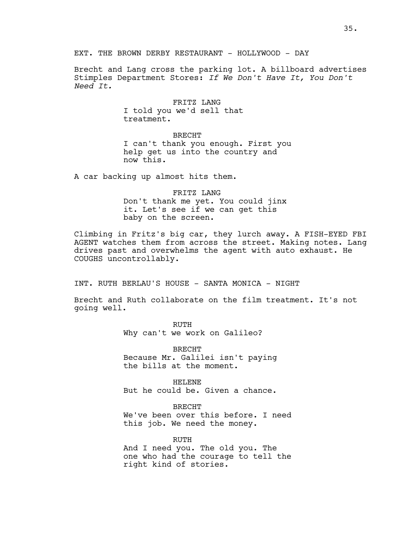Brecht and Lang cross the parking lot. A billboard advertises Stimples Department Stores: *If We Don't Have It, You Don't Need It.*

> FRITZ LANG I told you we'd sell that treatment.

## BRECHT

I can't thank you enough. First you help get us into the country and now this.

A car backing up almost hits them.

FRITZ LANG Don't thank me yet. You could jinx it. Let's see if we can get this baby on the screen.

Climbing in Fritz's big car, they lurch away. A FISH-EYED FBI AGENT watches them from across the street. Making notes. Lang drives past and overwhelms the agent with auto exhaust. He COUGHS uncontrollably.

INT. RUTH BERLAU'S HOUSE - SANTA MONICA - NIGHT

Brecht and Ruth collaborate on the film treatment. It's not going well.

> RUTH Why can't we work on Galileo?

BRECHT Because Mr. Galilei isn't paying the bills at the moment.

HELENE But he could be. Given a chance.

BRECHT

We've been over this before. I need this job. We need the money.

RUTH And I need you. The old you. The one who had the courage to tell the right kind of stories.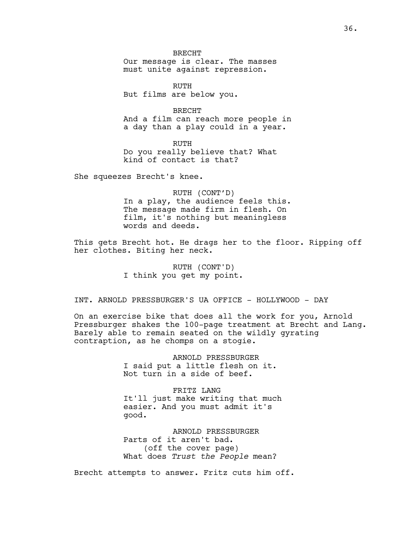BRECHT Our message is clear. The masses must unite against repression.

RUTH But films are below you.

BRECHT And a film can reach more people in a day than a play could in a year.

RUTH Do you really believe that? What kind of contact is that?

She squeezes Brecht's knee.

RUTH (CONT'D) In a play, the audience feels this. The message made firm in flesh. On film, it's nothing but meaningless words and deeds.

This gets Brecht hot. He drags her to the floor. Ripping off her clothes. Biting her neck.

> RUTH (CONT'D) I think you get my point.

INT. ARNOLD PRESSBURGER'S UA OFFICE - HOLLYWOOD - DAY

On an exercise bike that does all the work for you, Arnold Pressburger shakes the 100-page treatment at Brecht and Lang. Barely able to remain seated on the wildly gyrating contraption, as he chomps on a stogie.

> ARNOLD PRESSBURGER I said put a little flesh on it. Not turn in a side of beef.

FRITZ LANG It'll just make writing that much easier. And you must admit it's good.

ARNOLD PRESSBURGER Parts of it aren't bad. (off the cover page) What does *Trust the People* mean?

Brecht attempts to answer. Fritz cuts him off.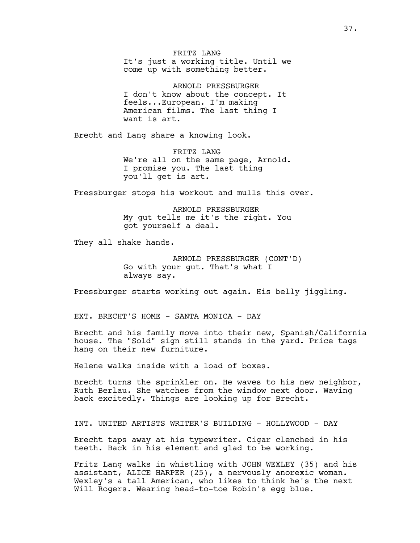FRITZ LANG It's just a working title. Until we come up with something better.

ARNOLD PRESSBURGER I don't know about the concept. It feels...European. I'm making American films. The last thing I want is art.

Brecht and Lang share a knowing look.

FRITZ LANG We're all on the same page, Arnold. I promise you. The last thing you'll get is art.

Pressburger stops his workout and mulls this over.

ARNOLD PRESSBURGER My gut tells me it's the right. You got yourself a deal.

They all shake hands.

ARNOLD PRESSBURGER (CONT'D) Go with your gut. That's what I always say.

Pressburger starts working out again. His belly jiggling.

EXT. BRECHT'S HOME - SANTA MONICA - DAY

Brecht and his family move into their new, Spanish/California house. The "Sold" sign still stands in the yard. Price tags hang on their new furniture.

Helene walks inside with a load of boxes.

Brecht turns the sprinkler on. He waves to his new neighbor, Ruth Berlau. She watches from the window next door. Waving back excitedly. Things are looking up for Brecht.

INT. UNITED ARTISTS WRITER'S BUILDING - HOLLYWOOD - DAY

Brecht taps away at his typewriter. Cigar clenched in his teeth. Back in his element and glad to be working.

Fritz Lang walks in whistling with JOHN WEXLEY (35) and his assistant, ALICE HARPER (25), a nervously anorexic woman. Wexley's a tall American, who likes to think he's the next Will Rogers. Wearing head-to-toe Robin's egg blue.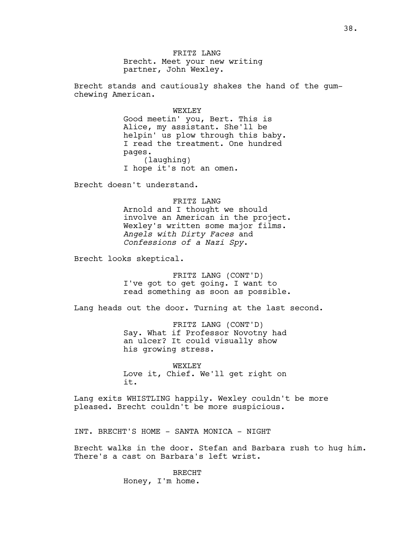FRITZ LANG Brecht. Meet your new writing partner, John Wexley.

Brecht stands and cautiously shakes the hand of the gumchewing American.

> WEXLEY Good meetin' you, Bert. This is Alice, my assistant. She'll be helpin' us plow through this baby. I read the treatment. One hundred pages. (laughing) I hope it's not an omen.

Brecht doesn't understand.

FRITZ LANG Arnold and I thought we should involve an American in the project. Wexley's written some major films. *Angels with Dirty Faces* and *Confessions of a Nazi Spy*.

Brecht looks skeptical.

FRITZ LANG (CONT'D) I've got to get going. I want to read something as soon as possible.

Lang heads out the door. Turning at the last second.

FRITZ LANG (CONT'D) Say. What if Professor Novotny had an ulcer? It could visually show his growing stress.

WEXLEY Love it, Chief. We'll get right on it.

Lang exits WHISTLING happily. Wexley couldn't be more pleased. Brecht couldn't be more suspicious.

INT. BRECHT'S HOME - SANTA MONICA - NIGHT

Brecht walks in the door. Stefan and Barbara rush to hug him. There's a cast on Barbara's left wrist.

> BRECHT Honey, I'm home.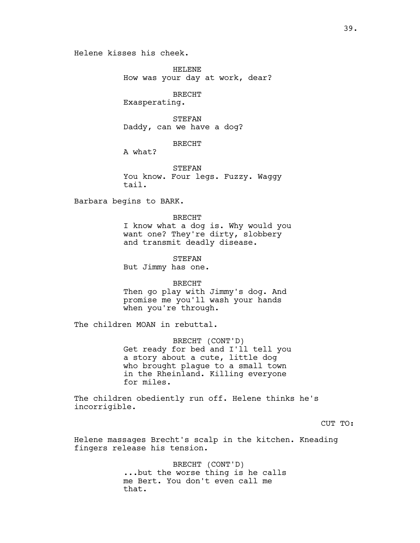Helene kisses his cheek.

HELENE How was your day at work, dear?

BRECHT

Exasperating.

STEFAN Daddy, can we have a dog?

BRECHT

A what?

STEFAN You know. Four legs. Fuzzy. Waggy tail.

Barbara begins to BARK.

BRECHT I know what a dog is. Why would you want one? They're dirty, slobbery and transmit deadly disease.

STEFAN But Jimmy has one.

BRECHT Then go play with Jimmy's dog. And promise me you'll wash your hands when you're through.

The children MOAN in rebuttal.

BRECHT (CONT'D) Get ready for bed and I'll tell you a story about a cute, little dog who brought plague to a small town in the Rheinland. Killing everyone for miles.

The children obediently run off. Helene thinks he's incorrigible.

CUT TO:

Helene massages Brecht's scalp in the kitchen. Kneading fingers release his tension.

> BRECHT (CONT'D) ...but the worse thing is he calls me Bert. You don't even call me that.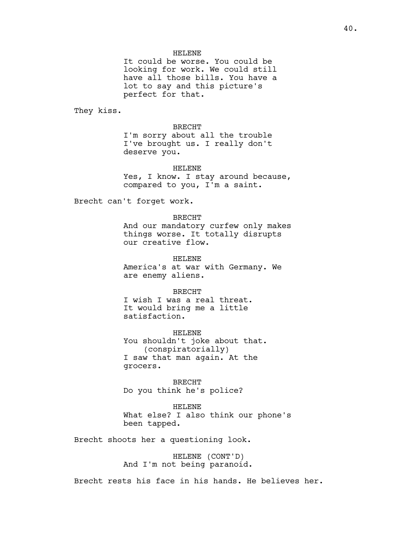### HELENE

It could be worse. You could be looking for work. We could still have all those bills. You have a lot to say and this picture's perfect for that.

They kiss.

BRECHT

I'm sorry about all the trouble I've brought us. I really don't deserve you.

#### HELENE

Yes, I know. I stay around because, compared to you, I'm a saint.

Brecht can't forget work.

### BRECHT

And our mandatory curfew only makes things worse. It totally disrupts our creative flow.

HELENE

America's at war with Germany. We are enemy aliens.

#### BRECHT

I wish I was a real threat. It would bring me a little satisfaction.

HELENE You shouldn't joke about that. (conspiratorially) I saw that man again. At the grocers.

BRECHT Do you think he's police?

HELENE What else? I also think our phone's been tapped.

Brecht shoots her a questioning look.

HELENE (CONT'D) And I'm not being paranoid.

Brecht rests his face in his hands. He believes her.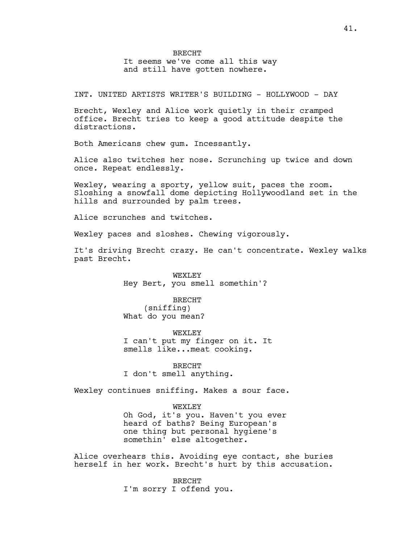# BRECHT It seems we've come all this way

and still have gotten nowhere.

INT. UNITED ARTISTS WRITER'S BUILDING - HOLLYWOOD - DAY

Brecht, Wexley and Alice work quietly in their cramped office. Brecht tries to keep a good attitude despite the distractions.

Both Americans chew gum. Incessantly.

Alice also twitches her nose. Scrunching up twice and down once. Repeat endlessly.

Wexley, wearing a sporty, yellow suit, paces the room. Sloshing a snowfall dome depicting Hollywoodland set in the hills and surrounded by palm trees.

Alice scrunches and twitches.

Wexley paces and sloshes. Chewing vigorously.

It's driving Brecht crazy. He can't concentrate. Wexley walks past Brecht.

> WEXLEY Hey Bert, you smell somethin'?

## BRECHT

(sniffing) What do you mean?

WEXLEY I can't put my finger on it. It smells like...meat cooking.

BRECHT I don't smell anything.

Wexley continues sniffing. Makes a sour face.

### WEXLEY

Oh God, it's you. Haven't you ever heard of baths? Being European's one thing but personal hygiene's somethin' else altogether.

Alice overhears this. Avoiding eye contact, she buries herself in her work. Brecht's hurt by this accusation.

> BRECHT I'm sorry I offend you.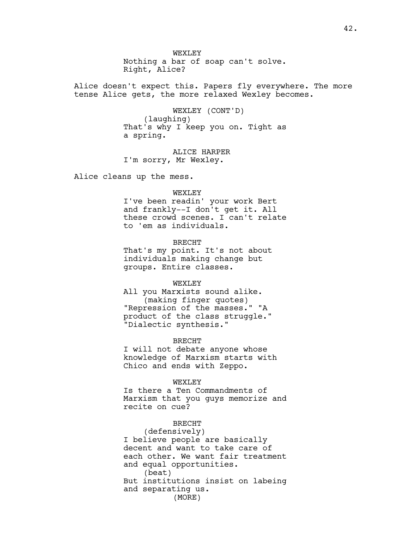WEXT.EY Nothing a bar of soap can't solve. Right, Alice?

Alice doesn't expect this. Papers fly everywhere. The more tense Alice gets, the more relaxed Wexley becomes.

> WEXLEY (CONT'D) (laughing) That's why I keep you on. Tight as a spring.

ALICE HARPER I'm sorry, Mr Wexley.

Alice cleans up the mess.

#### WEXLEY

I've been readin' your work Bert and frankly--I don't get it. All these crowd scenes. I can't relate to 'em as individuals.

BRECHT

That's my point. It's not about individuals making change but groups. Entire classes.

#### WEXLEY

All you Marxists sound alike. (making finger quotes) "Repression of the masses." "A product of the class struggle." "Dialectic synthesis."

BRECHT

I will not debate anyone whose knowledge of Marxism starts with Chico and ends with Zeppo.

### WEXLEY

Is there a Ten Commandments of Marxism that you guys memorize and recite on cue?

## BRECHT

(defensively) I believe people are basically decent and want to take care of each other. We want fair treatment and equal opportunities. (beat) But institutions insist on labeing and separating us. (MORE)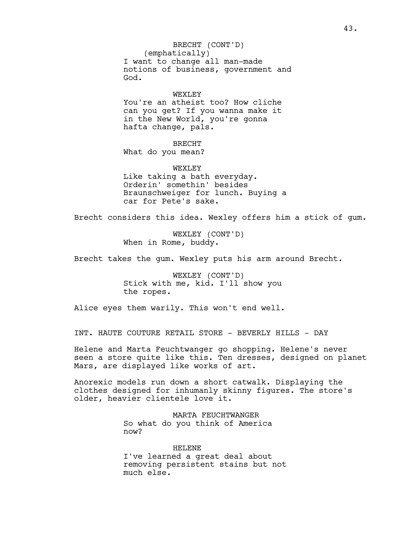(emphatically) I want to change all man-made notions of business, government and God. BRECHT (CONT'D)

### WEXLEY

You're an atheist too? How cliche can you get? If you wanna make it in the New World, you're gonna hafta change, pals.

# BRECHT

What do you mean?

WEXLEY Like taking a bath everyday. Orderin' somethin' besides Braunschweiger for lunch. Buying a car for Pete's sake.

Brecht considers this idea. Wexley offers him a stick of gum.

WEXLEY (CONT'D) When in Rome, buddy.

Brecht takes the gum. Wexley puts his arm around Brecht.

WEXLEY (CONT'D) Stick with me, kid. I'll show you the ropes.

Alice eyes them warily. This won't end well.

INT. HAUTE COUTURE RETAIL STORE - BEVERLY HILLS - DAY

Helene and Marta Feuchtwanger go shopping. Helene's never seen a store quite like this. Ten dresses, designed on planet Mars, are displayed like works of art.

Anorexic models run down a short catwalk. Displaying the clothes designed for inhumanly skinny figures. The store's older, heavier clientele love it.

> MARTA FEUCHTWANGER So what do you think of America now?

HELENE I've learned a great deal about removing persistent stains but not much else.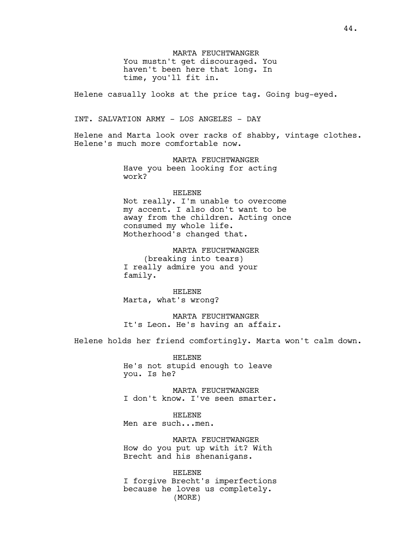MARTA FEUCHTWANGER You mustn't get discouraged. You haven't been here that long. In time, you'll fit in.

Helene casually looks at the price tag. Going bug-eyed.

INT. SALVATION ARMY - LOS ANGELES - DAY

Helene and Marta look over racks of shabby, vintage clothes. Helene's much more comfortable now.

> MARTA FEUCHTWANGER Have you been looking for acting work?

#### HELENE

Not really. I'm unable to overcome my accent. I also don't want to be away from the children. Acting once consumed my whole life. Motherhood's changed that.

MARTA FEUCHTWANGER (breaking into tears) I really admire you and your family.

HELENE Marta, what's wrong?

MARTA FEUCHTWANGER It's Leon. He's having an affair.

Helene holds her friend comfortingly. Marta won't calm down.

HELENE He's not stupid enough to leave you. Is he?

MARTA FEUCHTWANGER I don't know. I've seen smarter.

HELENE Men are such...men.

MARTA FEUCHTWANGER How do you put up with it? With Brecht and his shenanigans.

HELENE I forgive Brecht's imperfections because he loves us completely. (MORE)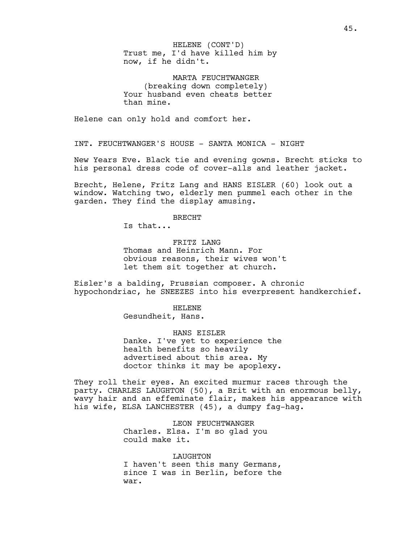Trust me, I'd have killed him by now, if he didn't. HELENE (CONT'D)

MARTA FEUCHTWANGER (breaking down completely) Your husband even cheats better than mine.

Helene can only hold and comfort her.

INT. FEUCHTWANGER'S HOUSE - SANTA MONICA - NIGHT

New Years Eve. Black tie and evening gowns. Brecht sticks to his personal dress code of cover-alls and leather jacket.

Brecht, Helene, Fritz Lang and HANS EISLER (60) look out a window. Watching two, elderly men pummel each other in the garden. They find the display amusing.

BRECHT

Is that...

FRITZ LANG Thomas and Heinrich Mann. For obvious reasons, their wives won't let them sit together at church.

Eisler's a balding, Prussian composer. A chronic hypochondriac, he SNEEZES into his everpresent handkerchief.

HELENE

Gesundheit, Hans.

HANS EISLER Danke. I've yet to experience the health benefits so heavily advertised about this area. My doctor thinks it may be apoplexy.

They roll their eyes. An excited murmur races through the party. CHARLES LAUGHTON (50), a Brit with an enormous belly, wavy hair and an effeminate flair, makes his appearance with his wife, ELSA LANCHESTER (45), a dumpy fag-hag.

> LEON FEUCHTWANGER Charles. Elsa. I'm so glad you could make it.

LAUGHTON I haven't seen this many Germans, since I was in Berlin, before the war.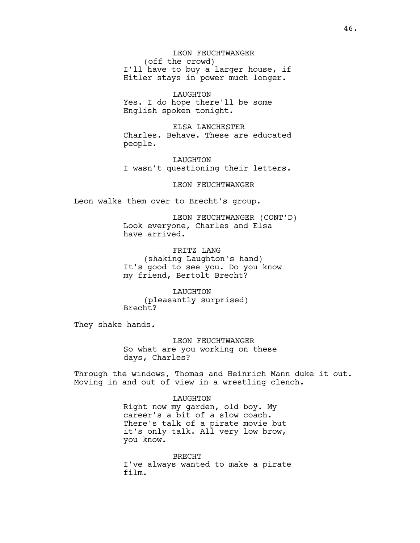LEON FEUCHTWANGER (off the crowd) I'll have to buy a larger house, if Hitler stays in power much longer.

LAUGHTON Yes. I do hope there'll be some English spoken tonight.

ELSA LANCHESTER Charles. Behave. These are educated people.

LAUGHTON I wasn't questioning their letters.

LEON FEUCHTWANGER

Leon walks them over to Brecht's group.

LEON FEUCHTWANGER (CONT'D) Look everyone, Charles and Elsa have arrived.

FRITZ LANG (shaking Laughton's hand) It's good to see you. Do you know my friend, Bertolt Brecht?

LAUGHTON (pleasantly surprised) Brecht?

They shake hands.

LEON FEUCHTWANGER So what are you working on these days, Charles?

Through the windows, Thomas and Heinrich Mann duke it out. Moving in and out of view in a wrestling clench.

> LAUGHTON Right now my garden, old boy. My career's a bit of a slow coach. There's talk of a pirate movie but it's only talk. All very low brow, you know.

BRECHT I've always wanted to make a pirate film.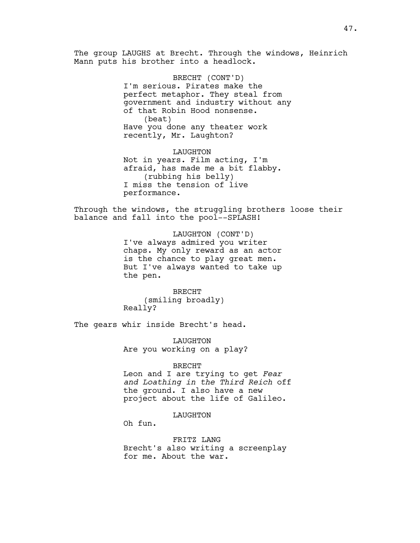The group LAUGHS at Brecht. Through the windows, Heinrich Mann puts his brother into a headlock.

> BRECHT (CONT'D) I'm serious. Pirates make the perfect metaphor. They steal from government and industry without any of that Robin Hood nonsense. (beat) Have you done any theater work recently, Mr. Laughton?

LAUGHTON Not in years. Film acting, I'm afraid, has made me a bit flabby. (rubbing his belly) I miss the tension of live performance.

Through the windows, the struggling brothers loose their balance and fall into the pool--SPLASH!

> LAUGHTON (CONT'D) I've always admired you writer chaps. My only reward as an actor is the chance to play great men. But I've always wanted to take up the pen.

BRECHT (smiling broadly) Really?

The gears whir inside Brecht's head.

LAUGHTON Are you working on a play?

### BRECHT

Leon and I are trying to get *Fear and Loathing in the Third Reich* off the ground. I also have a new project about the life of Galileo.

### LAUGHTON

Oh fun.

FRITZ LANG Brecht's also writing a screenplay for me. About the war.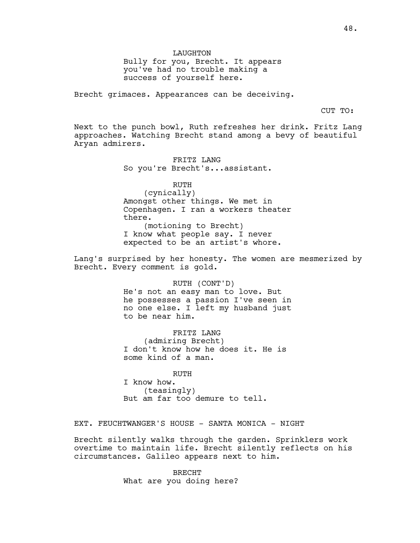LAUGHTON

Bully for you, Brecht. It appears you've had no trouble making a success of yourself here.

Brecht grimaces. Appearances can be deceiving.

CUT TO:

Next to the punch bowl, Ruth refreshes her drink. Fritz Lang approaches. Watching Brecht stand among a bevy of beautiful Aryan admirers.

> FRITZ LANG So you're Brecht's...assistant.

RUTH (cynically) Amongst other things. We met in Copenhagen. I ran a workers theater there. (motioning to Brecht) I know what people say. I never expected to be an artist's whore.

Lang's surprised by her honesty. The women are mesmerized by Brecht. Every comment is gold.

RUTH (CONT'D)

He's not an easy man to love. But he possesses a passion I've seen in no one else. I left my husband just to be near him.

FRITZ LANG (admiring Brecht) I don't know how he does it. He is some kind of a man.

RUTH I know how. (teasingly) But am far too demure to tell.

EXT. FEUCHTWANGER'S HOUSE - SANTA MONICA - NIGHT

Brecht silently walks through the garden. Sprinklers work overtime to maintain life. Brecht silently reflects on his circumstances. Galileo appears next to him.

> BRECHT What are you doing here?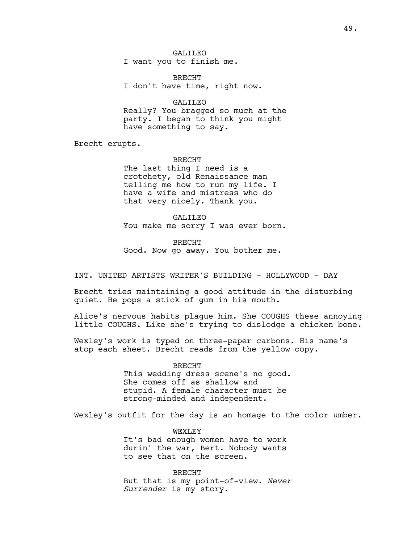GALILEO I want you to finish me.

BRECHT I don't have time, right now.

GALILEO Really? You bragged so much at the party. I began to think you might have something to say.

Brecht erupts.

BRECHT The last thing I need is a crotchety, old Renaissance man telling me how to run my life. I have a wife and mistress who do that very nicely. Thank you.

GALILEO You make me sorry I was ever born.

BRECHT Good. Now go away. You bother me.

INT. UNITED ARTISTS WRITER'S BUILDING - HOLLYWOOD - DAY

Brecht tries maintaining a good attitude in the disturbing quiet. He pops a stick of gum in his mouth.

Alice's nervous habits plague him. She COUGHS these annoying little COUGHS. Like she's trying to dislodge a chicken bone.

Wexley's work is typed on three-paper carbons. His name's atop each sheet. Brecht reads from the yellow copy.

> BRECHT This wedding dress scene's no good. She comes off as shallow and stupid. A female character must be strong-minded and independent.

Wexley's outfit for the day is an homage to the color umber.

WEXT.EY It's bad enough women have to work durin' the war, Bert. Nobody wants to see that on the screen.

BRECHT But that is my point-of-view. *Never Surrender* is my story.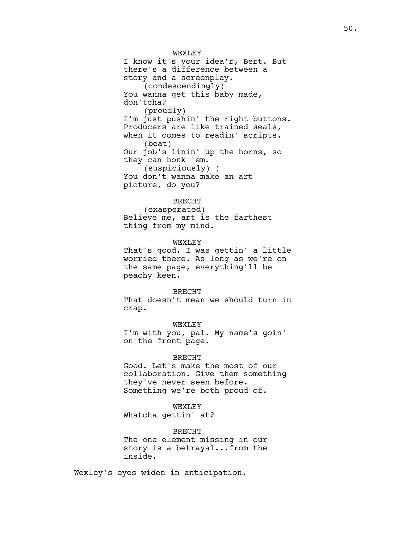WEXT.EY I know it's your idea'r, Bert. But there's a difference between a story and a screenplay. (condescendingly) You wanna get this baby made, don'tcha? (proudly) I'm just pushin' the right buttons. Producers are like trained seals, when it comes to readin' scripts. (beat) Our job's linin' up the horns, so they can honk 'em. (suspiciously) ) You don't wanna make an art picture, do you?

### BRECHT

(exasperated) Believe me, art is the farthest thing from my mind.

#### WEXLEY

That's good. I was gettin' a little worried there. As long as we're on the same page, everything'll be peachy keen.

### BRECHT

That doesn't mean we should turn in crap.

## WEXLEY

I'm with you, pal. My name's goin' on the front page.

### BRECHT

Good. Let's make the most of our collaboration. Give them something they've never seen before. Something we're both proud of.

#### WEXLEY

Whatcha gettin' at?

BRECHT The one element missing in our story is a betrayal...from the inside.

Wexley's eyes widen in anticipation.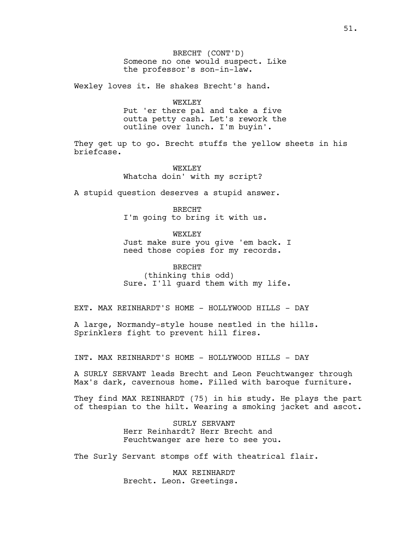BRECHT (CONT'D) Someone no one would suspect. Like the professor's son-in-law.

Wexley loves it. He shakes Brecht's hand.

WEXLEY

Put 'er there pal and take a five outta petty cash. Let's rework the outline over lunch. I'm buyin'.

They get up to go. Brecht stuffs the yellow sheets in his briefcase.

> WEXLEY Whatcha doin' with my script?

A stupid question deserves a stupid answer.

BRECHT I'm going to bring it with us.

WEXT.EY Just make sure you give 'em back. I need those copies for my records.

BRECHT (thinking this odd) Sure. I'll guard them with my life.

EXT. MAX REINHARDT'S HOME - HOLLYWOOD HILLS - DAY

A large, Normandy-style house nestled in the hills. Sprinklers fight to prevent hill fires.

INT. MAX REINHARDT'S HOME - HOLLYWOOD HILLS - DAY

A SURLY SERVANT leads Brecht and Leon Feuchtwanger through Max's dark, cavernous home. Filled with baroque furniture.

They find MAX REINHARDT (75) in his study. He plays the part of thespian to the hilt. Wearing a smoking jacket and ascot.

> SURLY SERVANT Herr Reinhardt? Herr Brecht and Feuchtwanger are here to see you.

The Surly Servant stomps off with theatrical flair.

MAX REINHARDT Brecht. Leon. Greetings.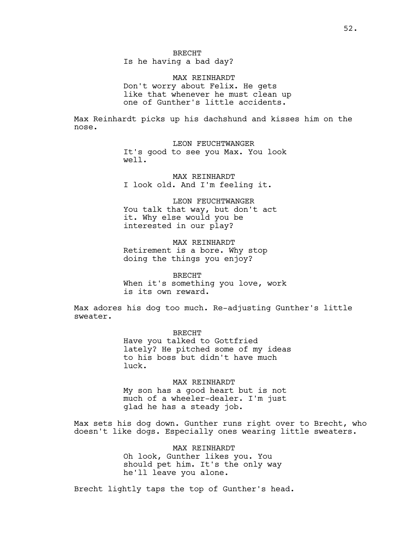MAX REINHARDT Don't worry about Felix. He gets like that whenever he must clean up one of Gunther's little accidents.

Max Reinhardt picks up his dachshund and kisses him on the nose.

> LEON FEUCHTWANGER It's good to see you Max. You look well.

MAX REINHARDT I look old. And I'm feeling it.

LEON FEUCHTWANGER You talk that way, but don't act it. Why else would you be interested in our play?

MAX REINHARDT Retirement is a bore. Why stop doing the things you enjoy?

BRECHT When it's something you love, work is its own reward.

Max adores his dog too much. Re-adjusting Gunther's little sweater.

> BRECHT Have you talked to Gottfried lately? He pitched some of my ideas to his boss but didn't have much luck.

MAX REINHARDT My son has a good heart but is not much of a wheeler-dealer. I'm just glad he has a steady job.

Max sets his dog down. Gunther runs right over to Brecht, who doesn't like dogs. Especially ones wearing little sweaters.

> MAX REINHARDT Oh look, Gunther likes you. You should pet him. It's the only way he'll leave you alone.

Brecht lightly taps the top of Gunther's head.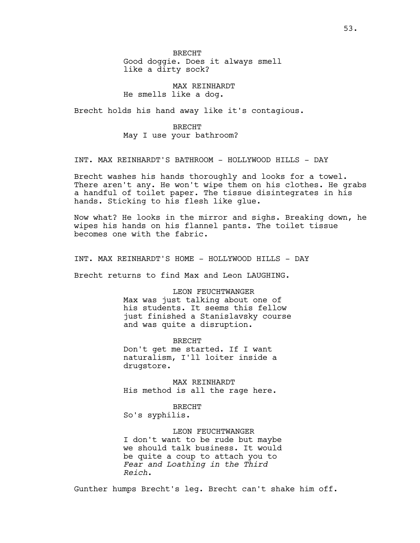BRECHT Good doggie. Does it always smell like a dirty sock?

MAX REINHARDT He smells like a dog.

Brecht holds his hand away like it's contagious.

BRECHT May I use your bathroom?

INT. MAX REINHARDT'S BATHROOM - HOLLYWOOD HILLS - DAY

Brecht washes his hands thoroughly and looks for a towel. There aren't any. He won't wipe them on his clothes. He grabs a handful of toilet paper. The tissue disintegrates in his hands. Sticking to his flesh like glue.

Now what? He looks in the mirror and sighs. Breaking down, he wipes his hands on his flannel pants. The toilet tissue becomes one with the fabric.

INT. MAX REINHARDT'S HOME - HOLLYWOOD HILLS - DAY

Brecht returns to find Max and Leon LAUGHING.

LEON FEUCHTWANGER Max was just talking about one of his students. It seems this fellow just finished a Stanislavsky course and was quite a disruption.

BRECHT Don't get me started. If I want naturalism, I'll loiter inside a drugstore.

MAX REINHARDT His method is all the rage here.

BRECHT

So's syphilis.

LEON FEUCHTWANGER I don't want to be rude but maybe we should talk business. It would be quite a coup to attach you to *Fear and Loathing in the Third Reich*.

Gunther humps Brecht's leg. Brecht can't shake him off.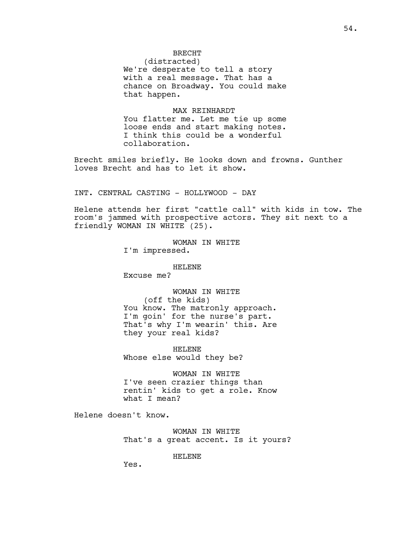# BRECHT

(distracted) We're desperate to tell a story with a real message. That has a chance on Broadway. You could make that happen.

#### MAX REINHARDT

You flatter me. Let me tie up some loose ends and start making notes. I think this could be a wonderful collaboration.

Brecht smiles briefly. He looks down and frowns. Gunther loves Brecht and has to let it show.

INT. CENTRAL CASTING - HOLLYWOOD - DAY

Helene attends her first "cattle call" with kids in tow. The room's jammed with prospective actors. They sit next to a friendly WOMAN IN WHITE (25).

> WOMAN IN WHITE I'm impressed.

> > HELENE

Excuse me?

WOMAN IN WHITE (off the kids) You know. The matronly approach. I'm goin' for the nurse's part. That's why I'm wearin' this. Are they your real kids?

HELENE Whose else would they be?

WOMAN IN WHITE I've seen crazier things than rentin' kids to get a role. Know what I mean?

Helene doesn't know.

WOMAN IN WHITE That's a great accent. Is it yours?

HELENE

Yes.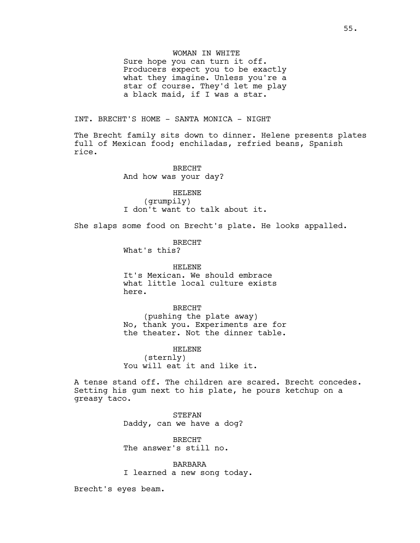## WOMAN IN WHITE

Sure hope you can turn it off. Producers expect you to be exactly what they imagine. Unless you're a star of course. They'd let me play a black maid, if I was a star.

## INT. BRECHT'S HOME - SANTA MONICA - NIGHT

The Brecht family sits down to dinner. Helene presents plates full of Mexican food; enchiladas, refried beans, Spanish rice.

> BRECHT And how was your day?

HELENE (grumpily) I don't want to talk about it.

She slaps some food on Brecht's plate. He looks appalled.

BRECHT

What's this?

HELENE It's Mexican. We should embrace what little local culture exists here.

BRECHT (pushing the plate away) No, thank you. Experiments are for the theater. Not the dinner table.

HELENE (sternly) You will eat it and like it.

A tense stand off. The children are scared. Brecht concedes. Setting his gum next to his plate, he pours ketchup on a greasy taco.

> STEFAN Daddy, can we have a dog?

BRECHT The answer's still no.

BARBARA I learned a new song today.

Brecht's eyes beam.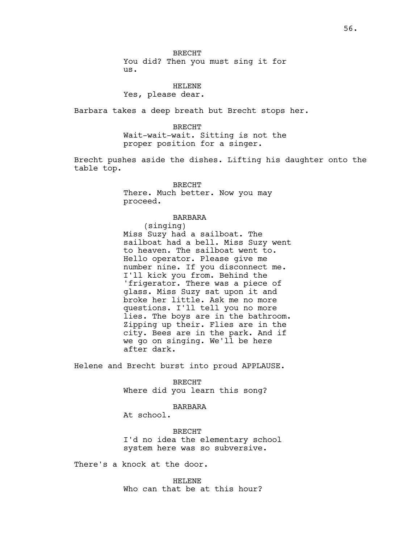## HELENE Yes, please dear.

Barbara takes a deep breath but Brecht stops her.

BRECHT Wait-wait-wait. Sitting is not the proper position for a singer.

Brecht pushes aside the dishes. Lifting his daughter onto the table top.

> BRECHT There. Much better. Now you may proceed.

## BARBARA

(singing) Miss Suzy had a sailboat. The sailboat had a bell. Miss Suzy went to heaven. The sailboat went to. Hello operator. Please give me number nine. If you disconnect me. I'll kick you from. Behind the 'frigerator. There was a piece of glass. Miss Suzy sat upon it and broke her little. Ask me no more questions. I'll tell you no more lies. The boys are in the bathroom. Zipping up their. Flies are in the city. Bees are in the park. And if we go on singing. We'll be here after dark.

Helene and Brecht burst into proud APPLAUSE.

BRECHT Where did you learn this song?

### BARBARA

At school.

BRECHT I'd no idea the elementary school system here was so subversive.

There's a knock at the door.

HELENE Who can that be at this hour?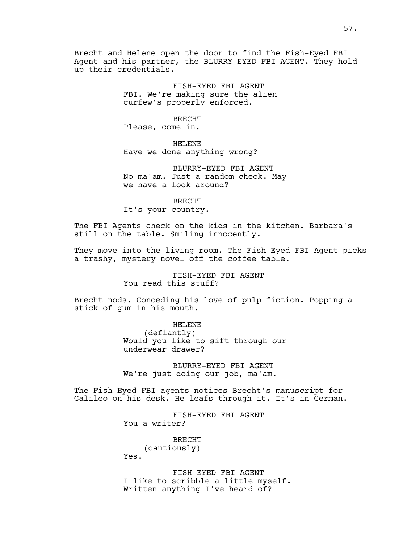Brecht and Helene open the door to find the Fish-Eyed FBI Agent and his partner, the BLURRY-EYED FBI AGENT. They hold up their credentials.

> FISH-EYED FBI AGENT FBI. We're making sure the alien curfew's properly enforced.

## BRECHT

Please, come in.

HELENE Have we done anything wrong?

BLURRY-EYED FBI AGENT No ma'am. Just a random check. May we have a look around?

BRECHT It's your country.

The FBI Agents check on the kids in the kitchen. Barbara's still on the table. Smiling innocently.

They move into the living room. The Fish-Eyed FBI Agent picks a trashy, mystery novel off the coffee table.

> FISH-EYED FBI AGENT You read this stuff?

Brecht nods. Conceding his love of pulp fiction. Popping a stick of gum in his mouth.

> HELENE (defiantly) Would you like to sift through our underwear drawer?

BLURRY-EYED FBI AGENT We're just doing our job, ma'am.

The Fish-Eyed FBI agents notices Brecht's manuscript for Galileo on his desk. He leafs through it. It's in German.

> FISH-EYED FBI AGENT You a writer?

BRECHT (cautiously) Yes.

FISH-EYED FBI AGENT I like to scribble a little myself. Written anything I've heard of?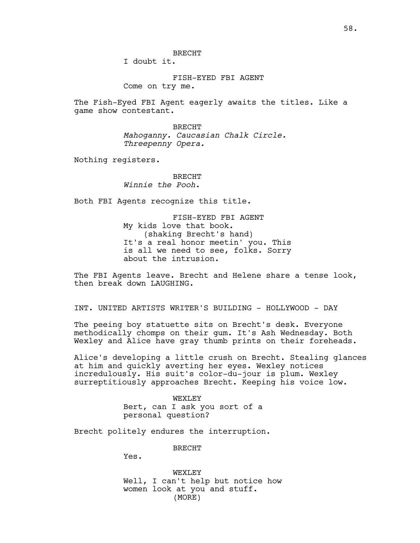I doubt it.

FISH-EYED FBI AGENT Come on try me.

The Fish-Eyed FBI Agent eagerly awaits the titles. Like a game show contestant.

> BRECHT *Mahoganny. Caucasian Chalk Circle. Threepenny Opera.*

Nothing registers.

## BRECHT *Winnie the Pooh.*

Both FBI Agents recognize this title.

FISH-EYED FBI AGENT My kids love that book. (shaking Brecht's hand) It's a real honor meetin' you. This is all we need to see, folks. Sorry about the intrusion.

The FBI Agents leave. Brecht and Helene share a tense look, then break down LAUGHING.

INT. UNITED ARTISTS WRITER'S BUILDING - HOLLYWOOD - DAY

The peeing boy statuette sits on Brecht's desk. Everyone methodically chomps on their gum. It's Ash Wednesday. Both Wexley and Alice have gray thumb prints on their foreheads.

Alice's developing a little crush on Brecht. Stealing glances at him and quickly averting her eyes. Wexley notices incredulously. His suit's color-du-jour is plum. Wexley surreptitiously approaches Brecht. Keeping his voice low.

> WEXLEY Bert, can I ask you sort of a personal question?

Brecht politely endures the interruption.

BRECHT

Yes.

WEXT.EY Well, I can't help but notice how women look at you and stuff. (MORE)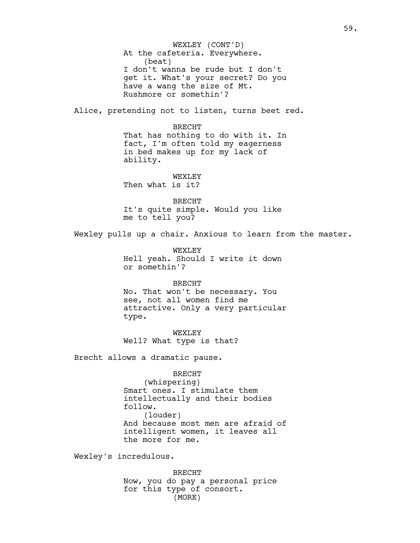At the cafeteria. Everywhere. (beat) I don't wanna be rude but I don't get it. What's your secret? Do you have a wang the size of Mt. Rushmore or somethin'? Alice, pretending not to listen, turns beet red. BRECHT That has nothing to do with it. In fact, I'm often told my eagerness in bed makes up for my lack of ability. WEXT.EY Then what is it? BRECHT It's quite simple. Would you like me to tell you? WEXLEY (CONT'D)

Wexley pulls up a chair. Anxious to learn from the master.

WEXLEY Hell yeah. Should I write it down or somethin'?

BRECHT

No. That won't be necessary. You see, not all women find me attractive. Only a very particular type.

WEXLEY Well? What type is that?

Brecht allows a dramatic pause.

BRECHT (whispering) Smart ones. I stimulate them intellectually and their bodies follow. (louder) And because most men are afraid of intelligent women, it leaves all the more for me.

Wexley's incredulous.

BRECHT Now, you do pay a personal price for this type of consort. (MORE)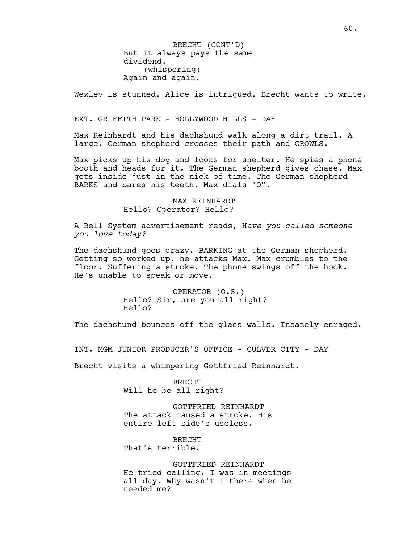But it always pays the same dividend. (whispering) Again and again. BRECHT (CONT'D)

Wexley is stunned. Alice is intrigued. Brecht wants to write.

### EXT. GRIFFITH PARK - HOLLYWOOD HILLS - DAY

Max Reinhardt and his dachshund walk along a dirt trail. A large, German shepherd crosses their path and GROWLS.

Max picks up his dog and looks for shelter. He spies a phone booth and heads for it. The German shepherd gives chase. Max gets inside just in the nick of time. The German shepherd BARKS and bares his teeth. Max dials "O".

## MAX REINHARDT Hello? Operator? Hello?

A Bell System advertisement reads, H*ave you called someone you love today?*

The dachshund goes crazy. BARKING at the German shepherd. Getting so worked up, he attacks Max. Max crumbles to the floor. Suffering a stroke. The phone swings off the hook. He's unable to speak or move.

> OPERATOR (O.S.) Hello? Sir, are you all right? Hello?

The dachshund bounces off the glass walls. Insanely enraged.

INT. MGM JUNIOR PRODUCER'S OFFICE - CULVER CITY - DAY

Brecht visits a whimpering Gottfried Reinhardt.

BRECHT Will he be all right?

GOTTFRIED REINHARDT The attack caused a stroke. His entire left side's useless.

BRECHT That's terrible.

GOTTFRIED REINHARDT He tried calling. I was in meetings all day. Why wasn't I there when he needed me?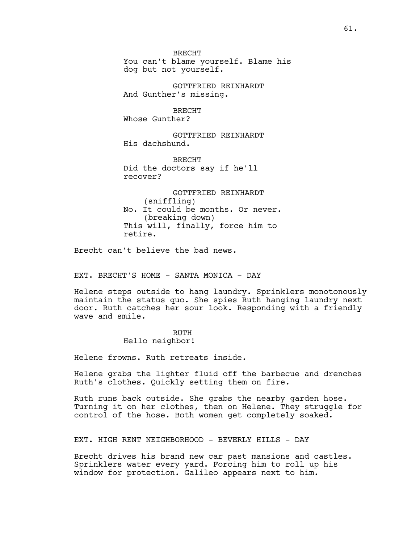BRECHT You can't blame yourself. Blame his dog but not yourself.

GOTTFRIED REINHARDT And Gunther's missing.

BRECHT Whose Gunther?

GOTTFRIED REINHARDT His dachshund.

BRECHT Did the doctors say if he'll recover?

GOTTFRIED REINHARDT (sniffling) No. It could be months. Or never. (breaking down) This will, finally, force him to retire.

Brecht can't believe the bad news.

EXT. BRECHT'S HOME - SANTA MONICA - DAY

Helene steps outside to hang laundry. Sprinklers monotonously maintain the status quo. She spies Ruth hanging laundry next door. Ruth catches her sour look. Responding with a friendly wave and smile.

# RUTH Hello neighbor!

Helene frowns. Ruth retreats inside.

Helene grabs the lighter fluid off the barbecue and drenches Ruth's clothes. Quickly setting them on fire.

Ruth runs back outside. She grabs the nearby garden hose. Turning it on her clothes, then on Helene. They struggle for control of the hose. Both women get completely soaked.

EXT. HIGH RENT NEIGHBORHOOD - BEVERLY HILLS - DAY

Brecht drives his brand new car past mansions and castles. Sprinklers water every yard. Forcing him to roll up his window for protection. Galileo appears next to him.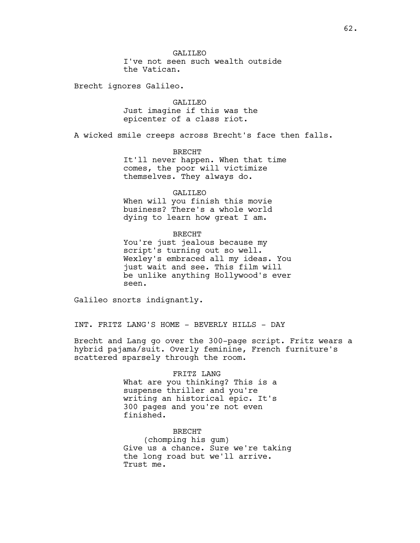Brecht ignores Galileo.

GALILEO Just imagine if this was the epicenter of a class riot.

A wicked smile creeps across Brecht's face then falls.

## BRECHT

It'll never happen. When that time comes, the poor will victimize themselves. They always do.

#### GALILEO

When will you finish this movie business? There's a whole world dying to learn how great I am.

## BRECHT

You're just jealous because my script's turning out so well. Wexley's embraced all my ideas. You just wait and see. This film will be unlike anything Hollywood's ever seen.

Galileo snorts indignantly.

INT. FRITZ LANG'S HOME - BEVERLY HILLS - DAY

Brecht and Lang go over the 300-page script. Fritz wears a hybrid pajama/suit. Overly feminine, French furniture's scattered sparsely through the room.

### FRITZ LANG

What are you thinking? This is a suspense thriller and you're writing an historical epic. It's 300 pages and you're not even finished.

### BRECHT

(chomping his gum) Give us a chance. Sure we're taking the long road but we'll arrive. Trust me.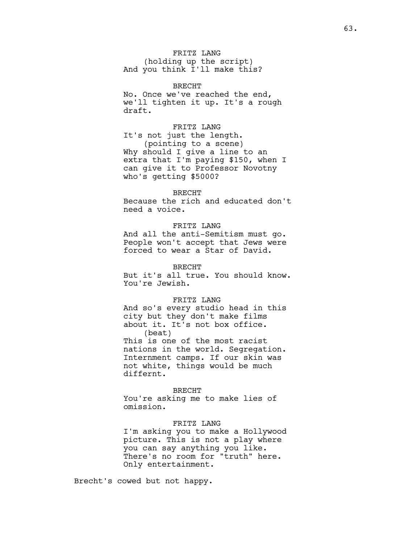FRITZ LANG (holding up the script) And you think I'll make this?

BRECHT No. Once we've reached the end, we'll tighten it up. It's a rough draft.

FRITZ LANG It's not just the length. (pointing to a scene) Why should I give a line to an extra that I'm paying \$150, when I can give it to Professor Novotny who's getting \$5000?

#### BRECHT

Because the rich and educated don't need a voice.

## FRITZ LANG

And all the anti-Semitism must go. People won't accept that Jews were forced to wear a Star of David.

BRECHT

But it's all true. You should know. You're Jewish.

### FRITZ LANG

And so's every studio head in this city but they don't make films about it. It's not box office. (beat) This is one of the most racist nations in the world. Segregation. Internment camps. If our skin was not white, things would be much differnt.

#### BRECHT

You're asking me to make lies of omission.

## FRITZ LANG

I'm asking you to make a Hollywood picture. This is not a play where you can say anything you like. There's no room for "truth" here. Only entertainment.

Brecht's cowed but not happy.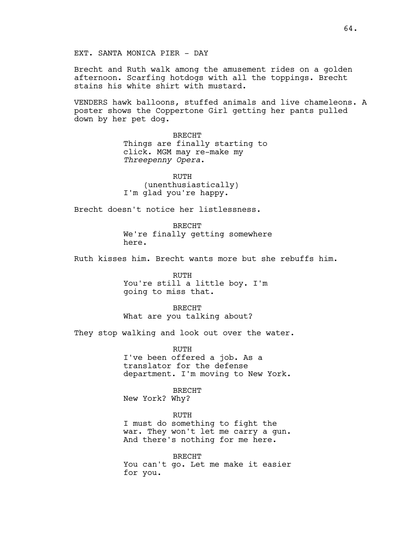Brecht and Ruth walk among the amusement rides on a golden afternoon. Scarfing hotdogs with all the toppings. Brecht stains his white shirt with mustard.

VENDERS hawk balloons, stuffed animals and live chameleons. A poster shows the Coppertone Girl getting her pants pulled down by her pet dog.

> BRECHT Things are finally starting to click. MGM may re-make my *Threepenny Opera*.

RUTH (unenthusiastically) I'm glad you're happy.

Brecht doesn't notice her listlessness.

BRECHT We're finally getting somewhere here.

Ruth kisses him. Brecht wants more but she rebuffs him.

RUTH You're still a little boy. I'm going to miss that.

BRECHT What are you talking about?

They stop walking and look out over the water.

RUTH I've been offered a job. As a translator for the defense department. I'm moving to New York.

BRECHT

New York? Why?

RUTH I must do something to fight the war. They won't let me carry a gun. And there's nothing for me here.

BRECHT You can't go. Let me make it easier for you.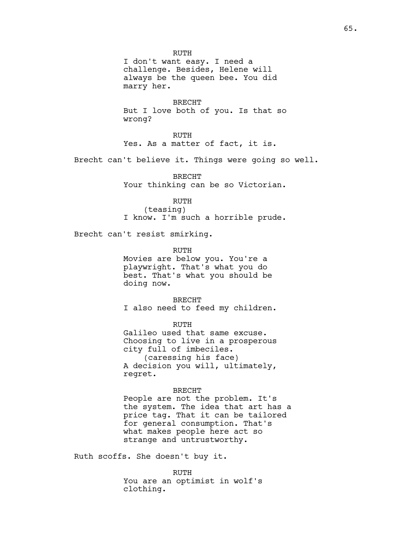RUTH I don't want easy. I need a challenge. Besides, Helene will always be the queen bee. You did marry her.

BRECHT But I love both of you. Is that so wrong?

RUTH Yes. As a matter of fact, it is.

Brecht can't believe it. Things were going so well.

BRECHT Your thinking can be so Victorian.

RUTH

(teasing) I know. I'm such a horrible prude.

Brecht can't resist smirking.

RUTH

Movies are below you. You're a playwright. That's what you do best. That's what you should be doing now.

BRECHT I also need to feed my children.

RUTH

Galileo used that same excuse. Choosing to live in a prosperous city full of imbeciles. (caressing his face) A decision you will, ultimately, regret.

### BRECHT

People are not the problem. It's the system. The idea that art has a price tag. That it can be tailored for general consumption. That's what makes people here act so strange and untrustworthy.

Ruth scoffs. She doesn't buy it.

RUTH You are an optimist in wolf's clothing.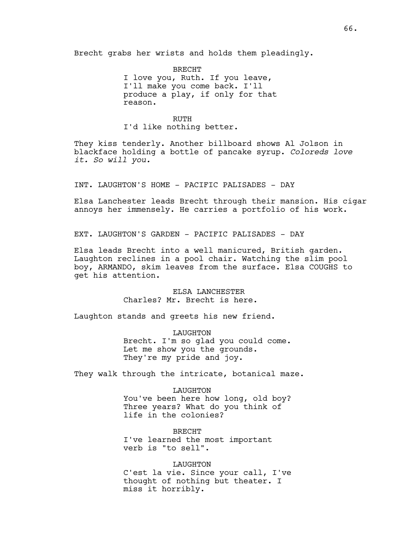Brecht grabs her wrists and holds them pleadingly.

BRECHT I love you, Ruth. If you leave, I'll make you come back. I'll produce a play, if only for that reason.

## RUTH

I'd like nothing better.

They kiss tenderly. Another billboard shows Al Jolson in blackface holding a bottle of pancake syrup. *Coloreds love it. So will you.*

INT. LAUGHTON'S HOME - PACIFIC PALISADES - DAY

Elsa Lanchester leads Brecht through their mansion. His cigar annoys her immensely. He carries a portfolio of his work.

EXT. LAUGHTON'S GARDEN - PACIFIC PALISADES - DAY

Elsa leads Brecht into a well manicured, British garden. Laughton reclines in a pool chair. Watching the slim pool boy, ARMANDO, skim leaves from the surface. Elsa COUGHS to get his attention.

> ELSA LANCHESTER Charles? Mr. Brecht is here.

Laughton stands and greets his new friend.

LAUGHTON Brecht. I'm so glad you could come. Let me show you the grounds. They're my pride and joy.

They walk through the intricate, botanical maze.

LAUGHTON You've been here how long, old boy? Three years? What do you think of life in the colonies?

BRECHT I've learned the most important verb is "to sell".

LAUGHTON C'est la vie. Since your call, I've thought of nothing but theater. I miss it horribly.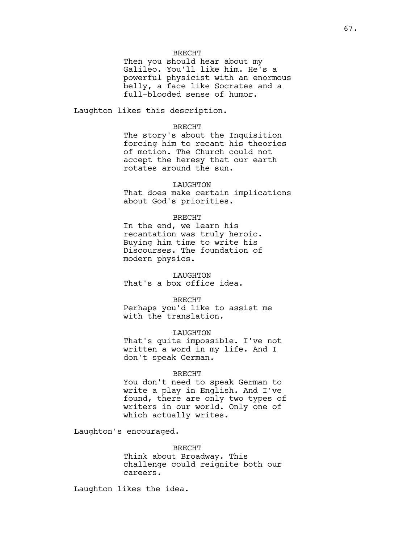### BRECHT

Then you should hear about my Galileo. You'll like him. He's a powerful physicist with an enormous belly, a face like Socrates and a full-blooded sense of humor.

Laughton likes this description.

### BRECHT

The story's about the Inquisition forcing him to recant his theories of motion. The Church could not accept the heresy that our earth rotates around the sun.

### LAUGHTON

That does make certain implications about God's priorities.

## BRECHT

In the end, we learn his recantation was truly heroic. Buying him time to write his Discourses. The foundation of modern physics.

LAUGHTON That's a box office idea.

## BRECHT

Perhaps you'd like to assist me with the translation.

#### LAUGHTON

That's quite impossible. I've not written a word in my life. And I don't speak German.

#### BRECHT

You don't need to speak German to write a play in English. And I've found, there are only two types of writers in our world. Only one of which actually writes.

Laughton's encouraged.

BRECHT Think about Broadway. This challenge could reignite both our careers.

Laughton likes the idea.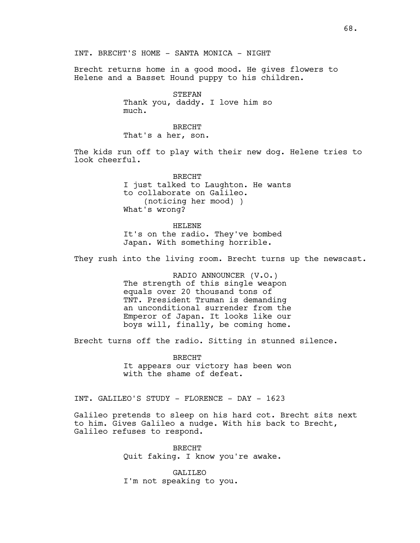Brecht returns home in a good mood. He gives flowers to Helene and a Basset Hound puppy to his children.

> STEFAN Thank you, daddy. I love him so much.

BRECHT That's a her, son.

The kids run off to play with their new dog. Helene tries to look cheerful.

> BRECHT I just talked to Laughton. He wants to collaborate on Galileo. (noticing her mood) ) What's wrong?

HELENE It's on the radio. They've bombed Japan. With something horrible.

They rush into the living room. Brecht turns up the newscast.

RADIO ANNOUNCER (V.O.) The strength of this single weapon equals over 20 thousand tons of TNT. President Truman is demanding an unconditional surrender from the Emperor of Japan. It looks like our boys will, finally, be coming home.

Brecht turns off the radio. Sitting in stunned silence.

BRECHT It appears our victory has been won with the shame of defeat.

INT. GALILEO'S STUDY - FLORENCE - DAY - 1623

Galileo pretends to sleep on his hard cot. Brecht sits next to him. Gives Galileo a nudge. With his back to Brecht, Galileo refuses to respond.

> BRECHT Quit faking. I know you're awake.

GALILEO I'm not speaking to you.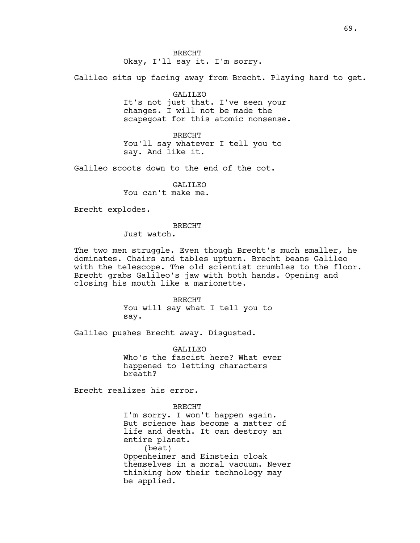BRECHT Okay, I'll say it. I'm sorry.

Galileo sits up facing away from Brecht. Playing hard to get.

GALILEO It's not just that. I've seen your changes. I will not be made the scapegoat for this atomic nonsense.

BRECHT You'll say whatever I tell you to say. And like it.

Galileo scoots down to the end of the cot.

GALILEO You can't make me.

Brecht explodes.

BRECHT

Just watch.

The two men struggle. Even though Brecht's much smaller, he dominates. Chairs and tables upturn. Brecht beans Galileo with the telescope. The old scientist crumbles to the floor. Brecht grabs Galileo's jaw with both hands. Opening and closing his mouth like a marionette.

> BRECHT You will say what I tell you to say.

Galileo pushes Brecht away. Disgusted.

GALILEO Who's the fascist here? What ever happened to letting characters breath?

Brecht realizes his error.

BRECHT I'm sorry. I won't happen again. But science has become a matter of life and death. It can destroy an entire planet. (beat) Oppenheimer and Einstein cloak themselves in a moral vacuum. Never thinking how their technology may be applied.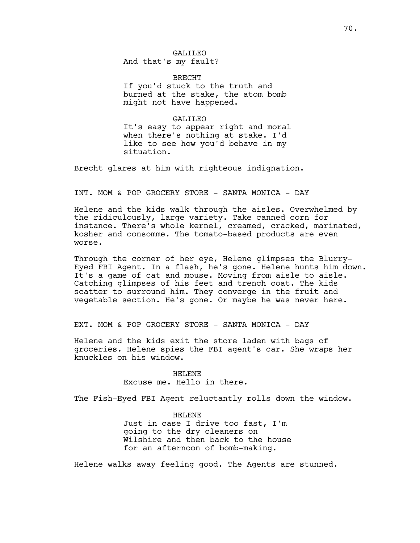GALILEO And that's my fault?

BRECHT If you'd stuck to the truth and burned at the stake, the atom bomb might not have happened.

GALILEO It's easy to appear right and moral when there's nothing at stake. I'd like to see how you'd behave in my situation.

Brecht glares at him with righteous indignation.

INT. MOM & POP GROCERY STORE - SANTA MONICA - DAY

Helene and the kids walk through the aisles. Overwhelmed by the ridiculously, large variety. Take canned corn for instance. There's whole kernel, creamed, cracked, marinated, kosher and consomme. The tomato-based products are even worse.

Through the corner of her eye, Helene glimpses the Blurry-Eyed FBI Agent. In a flash, he's gone. Helene hunts him down. It's a game of cat and mouse. Moving from aisle to aisle. Catching glimpses of his feet and trench coat. The kids scatter to surround him. They converge in the fruit and vegetable section. He's gone. Or maybe he was never here.

EXT. MOM & POP GROCERY STORE - SANTA MONICA - DAY

Helene and the kids exit the store laden with bags of groceries. Helene spies the FBI agent's car. She wraps her knuckles on his window.

> HELENE Excuse me. Hello in there.

The Fish-Eyed FBI Agent reluctantly rolls down the window.

HELENE Just in case I drive too fast, I'm going to the dry cleaners on Wilshire and then back to the house for an afternoon of bomb-making.

Helene walks away feeling good. The Agents are stunned.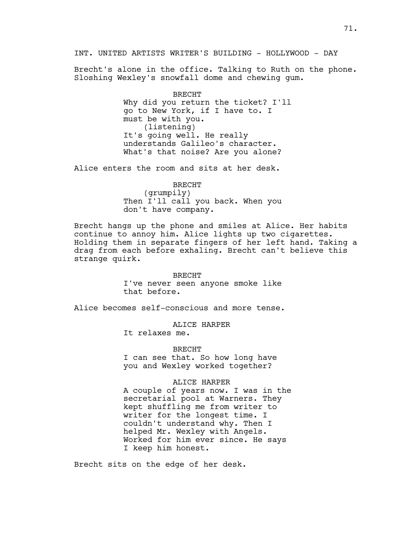INT. UNITED ARTISTS WRITER'S BUILDING - HOLLYWOOD - DAY

Brecht's alone in the office. Talking to Ruth on the phone. Sloshing Wexley's snowfall dome and chewing gum.

> BRECHT Why did you return the ticket? I'll go to New York, if I have to. I must be with you. (listening) It's going well. He really understands Galileo's character. What's that noise? Are you alone?

Alice enters the room and sits at her desk.

BRECHT (grumpily) Then I'll call you back. When you don't have company.

Brecht hangs up the phone and smiles at Alice. Her habits continue to annoy him. Alice lights up two cigarettes. Holding them in separate fingers of her left hand. Taking a drag from each before exhaling. Brecht can't believe this strange quirk.

> BRECHT I've never seen anyone smoke like that before.

Alice becomes self-conscious and more tense.

ALICE HARPER

It relaxes me.

BRECHT

I can see that. So how long have you and Wexley worked together?

### ALICE HARPER

A couple of years now. I was in the secretarial pool at Warners. They kept shuffling me from writer to writer for the longest time. I couldn't understand why. Then I helped Mr. Wexley with Angels. Worked for him ever since. He says I keep him honest.

Brecht sits on the edge of her desk.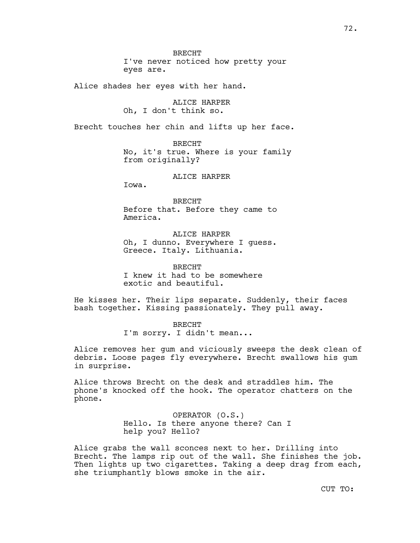BRECHT I've never noticed how pretty your eyes are.

Alice shades her eyes with her hand.

ALICE HARPER Oh, I don't think so.

Brecht touches her chin and lifts up her face.

BRECHT No, it's true. Where is your family from originally?

ALICE HARPER

Iowa.

BRECHT Before that. Before they came to America.

ALICE HARPER Oh, I dunno. Everywhere I guess. Greece. Italy. Lithuania.

BRECHT I knew it had to be somewhere exotic and beautiful.

He kisses her. Their lips separate. Suddenly, their faces bash together. Kissing passionately. They pull away.

> BRECHT I'm sorry. I didn't mean...

Alice removes her gum and viciously sweeps the desk clean of debris. Loose pages fly everywhere. Brecht swallows his gum in surprise.

Alice throws Brecht on the desk and straddles him. The phone's knocked off the hook. The operator chatters on the phone.

> OPERATOR (O.S.) Hello. Is there anyone there? Can I help you? Hello?

Alice grabs the wall sconces next to her. Drilling into Brecht. The lamps rip out of the wall. She finishes the job. Then lights up two cigarettes. Taking a deep drag from each, she triumphantly blows smoke in the air.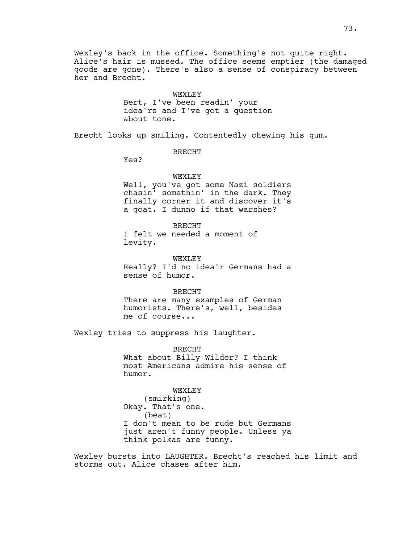Wexley's back in the office. Something's not quite right. Alice's hair is mussed. The office seems emptier (the damaged goods are gone). There's also a sense of conspiracy between her and Brecht.

#### WEXLEY

Bert, I've been readin' your idea'rs and I've got a question about tone.

Brecht looks up smiling. Contentedly chewing his gum.

BRECHT

Yes?

## WEXLEY

Well, you've got some Nazi soldiers chasin' somethin' in the dark. They finally corner it and discover it's a goat. I dunno if that warshes?

BRECHT I felt we needed a moment of levity.

WEXLEY Really? I'd no idea'r Germans had a sense of humor.

BRECHT There are many examples of German humorists. There's, well, besides me of course...

Wexley tries to suppress his laughter.

BRECHT What about Billy Wilder? I think most Americans admire his sense of humor.

WEXLEY (smirking) Okay. That's one. (beat) I don't mean to be rude but Germans just aren't funny people. Unless ya think polkas are funny.

Wexley bursts into LAUGHTER. Brecht's reached his limit and storms out. Alice chases after him.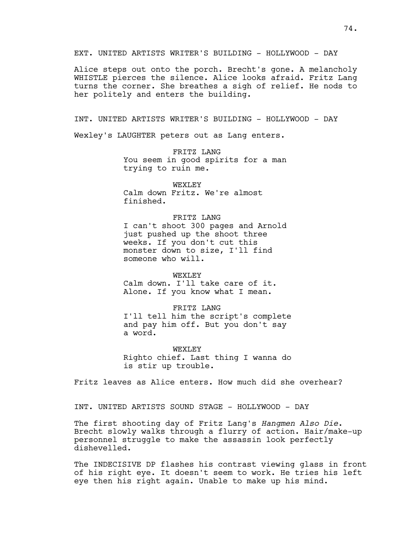EXT. UNITED ARTISTS WRITER'S BUILDING - HOLLYWOOD - DAY

Alice steps out onto the porch. Brecht's gone. A melancholy WHISTLE pierces the silence. Alice looks afraid. Fritz Lang turns the corner. She breathes a sigh of relief. He nods to her politely and enters the building.

INT. UNITED ARTISTS WRITER'S BUILDING - HOLLYWOOD - DAY

Wexley's LAUGHTER peters out as Lang enters.

FRITZ LANG You seem in good spirits for a man trying to ruin me.

WEXLEY Calm down Fritz. We're almost finished.

FRITZ LANG

I can't shoot 300 pages and Arnold just pushed up the shoot three weeks. If you don't cut this monster down to size, I'll find someone who will.

WEXT.EY Calm down. I'll take care of it. Alone. If you know what I mean.

FRITZ LANG I'll tell him the script's complete and pay him off. But you don't say a word.

WEXT.EY Righto chief. Last thing I wanna do is stir up trouble.

Fritz leaves as Alice enters. How much did she overhear?

INT. UNITED ARTISTS SOUND STAGE - HOLLYWOOD - DAY

The first shooting day of Fritz Lang's *Hangmen Also Die*. Brecht slowly walks through a flurry of action. Hair/make-up personnel struggle to make the assassin look perfectly dishevelled.

The INDECISIVE DP flashes his contrast viewing glass in front of his right eye. It doesn't seem to work. He tries his left eye then his right again. Unable to make up his mind.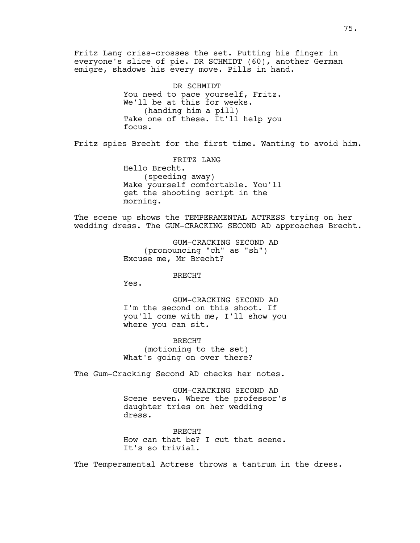Fritz Lang criss-crosses the set. Putting his finger in everyone's slice of pie. DR SCHMIDT (60), another German emigre, shadows his every move. Pills in hand. DR SCHMIDT You need to pace yourself, Fritz. We'll be at this for weeks. (handing him a pill) Take one of these. It'll help you focus. Fritz spies Brecht for the first time. Wanting to avoid him. FRITZ LANG Hello Brecht. (speeding away) Make yourself comfortable. You'll get the shooting script in the morning. The scene up shows the TEMPERAMENTAL ACTRESS trying on her wedding dress. The GUM-CRACKING SECOND AD approaches Brecht. GUM-CRACKING SECOND AD (pronouncing "ch" as "sh") Excuse me, Mr Brecht? BRECHT Yes. GUM-CRACKING SECOND AD I'm the second on this shoot. If you'll come with me, I'll show you where you can sit. BRECHT (motioning to the set) What's going on over there?

The Gum-Cracking Second AD checks her notes.

GUM-CRACKING SECOND AD Scene seven. Where the professor's daughter tries on her wedding dress.

BRECHT How can that be? I cut that scene. It's so trivial.

The Temperamental Actress throws a tantrum in the dress.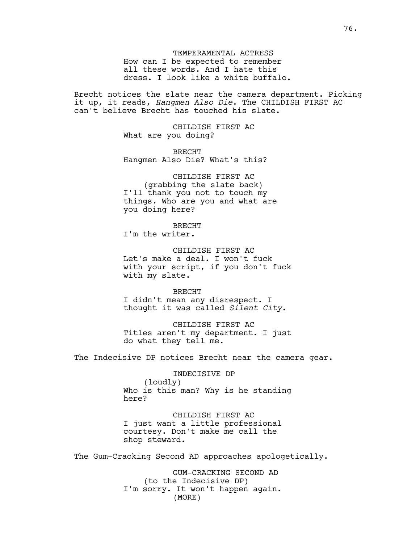TEMPERAMENTAL ACTRESS How can I be expected to remember all these words. And I hate this dress. I look like a white buffalo.

Brecht notices the slate near the camera department. Picking it up, it reads, *Hangmen Also Die*. The CHILDISH FIRST AC can't believe Brecht has touched his slate.

> CHILDISH FIRST AC What are you doing?

BRECHT Hangmen Also Die? What's this?

CHILDISH FIRST AC (grabbing the slate back) I'll thank you not to touch my things. Who are you and what are you doing here?

BRECHT I'm the writer.

CHILDISH FIRST AC Let's make a deal. I won't fuck with your script, if you don't fuck with my slate.

BRECHT I didn't mean any disrespect. I thought it was called *Silent City*.

CHILDISH FIRST AC Titles aren't my department. I just do what they tell me.

The Indecisive DP notices Brecht near the camera gear.

INDECISIVE DP (loudly) Who is this man? Why is he standing here?

CHILDISH FIRST AC I just want a little professional courtesy. Don't make me call the shop steward.

The Gum-Cracking Second AD approaches apologetically.

GUM-CRACKING SECOND AD (to the Indecisive DP) I'm sorry. It won't happen again. (MORE)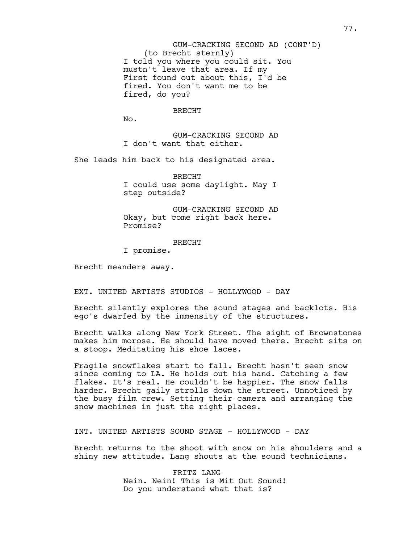(to Brecht sternly) I told you where you could sit. You mustn't leave that area. If my First found out about this, I'd be fired. You don't want me to be fired, do you? GUM-CRACKING SECOND AD (CONT'D)

#### BRECHT

No.

GUM-CRACKING SECOND AD I don't want that either.

She leads him back to his designated area.

BRECHT I could use some daylight. May I step outside?

GUM-CRACKING SECOND AD Okay, but come right back here. Promise?

## BRECHT

I promise.

Brecht meanders away.

EXT. UNITED ARTISTS STUDIOS - HOLLYWOOD - DAY

Brecht silently explores the sound stages and backlots. His ego's dwarfed by the immensity of the structures.

Brecht walks along New York Street. The sight of Brownstones makes him morose. He should have moved there. Brecht sits on a stoop. Meditating his shoe laces.

Fragile snowflakes start to fall. Brecht hasn't seen snow since coming to LA. He holds out his hand. Catching a few flakes. It's real. He couldn't be happier. The snow falls harder. Brecht gaily strolls down the street. Unnoticed by the busy film crew. Setting their camera and arranging the snow machines in just the right places.

INT. UNITED ARTISTS SOUND STAGE - HOLLYWOOD - DAY

Brecht returns to the shoot with snow on his shoulders and a shiny new attitude. Lang shouts at the sound technicians.

> FRITZ LANG Nein. Nein! This is Mit Out Sound! Do you understand what that is?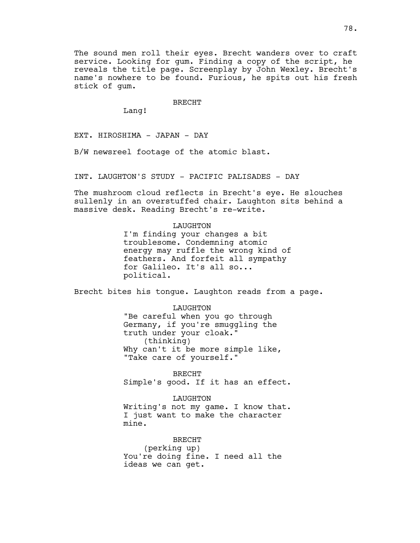The sound men roll their eyes. Brecht wanders over to craft service. Looking for gum. Finding a copy of the script, he reveals the title page. Screenplay by John Wexley. Brecht's name's nowhere to be found. Furious, he spits out his fresh stick of gum.

BRECHT

Lang!

EXT. HIROSHIMA - JAPAN - DAY

B/W newsreel footage of the atomic blast.

INT. LAUGHTON'S STUDY - PACIFIC PALISADES - DAY

The mushroom cloud reflects in Brecht's eye. He slouches sullenly in an overstuffed chair. Laughton sits behind a massive desk. Reading Brecht's re-write.

## LAUGHTON

I'm finding your changes a bit troublesome. Condemning atomic energy may ruffle the wrong kind of feathers. And forfeit all sympathy for Galileo. It's all so... political.

Brecht bites his tongue. Laughton reads from a page.

## LAUGHTON

"Be careful when you go through Germany, if you're smuggling the truth under your cloak." (thinking) Why can't it be more simple like, "Take care of yourself."

BRECHT Simple's good. If it has an effect.

LAUGHTON

Writing's not my game. I know that. I just want to make the character mine.

BRECHT (perking up) You're doing fine. I need all the ideas we can get.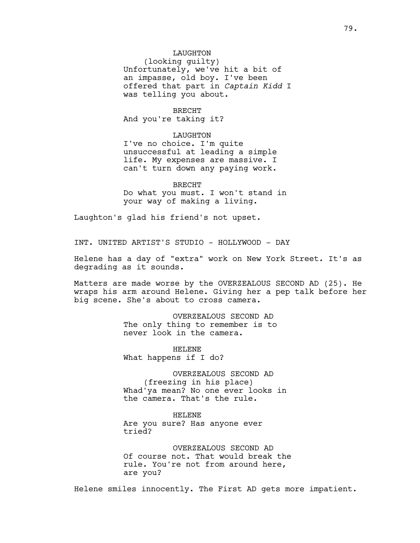LAUGHTON (looking guilty) Unfortunately, we've hit a bit of an impasse, old boy. I've been offered that part in *Captain Kidd* I was telling you about.

## BRECHT

And you're taking it?

## LAUGHTON

I've no choice. I'm quite unsuccessful at leading a simple life. My expenses are massive. I can't turn down any paying work.

BRECHT Do what you must. I won't stand in your way of making a living.

Laughton's glad his friend's not upset.

INT. UNITED ARTIST'S STUDIO - HOLLYWOOD - DAY

Helene has a day of "extra" work on New York Street. It's as degrading as it sounds.

Matters are made worse by the OVERZEALOUS SECOND AD (25). He wraps his arm around Helene. Giving her a pep talk before her big scene. She's about to cross camera.

> OVERZEALOUS SECOND AD The only thing to remember is to never look in the camera.

HELENE What happens if I do?

OVERZEALOUS SECOND AD (freezing in his place) Whad'ya mean? No one ever looks in the camera. That's the rule.

HELENE Are you sure? Has anyone ever tried?

OVERZEALOUS SECOND AD Of course not. That would break the rule. You're not from around here, are you?

Helene smiles innocently. The First AD gets more impatient.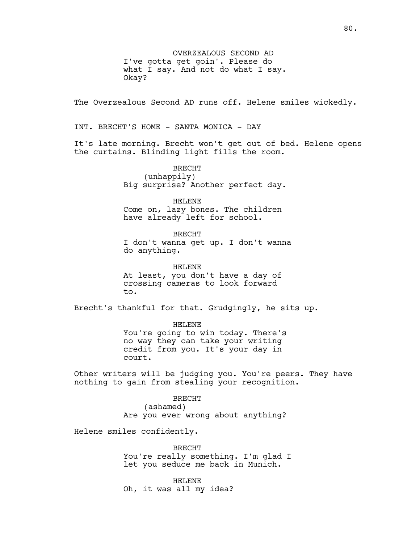OVERZEALOUS SECOND AD I've gotta get goin'. Please do what I say. And not do what I say. Okay?

The Overzealous Second AD runs off. Helene smiles wickedly.

INT. BRECHT'S HOME - SANTA MONICA - DAY

It's late morning. Brecht won't get out of bed. Helene opens the curtains. Blinding light fills the room.

> BRECHT (unhappily) Big surprise? Another perfect day.

> > HELENE

Come on, lazy bones. The children have already left for school.

BRECHT I don't wanna get up. I don't wanna do anything.

HELENE At least, you don't have a day of crossing cameras to look forward to.

Brecht's thankful for that. Grudgingly, he sits up.

HELENE You're going to win today. There's no way they can take your writing credit from you. It's your day in court.

Other writers will be judging you. You're peers. They have nothing to gain from stealing your recognition.

> BRECHT (ashamed) Are you ever wrong about anything?

Helene smiles confidently.

BRECHT You're really something. I'm glad I let you seduce me back in Munich.

HELENE Oh, it was all my idea?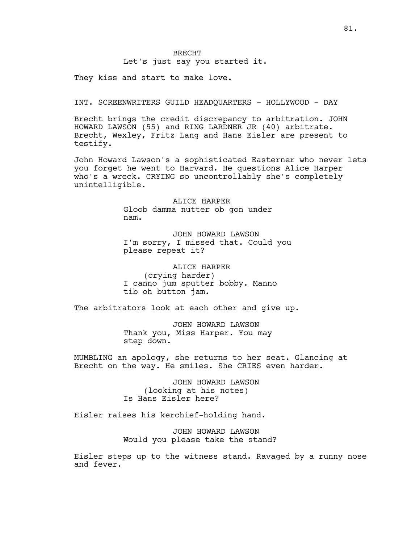Let's just say you started it.

They kiss and start to make love.

INT. SCREENWRITERS GUILD HEADQUARTERS - HOLLYWOOD - DAY

Brecht brings the credit discrepancy to arbitration. JOHN HOWARD LAWSON (55) and RING LARDNER JR (40) arbitrate. Brecht, Wexley, Fritz Lang and Hans Eisler are present to testify.

John Howard Lawson's a sophisticated Easterner who never lets you forget he went to Harvard. He questions Alice Harper who's a wreck. CRYING so uncontrollably she's completely unintelligible.

> ALICE HARPER Gloob damma nutter ob gon under nam.

JOHN HOWARD LAWSON I'm sorry, I missed that. Could you please repeat it?

ALICE HARPER (crying harder) I canno jum sputter bobby. Manno tib oh button jam.

The arbitrators look at each other and give up.

JOHN HOWARD LAWSON Thank you, Miss Harper. You may step down.

MUMBLING an apology, she returns to her seat. Glancing at Brecht on the way. He smiles. She CRIES even harder.

> JOHN HOWARD LAWSON (looking at his notes) Is Hans Eisler here?

Eisler raises his kerchief-holding hand.

JOHN HOWARD LAWSON Would you please take the stand?

Eisler steps up to the witness stand. Ravaged by a runny nose and fever.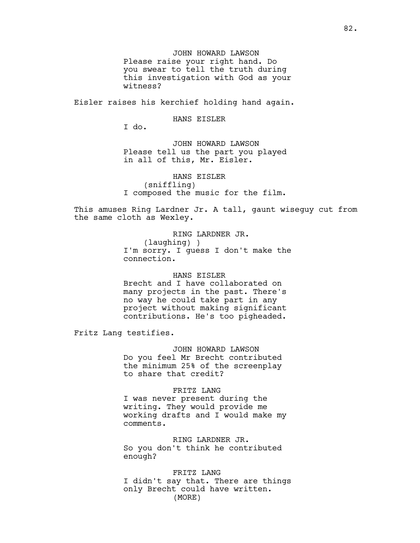JOHN HOWARD LAWSON Please raise your right hand. Do you swear to tell the truth during this investigation with God as your witness?

Eisler raises his kerchief holding hand again.

HANS EISLER

I do.

JOHN HOWARD LAWSON Please tell us the part you played in all of this, Mr. Eisler.

HANS EISLER (sniffling) I composed the music for the film.

This amuses Ring Lardner Jr. A tall, gaunt wiseguy cut from the same cloth as Wexley.

> RING LARDNER JR. (laughing) ) I'm sorry. I guess I don't make the connection.

## HANS EISLER

Brecht and I have collaborated on many projects in the past. There's no way he could take part in any project without making significant contributions. He's too pigheaded.

Fritz Lang testifies.

JOHN HOWARD LAWSON Do you feel Mr Brecht contributed the minimum 25% of the screenplay to share that credit?

# FRITZ LANG

I was never present during the writing. They would provide me working drafts and I would make my comments.

RING LARDNER JR. So you don't think he contributed enough?

FRITZ LANG I didn't say that. There are things only Brecht could have written. (MORE)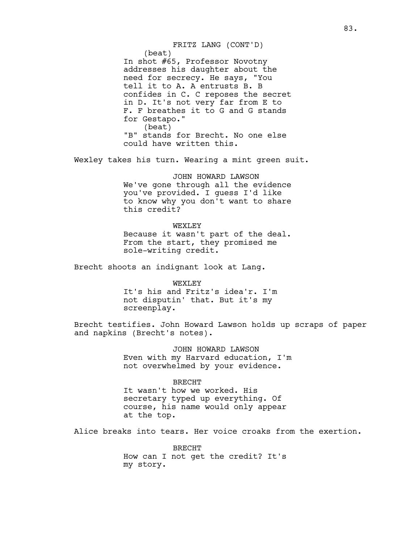(beat) In shot #65, Professor Novotny addresses his daughter about the need for secrecy. He says, "You tell it to A. A entrusts B. B confides in C. C reposes the secret in D. It's not very far from E to F. F breathes it to G and G stands for Gestapo." (beat) "B" stands for Brecht. No one else could have written this. FRITZ LANG (CONT'D)

Wexley takes his turn. Wearing a mint green suit.

JOHN HOWARD LAWSON We've gone through all the evidence you've provided. I guess I'd like to know why you don't want to share this credit?

WEXLEY Because it wasn't part of the deal. From the start, they promised me sole-writing credit.

Brecht shoots an indignant look at Lang.

WEXLEY It's his and Fritz's idea'r. I'm not disputin' that. But it's my screenplay.

Brecht testifies. John Howard Lawson holds up scraps of paper and napkins (Brecht's notes).

> JOHN HOWARD LAWSON Even with my Harvard education, I'm not overwhelmed by your evidence.

## BRECHT

It wasn't how we worked. His secretary typed up everything. Of course, his name would only appear at the top.

Alice breaks into tears. Her voice croaks from the exertion.

BRECHT How can I not get the credit? It's my story.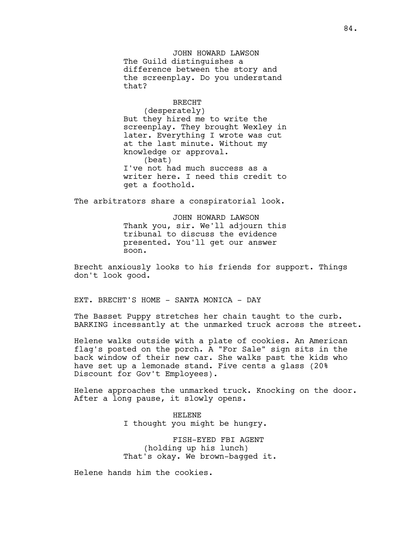JOHN HOWARD LAWSON The Guild distinguishes a difference between the story and the screenplay. Do you understand that?

## BRECHT

(desperately) But they hired me to write the screenplay. They brought Wexley in later. Everything I wrote was cut at the last minute. Without my knowledge or approval. (beat) I've not had much success as a writer here. I need this credit to get a foothold.

The arbitrators share a conspiratorial look.

JOHN HOWARD LAWSON Thank you, sir. We'll adjourn this tribunal to discuss the evidence presented. You'll get our answer soon.

Brecht anxiously looks to his friends for support. Things don't look good.

EXT. BRECHT'S HOME - SANTA MONICA - DAY

The Basset Puppy stretches her chain taught to the curb. BARKING incessantly at the unmarked truck across the street.

Helene walks outside with a plate of cookies. An American flag's posted on the porch. A "For Sale" sign sits in the back window of their new car. She walks past the kids who have set up a lemonade stand. Five cents a glass (20% Discount for Gov't Employees).

Helene approaches the unmarked truck. Knocking on the door. After a long pause, it slowly opens.

> HELENE I thought you might be hungry.

FISH-EYED FBI AGENT (holding up his lunch) That's okay. We brown-bagged it.

Helene hands him the cookies.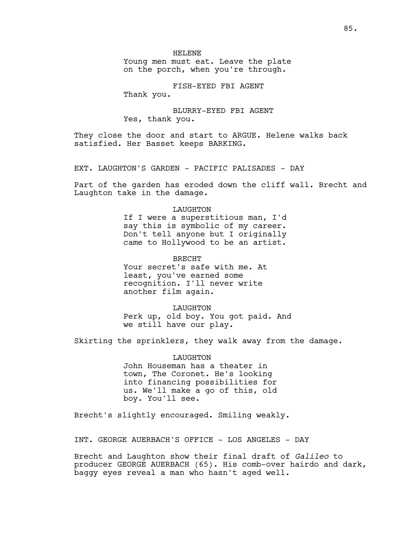HELENE

Young men must eat. Leave the plate on the porch, when you're through.

FISH-EYED FBI AGENT

Thank you.

BLURRY-EYED FBI AGENT Yes, thank you.

They close the door and start to ARGUE. Helene walks back satisfied. Her Basset keeps BARKING.

EXT. LAUGHTON'S GARDEN - PACIFIC PALISADES - DAY

Part of the garden has eroded down the cliff wall. Brecht and Laughton take in the damage.

# LAUGHTON If I were a superstitious man, I'd say this is symbolic of my career. Don't tell anyone but I originally came to Hollywood to be an artist.

BRECHT Your secret's safe with me. At least, you've earned some recognition. I'll never write another film again.

LAUGHTON Perk up, old boy. You got paid. And we still have our play.

Skirting the sprinklers, they walk away from the damage.

LAUGHTON John Houseman has a theater in town, The Coronet. He's looking into financing possibilities for us. We'll make a go of this, old boy. You'll see.

Brecht's slightly encouraged. Smiling weakly.

INT. GEORGE AUERBACH'S OFFICE - LOS ANGELES - DAY

Brecht and Laughton show their final draft of *Galileo* to producer GEORGE AUERBACH (65). His comb-over hairdo and dark, baggy eyes reveal a man who hasn't aged well.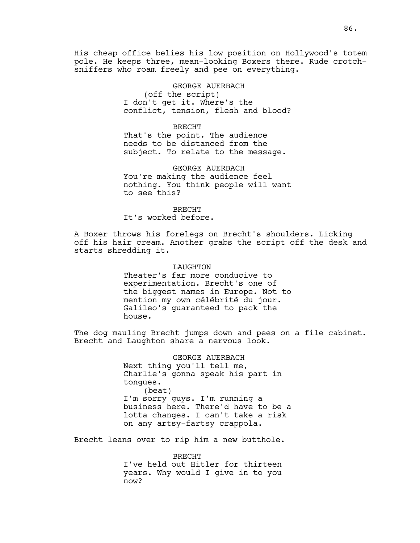His cheap office belies his low position on Hollywood's totem pole. He keeps three, mean-looking Boxers there. Rude crotchsniffers who roam freely and pee on everything.

> GEORGE AUERBACH (off the script) I don't get it. Where's the conflict, tension, flesh and blood?

#### BRECHT

That's the point. The audience needs to be distanced from the subject. To relate to the message.

GEORGE AUERBACH You're making the audience feel nothing. You think people will want to see this?

BRECHT It's worked before.

A Boxer throws his forelegs on Brecht's shoulders. Licking off his hair cream. Another grabs the script off the desk and starts shredding it.

# LAUGHTON

Theater's far more conducive to experimentation. Brecht's one of the biggest names in Europe. Not to mention my own célébrité du jour. Galileo's guaranteed to pack the house.

The dog mauling Brecht jumps down and pees on a file cabinet. Brecht and Laughton share a nervous look.

> GEORGE AUERBACH Next thing you'll tell me, Charlie's gonna speak his part in tongues. (beat) I'm sorry guys. I'm running a business here. There'd have to be a lotta changes. I can't take a risk on any artsy-fartsy crappola.

Brecht leans over to rip him a new butthole.

BRECHT I've held out Hitler for thirteen years. Why would I give in to you now?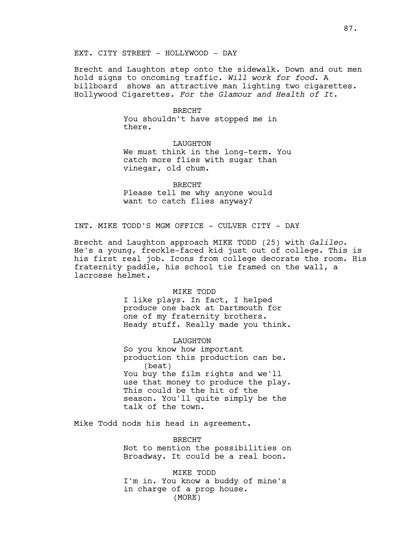EXT. CITY STREET - HOLLYWOOD - DAY

Brecht and Laughton step onto the sidewalk. Down and out men hold signs to oncoming traffic. *Will work for food*. A billboard shows an attractive man lighting two cigarettes. Hollywood Cigarettes. *For the Glamour and Health of It*.

#### BRECHT

You shouldn't have stopped me in there.

LAUGHTON We must think in the long-term. You catch more flies with sugar than vinegar, old chum.

BRECHT Please tell me why anyone would want to catch flies anyway?

# INT. MIKE TODD'S MGM OFFICE - CULVER CITY - DAY

Brecht and Laughton approach MIKE TODD (25) with *Galileo*. He's a young, freckle-faced kid just out of college. This is his first real job. Icons from college decorate the room. His fraternity paddle, his school tie framed on the wall, a lacrosse helmet.

#### MIKE TODD

I like plays. In fact, I helped produce one back at Dartmouth for one of my fraternity brothers. Heady stuff. Really made you think.

## LAUGHTON

So you know how important production this production can be. (beat) You buy the film rights and we'll use that money to produce the play. This could be the hit of the season. You'll quite simply be the talk of the town.

Mike Todd nods his head in agreement.

BRECHT Not to mention the possibilities on Broadway. It could be a real boon.

MIKE TODD I'm in. You know a buddy of mine's in charge of a prop house. (MORE)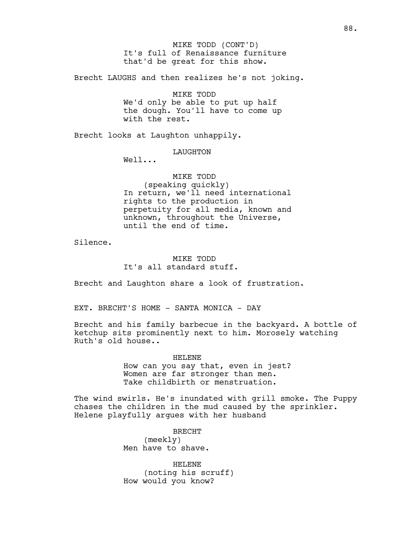It's full of Renaissance furniture that'd be great for this show. MIKE TODD (CONT'D)

Brecht LAUGHS and then realizes he's not joking.

MIKE TODD We'd only be able to put up half the dough. You'll have to come up with the rest.

Brecht looks at Laughton unhappily.

LAUGHTON

Well...

MIKE TODD (speaking quickly) In return, we'll need international rights to the production in perpetuity for all media, known and unknown, throughout the Universe, until the end of time.

Silence.

MIKE TODD It's all standard stuff.

Brecht and Laughton share a look of frustration.

EXT. BRECHT'S HOME - SANTA MONICA - DAY

Brecht and his family barbecue in the backyard. A bottle of ketchup sits prominently next to him. Morosely watching Ruth's old house..

> HELENE How can you say that, even in jest? Women are far stronger than men. Take childbirth or menstruation.

The wind swirls. He's inundated with grill smoke. The Puppy chases the children in the mud caused by the sprinkler. Helene playfully argues with her husband

> BRECHT (meekly) Men have to shave.

HELENE (noting his scruff) How would you know?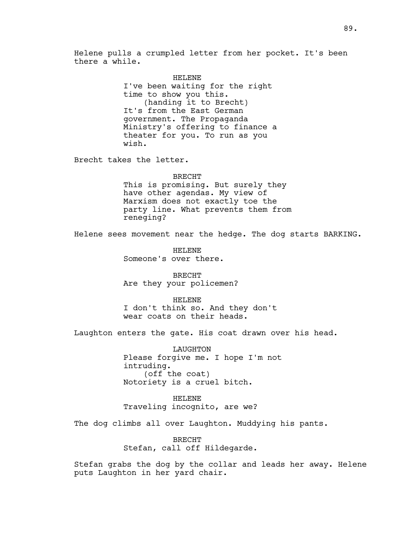Helene pulls a crumpled letter from her pocket. It's been there a while.

> HELENE I've been waiting for the right time to show you this. (handing it to Brecht) It's from the East German government. The Propaganda Ministry's offering to finance a theater for you. To run as you wish.

Brecht takes the letter.

BRECHT This is promising. But surely they have other agendas. My view of Marxism does not exactly toe the party line. What prevents them from reneging?

Helene sees movement near the hedge. The dog starts BARKING.

HELENE Someone's over there.

BRECHT Are they your policemen?

HELENE I don't think so. And they don't wear coats on their heads.

Laughton enters the gate. His coat drawn over his head.

LAUGHTON Please forgive me. I hope I'm not intruding. (off the coat) Notoriety is a cruel bitch.

HELENE Traveling incognito, are we?

The dog climbs all over Laughton. Muddying his pants.

BRECHT Stefan, call off Hildegarde.

Stefan grabs the dog by the collar and leads her away. Helene puts Laughton in her yard chair.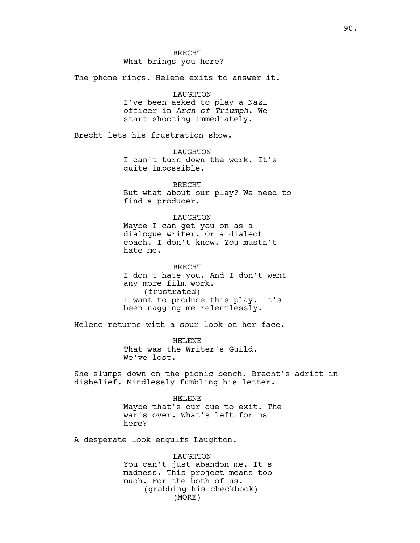The phone rings. Helene exits to answer it.

#### LAUGHTON

I've been asked to play a Nazi officer in *Arch of Triumph*. We start shooting immediately.

Brecht lets his frustration show.

LAUGHTON I can't turn down the work. It's quite impossible.

BRECHT But what about our play? We need to find a producer.

#### LAUGHTON

Maybe I can get you on as a dialogue writer. Or a dialect coach. I don't know. You mustn't hate me.

BRECHT I don't hate you. And I don't want any more film work. (frustrated) I want to produce this play. It's been nagging me relentlessly.

Helene returns with a sour look on her face.

HELENE That was the Writer's Guild. We've lost.

She slumps down on the picnic bench. Brecht's adrift in disbelief. Mindlessly fumbling his letter.

> HELENE Maybe that's our cue to exit. The war's over. What's left for us here?

A desperate look engulfs Laughton.

LAUGHTON You can't just abandon me. It's madness. This project means too much. For the both of us. (grabbing his checkbook) (MORE)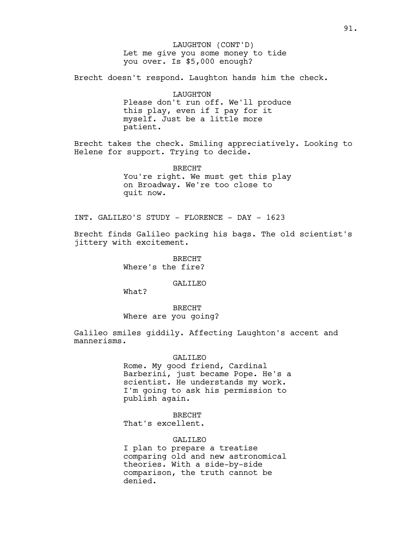Let me give you some money to tide you over. Is \$5,000 enough? LAUGHTON (CONT'D)

Brecht doesn't respond. Laughton hands him the check.

LAUGHTON Please don't run off. We'll produce this play, even if I pay for it myself. Just be a little more patient.

Brecht takes the check. Smiling appreciatively. Looking to Helene for support. Trying to decide.

> BRECHT You're right. We must get this play on Broadway. We're too close to quit now.

INT. GALILEO'S STUDY - FLORENCE - DAY - 1623

Brecht finds Galileo packing his bags. The old scientist's jittery with excitement.

> BRECHT Where's the fire?

> > GALILEO

What?

BRECHT Where are you going?

Galileo smiles giddily. Affecting Laughton's accent and mannerisms.

## GALILEO

Rome. My good friend, Cardinal Barberini, just became Pope. He's a scientist. He understands my work. I'm going to ask his permission to publish again.

BRECHT That's excellent.

## GALILEO

I plan to prepare a treatise comparing old and new astronomical theories. With a side-by-side comparison, the truth cannot be denied.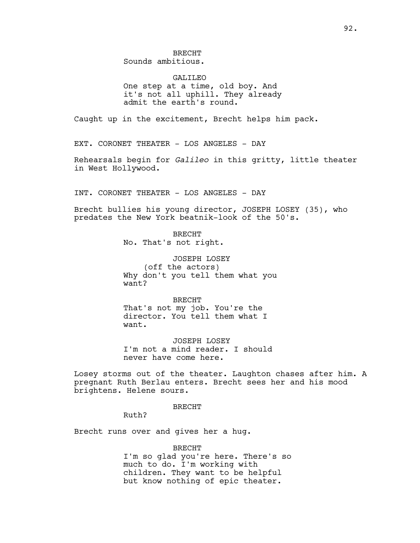GALILEO One step at a time, old boy. And it's not all uphill. They already admit the earth's round.

Caught up in the excitement, Brecht helps him pack.

EXT. CORONET THEATER - LOS ANGELES - DAY

Rehearsals begin for *Galileo* in this gritty, little theater in West Hollywood.

INT. CORONET THEATER - LOS ANGELES - DAY

Brecht bullies his young director, JOSEPH LOSEY (35), who predates the New York beatnik-look of the 50's.

> BRECHT No. That's not right.

JOSEPH LOSEY (off the actors) Why don't you tell them what you want?

BRECHT That's not my job. You're the director. You tell them what I want.

JOSEPH LOSEY I'm not a mind reader. I should never have come here.

Losey storms out of the theater. Laughton chases after him. A pregnant Ruth Berlau enters. Brecht sees her and his mood brightens. Helene sours.

BRECHT

Ruth?

Brecht runs over and gives her a hug.

BRECHT I'm so glad you're here. There's so much to do. I'm working with children. They want to be helpful but know nothing of epic theater.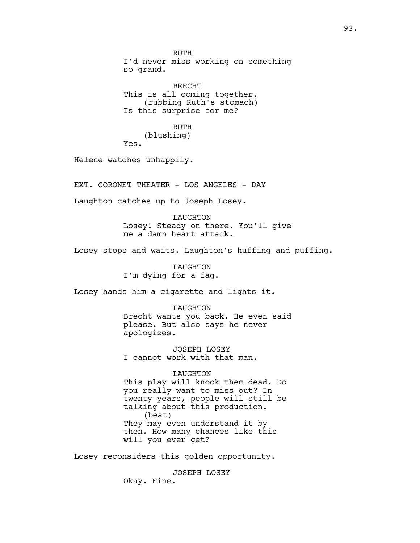RUTH I'd never miss working on something so grand.

BRECHT This is all coming together. (rubbing Ruth's stomach) Is this surprise for me?

RUTH (blushing) Yes.

Helene watches unhappily.

EXT. CORONET THEATER - LOS ANGELES - DAY

Laughton catches up to Joseph Losey.

LAUGHTON Losey! Steady on there. You'll give me a damn heart attack.

Losey stops and waits. Laughton's huffing and puffing.

LAUGHTON I'm dying for a fag.

Losey hands him a cigarette and lights it.

LAUGHTON Brecht wants you back. He even said please. But also says he never apologizes.

JOSEPH LOSEY I cannot work with that man.

## LAUGHTON

This play will knock them dead. Do you really want to miss out? In twenty years, people will still be talking about this production. (beat) They may even understand it by then. How many chances like this will you ever get?

Losey reconsiders this golden opportunity.

JOSEPH LOSEY Okay. Fine.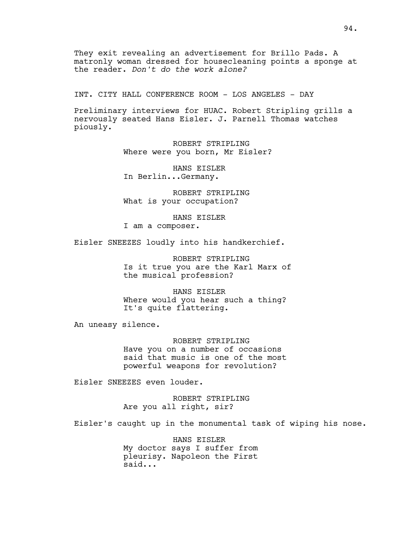They exit revealing an advertisement for Brillo Pads. A matronly woman dressed for housecleaning points a sponge at the reader. *Don't do the work alone?*

INT. CITY HALL CONFERENCE ROOM - LOS ANGELES - DAY

Preliminary interviews for HUAC. Robert Stripling grills a nervously seated Hans Eisler. J. Parnell Thomas watches piously.

> ROBERT STRIPLING Where were you born, Mr Eisler?

HANS EISLER In Berlin...Germany.

ROBERT STRIPLING What is your occupation?

HANS EISLER I am a composer.

Eisler SNEEZES loudly into his handkerchief.

ROBERT STRIPLING Is it true you are the Karl Marx of the musical profession?

HANS EISLER Where would you hear such a thing? It's quite flattering.

An uneasy silence.

ROBERT STRIPLING Have you on a number of occasions said that music is one of the most powerful weapons for revolution?

Eisler SNEEZES even louder.

ROBERT STRIPLING Are you all right, sir?

Eisler's caught up in the monumental task of wiping his nose.

HANS EISLER My doctor says I suffer from pleurisy. Napoleon the First said...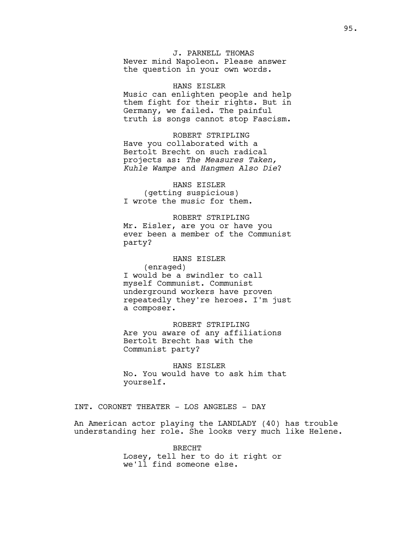J. PARNELL THOMAS Never mind Napoleon. Please answer the question in your own words.

HANS EISLER Music can enlighten people and help them fight for their rights. But in Germany, we failed. The painful truth is songs cannot stop Fascism.

ROBERT STRIPLING Have you collaborated with a Bertolt Brecht on such radical projects as: *The Measures Taken, Kuhle Wampe* and *Hangmen Also Die*?

HANS EISLER (getting suspicious) I wrote the music for them.

ROBERT STRIPLING Mr. Eisler, are you or have you ever been a member of the Communist party?

HANS EISLER (enraged) I would be a swindler to call myself Communist. Communist underground workers have proven repeatedly they're heroes. I'm just a composer.

ROBERT STRIPLING Are you aware of any affiliations Bertolt Brecht has with the Communist party?

HANS EISLER No. You would have to ask him that yourself.

INT. CORONET THEATER - LOS ANGELES - DAY

An American actor playing the LANDLADY (40) has trouble understanding her role. She looks very much like Helene.

> BRECHT Losey, tell her to do it right or we'll find someone else.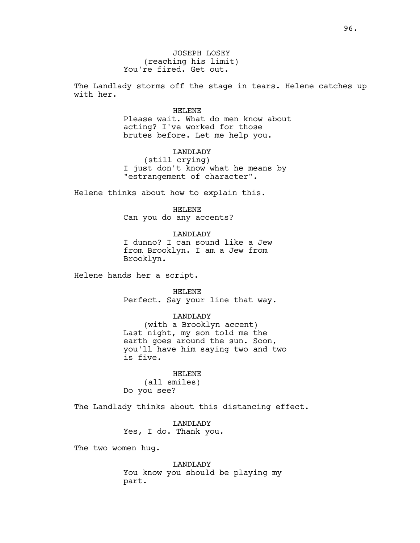JOSEPH LOSEY (reaching his limit) You're fired. Get out.

The Landlady storms off the stage in tears. Helene catches up with her.

#### HELENE

Please wait. What do men know about acting? I've worked for those brutes before. Let me help you.

LANDLADY (still crying) I just don't know what he means by "estrangement of character".

Helene thinks about how to explain this.

HELENE Can you do any accents?

LANDLADY I dunno? I can sound like a Jew from Brooklyn. I am a Jew from Brooklyn.

Helene hands her a script.

HELENE Perfect. Say your line that way.

LANDLADY

(with a Brooklyn accent) Last night, my son told me the earth goes around the sun. Soon, you'll have him saying two and two is five.

HELENE (all smiles) Do you see?

The Landlady thinks about this distancing effect.

LANDLADY Yes, I do. Thank you.

The two women hug.

LANDLADY You know you should be playing my part.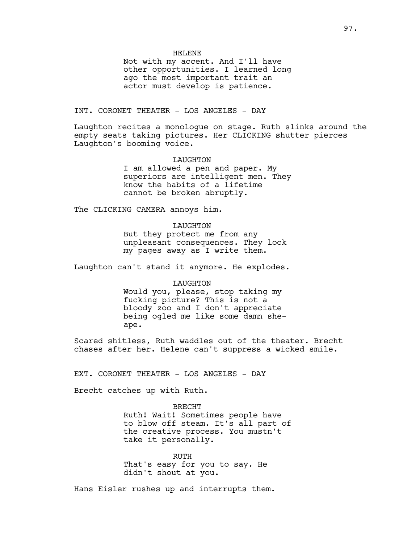Not with my accent. And I'll have other opportunities. I learned long ago the most important trait an actor must develop is patience.

## INT. CORONET THEATER - LOS ANGELES - DAY

Laughton recites a monologue on stage. Ruth slinks around the empty seats taking pictures. Her CLICKING shutter pierces Laughton's booming voice.

> LAUGHTON I am allowed a pen and paper. My superiors are intelligent men. They know the habits of a lifetime cannot be broken abruptly.

The CLICKING CAMERA annoys him.

## LAUGHTON

But they protect me from any unpleasant consequences. They lock my pages away as I write them.

Laughton can't stand it anymore. He explodes.

## LAUGHTON

Would you, please, stop taking my fucking picture? This is not a bloody zoo and I don't appreciate being ogled me like some damn sheape.

Scared shitless, Ruth waddles out of the theater. Brecht chases after her. Helene can't suppress a wicked smile.

EXT. CORONET THEATER - LOS ANGELES - DAY

Brecht catches up with Ruth.

BRECHT Ruth! Wait! Sometimes people have to blow off steam. It's all part of the creative process. You mustn't take it personally.

RUTH That's easy for you to say. He didn't shout at you.

Hans Eisler rushes up and interrupts them.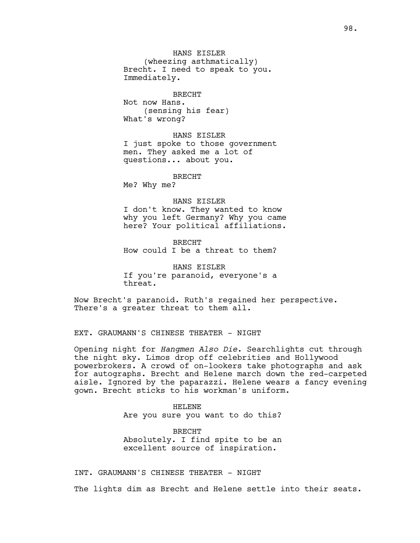HANS EISLER (wheezing asthmatically) Brecht. I need to speak to you. Immediately.

BRECHT Not now Hans. (sensing his fear) What's wrong?

HANS EISLER I just spoke to those government men. They asked me a lot of questions... about you.

BRECHT

Me? Why me?

#### HANS EISLER

I don't know. They wanted to know why you left Germany? Why you came here? Your political affiliations.

BRECHT How could I be a threat to them?

HANS EISLER If you're paranoid, everyone's a threat.

Now Brecht's paranoid. Ruth's regained her perspective. There's a greater threat to them all.

EXT. GRAUMANN'S CHINESE THEATER - NIGHT

Opening night for *Hangmen Also Die*. Searchlights cut through the night sky. Limos drop off celebrities and Hollywood powerbrokers. A crowd of on-lookers take photographs and ask for autographs. Brecht and Helene march down the red-carpeted aisle. Ignored by the paparazzi. Helene wears a fancy evening gown. Brecht sticks to his workman's uniform.

> HELENE Are you sure you want to do this?

> BRECHT Absolutely. I find spite to be an excellent source of inspiration.

INT. GRAUMANN'S CHINESE THEATER - NIGHT

The lights dim as Brecht and Helene settle into their seats.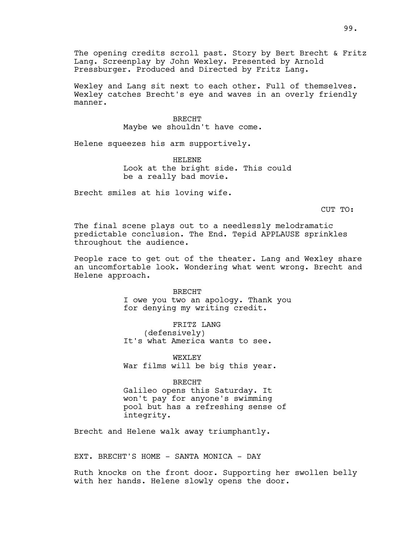The opening credits scroll past. Story by Bert Brecht & Fritz Lang. Screenplay by John Wexley. Presented by Arnold Pressburger. Produced and Directed by Fritz Lang.

Wexley and Lang sit next to each other. Full of themselves. Wexley catches Brecht's eye and waves in an overly friendly manner.

## BRECHT

Maybe we shouldn't have come.

Helene squeezes his arm supportively.

HELENE Look at the bright side. This could be a really bad movie.

Brecht smiles at his loving wife.

CUT TO:

The final scene plays out to a needlessly melodramatic predictable conclusion. The End. Tepid APPLAUSE sprinkles throughout the audience.

People race to get out of the theater. Lang and Wexley share an uncomfortable look. Wondering what went wrong. Brecht and Helene approach.

> BRECHT I owe you two an apology. Thank you for denying my writing credit.

FRITZ LANG (defensively) It's what America wants to see.

WEXT.EY War films will be big this year.

BRECHT Galileo opens this Saturday. It won't pay for anyone's swimming pool but has a refreshing sense of integrity.

Brecht and Helene walk away triumphantly.

EXT. BRECHT'S HOME - SANTA MONICA - DAY

Ruth knocks on the front door. Supporting her swollen belly with her hands. Helene slowly opens the door.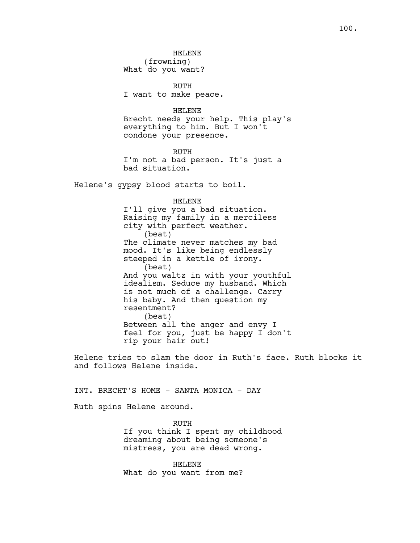RUTH I want to make peace.

## HELENE

Brecht needs your help. This play's everything to him. But I won't condone your presence.

RUTH I'm not a bad person. It's just a bad situation.

Helene's gypsy blood starts to boil.

#### HELENE

I'll give you a bad situation. Raising my family in a merciless city with perfect weather. (beat) The climate never matches my bad mood. It's like being endlessly steeped in a kettle of irony. (beat) And you waltz in with your youthful idealism. Seduce my husband. Which is not much of a challenge. Carry his baby. And then question my resentment? (beat) Between all the anger and envy I feel for you, just be happy I don't rip your hair out!

Helene tries to slam the door in Ruth's face. Ruth blocks it and follows Helene inside.

# INT. BRECHT'S HOME - SANTA MONICA - DAY

Ruth spins Helene around.

RUTH If you think I spent my childhood dreaming about being someone's mistress, you are dead wrong.

HELENE What do you want from me?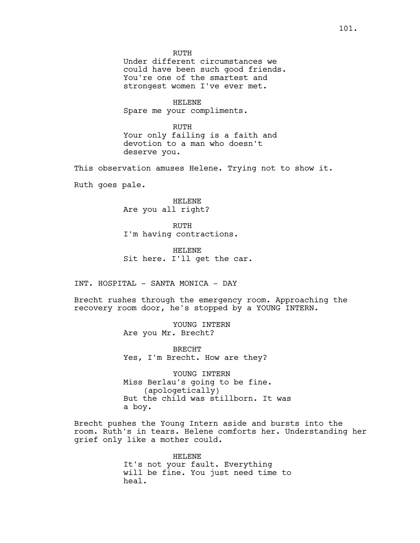RUTH Under different circumstances we could have been such good friends. You're one of the smartest and strongest women I've ever met.

HELENE Spare me your compliments.

RUTH Your only failing is a faith and devotion to a man who doesn't deserve you.

This observation amuses Helene. Trying not to show it.

Ruth goes pale.

HELENE Are you all right?

RUTH I'm having contractions.

HELENE Sit here. I'll get the car.

INT. HOSPITAL - SANTA MONICA - DAY

Brecht rushes through the emergency room. Approaching the recovery room door, he's stopped by a YOUNG INTERN.

> YOUNG INTERN Are you Mr. Brecht?

BRECHT Yes, I'm Brecht. How are they?

YOUNG INTERN Miss Berlau's going to be fine. (apologetically) But the child was stillborn. It was a boy.

Brecht pushes the Young Intern aside and bursts into the room. Ruth's in tears. Helene comforts her. Understanding her grief only like a mother could.

> HELENE It's not your fault. Everything will be fine. You just need time to heal.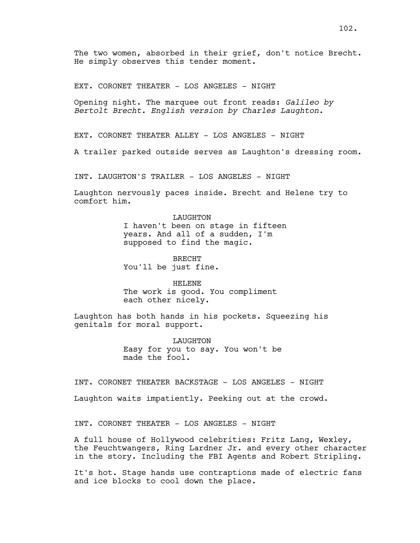The two women, absorbed in their grief, don't notice Brecht. He simply observes this tender moment.

EXT. CORONET THEATER - LOS ANGELES - NIGHT

Opening night. The marquee out front reads: *Galileo by Bertolt Brecht. English version by Charles Laughton.*

EXT. CORONET THEATER ALLEY - LOS ANGELES - NIGHT

A trailer parked outside serves as Laughton's dressing room.

INT. LAUGHTON'S TRAILER - LOS ANGELES - NIGHT

Laughton nervously paces inside. Brecht and Helene try to comfort him.

# LAUGHTON I haven't been on stage in fifteen

years. And all of a sudden, I'm supposed to find the magic.

BRECHT You'll be just fine.

HELENE The work is good. You compliment each other nicely.

Laughton has both hands in his pockets. Squeezing his genitals for moral support.

> LAUGHTON Easy for you to say. You won't be made the fool.

INT. CORONET THEATER BACKSTAGE - LOS ANGELES - NIGHT

Laughton waits impatiently. Peeking out at the crowd.

INT. CORONET THEATER - LOS ANGELES - NIGHT

A full house of Hollywood celebrities: Fritz Lang, Wexley, the Feuchtwangers, Ring Lardner Jr. and every other character in the story. Including the FBI Agents and Robert Stripling.

It's hot. Stage hands use contraptions made of electric fans and ice blocks to cool down the place.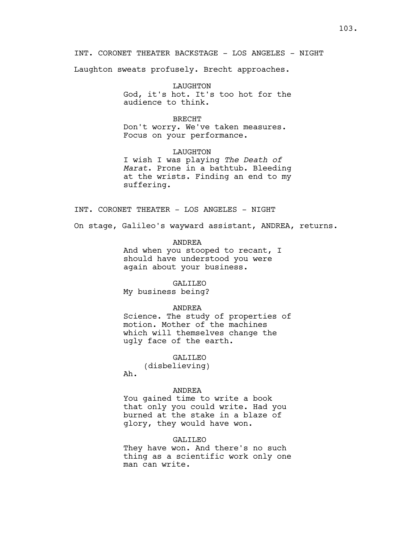INT. CORONET THEATER BACKSTAGE - LOS ANGELES - NIGHT

Laughton sweats profusely. Brecht approaches.

LAUGHTON God, it's hot. It's too hot for the audience to think.

## BRECHT

Don't worry. We've taken measures. Focus on your performance.

LAUGHTON I wish I was playing *The Death of Marat*. Prone in a bathtub. Bleeding at the wrists. Finding an end to my suffering.

INT. CORONET THEATER - LOS ANGELES - NIGHT

On stage, Galileo's wayward assistant, ANDREA, returns.

#### ANDREA

And when you stooped to recant, I should have understood you were again about your business.

#### GALILEO

My business being?

## ANDREA

Science. The study of properties of motion. Mother of the machines which will themselves change the ugly face of the earth.

# GALILEO

(disbelieving) Ah.

#### ANDREA

You gained time to write a book that only you could write. Had you burned at the stake in a blaze of glory, they would have won.

## GALILEO

They have won. And there's no such thing as a scientific work only one man can write.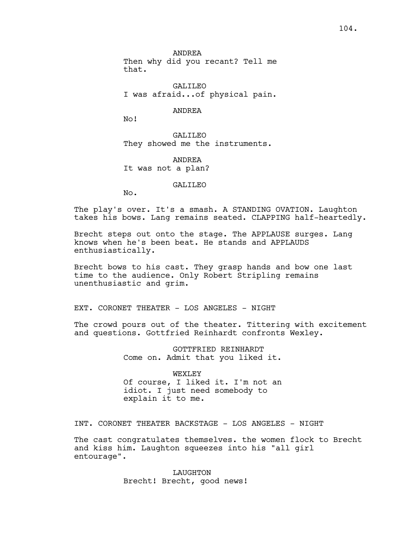ANDREA Then why did you recant? Tell me that.

GALILEO I was afraid...of physical pain.

ANDREA

No!

GALILEO They showed me the instruments.

ANDREA It was not a plan?

GALILEO

No.

The play's over. It's a smash. A STANDING OVATION. Laughton takes his bows. Lang remains seated. CLAPPING half-heartedly.

Brecht steps out onto the stage. The APPLAUSE surges. Lang knows when he's been beat. He stands and APPLAUDS enthusiastically.

Brecht bows to his cast. They grasp hands and bow one last time to the audience. Only Robert Stripling remains unenthusiastic and grim.

EXT. CORONET THEATER - LOS ANGELES - NIGHT

The crowd pours out of the theater. Tittering with excitement and questions. Gottfried Reinhardt confronts Wexley.

> GOTTFRIED REINHARDT Come on. Admit that you liked it.

> WEXLEY Of course, I liked it. I'm not an idiot. I just need somebody to explain it to me.

INT. CORONET THEATER BACKSTAGE - LOS ANGELES - NIGHT

The cast congratulates themselves. the women flock to Brecht and kiss him. Laughton squeezes into his "all girl entourage".

> LAUGHTON Brecht! Brecht, good news!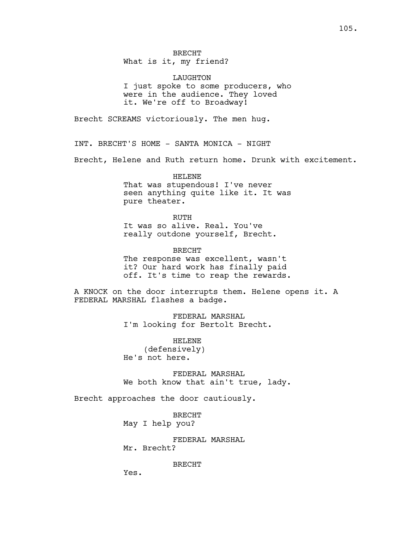LAUGHTON I just spoke to some producers, who were in the audience. They loved it. We're off to Broadway!

Brecht SCREAMS victoriously. The men hug.

INT. BRECHT'S HOME - SANTA MONICA - NIGHT

Brecht, Helene and Ruth return home. Drunk with excitement.

HELENE That was stupendous! I've never seen anything quite like it. It was pure theater.

RUTH It was so alive. Real. You've really outdone yourself, Brecht.

BRECHT The response was excellent, wasn't it? Our hard work has finally paid off. It's time to reap the rewards.

A KNOCK on the door interrupts them. Helene opens it. A FEDERAL MARSHAL flashes a badge.

> FEDERAL MARSHAL I'm looking for Bertolt Brecht.

HELENE (defensively) He's not here.

FEDERAL MARSHAL We both know that ain't true, lady.

Brecht approaches the door cautiously.

BRECHT May I help you?

FEDERAL MARSHAL Mr. Brecht?

BRECHT

Yes.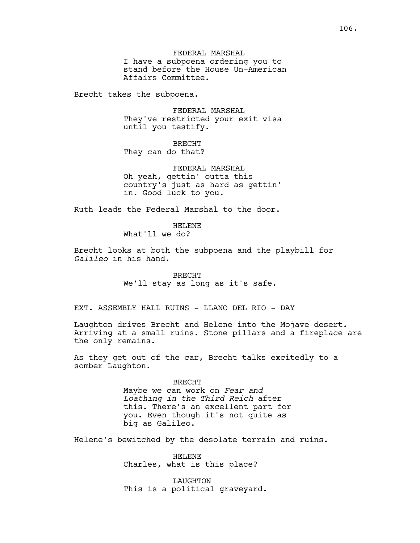FEDERAL MARSHAL I have a subpoena ordering you to stand before the House Un-American Affairs Committee.

Brecht takes the subpoena.

FEDERAL MARSHAL They've restricted your exit visa until you testify.

BRECHT They can do that?

FEDERAL MARSHAL Oh yeah, gettin' outta this country's just as hard as gettin' in. Good luck to you.

Ruth leads the Federal Marshal to the door.

HELENE What'll we do?

Brecht looks at both the subpoena and the playbill for *Galileo* in his hand.

> BRECHT We'll stay as long as it's safe.

EXT. ASSEMBLY HALL RUINS - LLANO DEL RIO - DAY

Laughton drives Brecht and Helene into the Mojave desert. Arriving at a small ruins. Stone pillars and a fireplace are the only remains.

As they get out of the car, Brecht talks excitedly to a somber Laughton.

BRECHT

Maybe we can work on *Fear and Loathing in the Third Reich* after this. There's an excellent part for you. Even though it's not quite as big as Galileo.

Helene's bewitched by the desolate terrain and ruins.

HELENE Charles, what is this place?

LAUGHTON This is a political graveyard.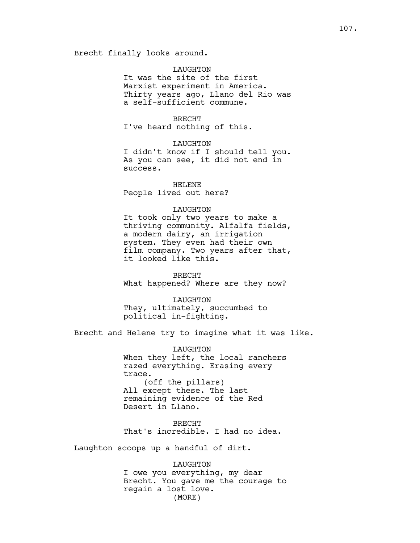Brecht finally looks around.

# LAUGHTON

It was the site of the first Marxist experiment in America. Thirty years ago, Llano del Rio was a self-sufficient commune.

## BRECHT

I've heard nothing of this.

## LAUGHTON

I didn't know if I should tell you. As you can see, it did not end in success.

HELENE People lived out here?

# LAUGHTON

It took only two years to make a thriving community. Alfalfa fields, a modern dairy, an irrigation system. They even had their own film company. Two years after that, it looked like this.

BRECHT What happened? Where are they now?

LAUGHTON They, ultimately, succumbed to political in-fighting.

Brecht and Helene try to imagine what it was like.

LAUGHTON When they left, the local ranchers razed everything. Erasing every trace. (off the pillars) All except these. The last remaining evidence of the Red Desert in Llano.

BRECHT That's incredible. I had no idea.

Laughton scoops up a handful of dirt.

LAUGHTON I owe you everything, my dear Brecht. You gave me the courage to regain a lost love. (MORE)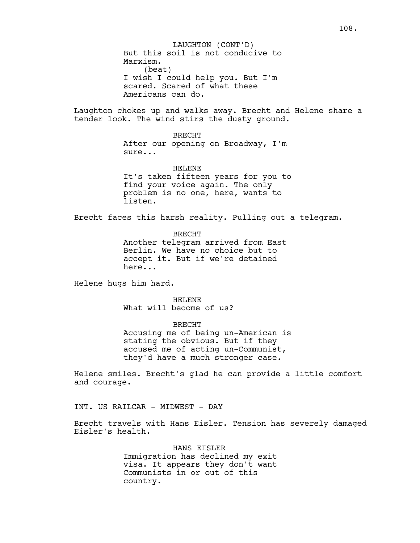Laughton chokes up and walks away. Brecht and Helene share a tender look. The wind stirs the dusty ground.

# BRECHT

After our opening on Broadway, I'm sure...

# HELENE It's taken fifteen years for you to find your voice again. The only problem is no one, here, wants to listen.

Brecht faces this harsh reality. Pulling out a telegram.

BRECHT Another telegram arrived from East Berlin. We have no choice but to accept it. But if we're detained here...

Helene hugs him hard.

HELENE What will become of us?

BRECHT Accusing me of being un-American is stating the obvious. But if they accused me of acting un-Communist, they'd have a much stronger case.

Helene smiles. Brecht's glad he can provide a little comfort and courage.

INT. US RAILCAR - MIDWEST - DAY

Brecht travels with Hans Eisler. Tension has severely damaged Eisler's health.

> HANS EISLER Immigration has declined my exit visa. It appears they don't want Communists in or out of this country.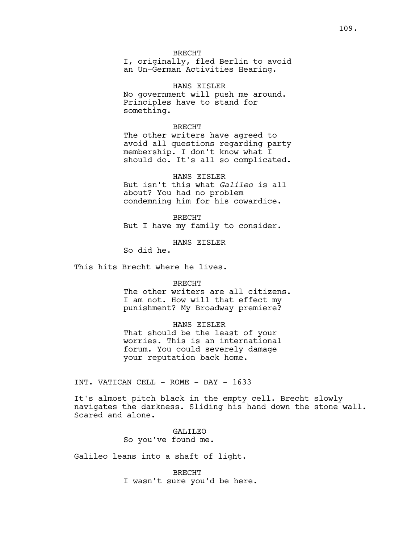## BRECHT

I, originally, fled Berlin to avoid an Un-German Activities Hearing.

HANS EISLER No government will push me around. Principles have to stand for something.

### BRECHT

The other writers have agreed to avoid all questions regarding party membership. I don't know what I should do. It's all so complicated.

HANS EISLER But isn't this what *Galileo* is all about? You had no problem condemning him for his cowardice.

BRECHT But I have my family to consider.

HANS EISLER

So did he.

This hits Brecht where he lives.

#### BRECHT

The other writers are all citizens. I am not. How will that effect my punishment? My Broadway premiere?

HANS EISLER

That should be the least of your worries. This is an international forum. You could severely damage your reputation back home.

INT. VATICAN CELL - ROME - DAY - 1633

It's almost pitch black in the empty cell. Brecht slowly navigates the darkness. Sliding his hand down the stone wall. Scared and alone.

> GALILEO So you've found me.

Galileo leans into a shaft of light.

BRECHT I wasn't sure you'd be here.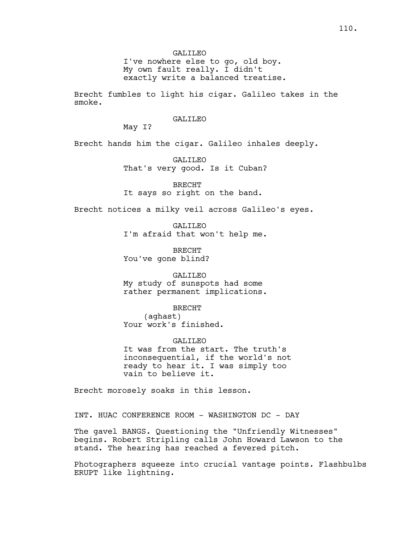I've nowhere else to go, old boy. My own fault really. I didn't exactly write a balanced treatise.

Brecht fumbles to light his cigar. Galileo takes in the smoke.

# GALILEO

May I?

Brecht hands him the cigar. Galileo inhales deeply.

GALILEO That's very good. Is it Cuban?

BRECHT It says so right on the band.

Brecht notices a milky veil across Galileo's eyes.

GALILEO I'm afraid that won't help me.

BRECHT You've gone blind?

GALILEO My study of sunspots had some rather permanent implications.

BRECHT

(aghast) Your work's finished.

GALILEO It was from the start. The truth's inconsequential, if the world's not ready to hear it. I was simply too vain to believe it.

Brecht morosely soaks in this lesson.

INT. HUAC CONFERENCE ROOM - WASHINGTON DC - DAY

The gavel BANGS. Questioning the "Unfriendly Witnesses" begins. Robert Stripling calls John Howard Lawson to the stand. The hearing has reached a fevered pitch.

Photographers squeeze into crucial vantage points. Flashbulbs ERUPT like lightning.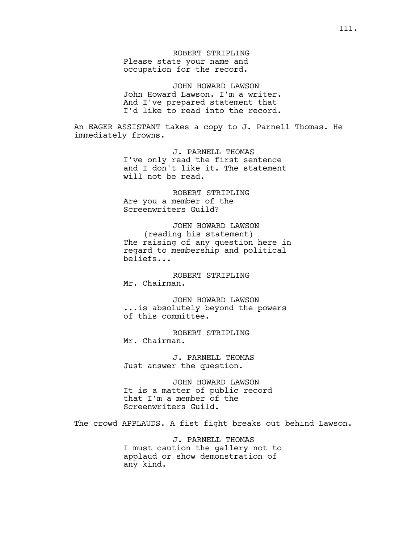ROBERT STRIPLING Please state your name and occupation for the record.

JOHN HOWARD LAWSON John Howard Lawson. I'm a writer. And I've prepared statement that I'd like to read into the record.

An EAGER ASSISTANT takes a copy to J. Parnell Thomas. He immediately frowns.

> J. PARNELL THOMAS I've only read the first sentence and I don't like it. The statement will not be read.

ROBERT STRIPLING Are you a member of the Screenwriters Guild?

JOHN HOWARD LAWSON (reading his statement) The raising of any question here in regard to membership and political beliefs...

ROBERT STRIPLING Mr. Chairman.

JOHN HOWARD LAWSON ...is absolutely beyond the powers of this committee.

ROBERT STRIPLING Mr. Chairman.

J. PARNELL THOMAS Just answer the question.

JOHN HOWARD LAWSON It is a matter of public record that I'm a member of the Screenwriters Guild.

The crowd APPLAUDS. A fist fight breaks out behind Lawson.

J. PARNELL THOMAS I must caution the gallery not to applaud or show demonstration of any kind.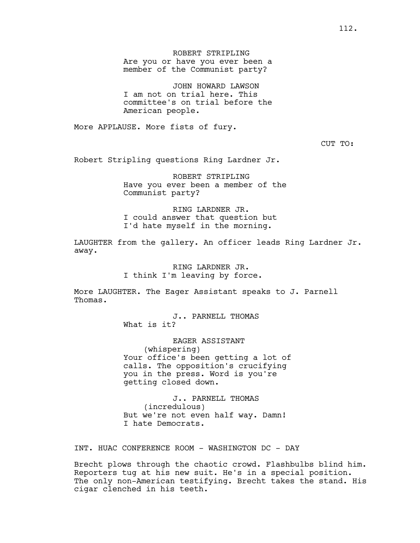JOHN HOWARD LAWSON I am not on trial here. This committee's on trial before the American people.

More APPLAUSE. More fists of fury.

CUT TO:

Robert Stripling questions Ring Lardner Jr.

ROBERT STRIPLING Have you ever been a member of the Communist party?

RING LARDNER JR. I could answer that question but I'd hate myself in the morning.

LAUGHTER from the gallery. An officer leads Ring Lardner Jr. away.

> RING LARDNER JR. I think I'm leaving by force.

More LAUGHTER. The Eager Assistant speaks to J. Parnell Thomas.

> J.. PARNELL THOMAS What is it?

EAGER ASSISTANT (whispering) Your office's been getting a lot of calls. The opposition's crucifying you in the press. Word is you're getting closed down.

J.. PARNELL THOMAS (incredulous) But we're not even half way. Damn! I hate Democrats.

INT. HUAC CONFERENCE ROOM - WASHINGTON DC - DAY

Brecht plows through the chaotic crowd. Flashbulbs blind him. Reporters tug at his new suit. He's in a special position. The only non-American testifying. Brecht takes the stand. His cigar clenched in his teeth.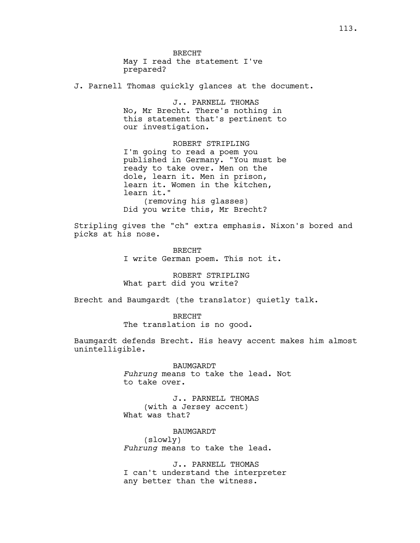BRECHT May I read the statement I've prepared?

J. Parnell Thomas quickly glances at the document.

J.. PARNELL THOMAS No, Mr Brecht. There's nothing in this statement that's pertinent to our investigation.

ROBERT STRIPLING I'm going to read a poem you published in Germany. "You must be ready to take over. Men on the dole, learn it. Men in prison, learn it. Women in the kitchen, learn it." (removing his glasses) Did you write this, Mr Brecht?

Stripling gives the "ch" extra emphasis. Nixon's bored and picks at his nose.

> BRECHT I write German poem. This not it.

ROBERT STRIPLING What part did you write?

Brecht and Baumgardt (the translator) quietly talk.

BRECHT The translation is no good.

Baumgardt defends Brecht. His heavy accent makes him almost unintelligible.

> BAUMGARDT *Fuhrung* means to take the lead. Not to take over.

J.. PARNELL THOMAS (with a Jersey accent) What was that?

BAUMGARDT (slowly) *Fuhrung* means to take the lead.

J.. PARNELL THOMAS I can't understand the interpreter any better than the witness.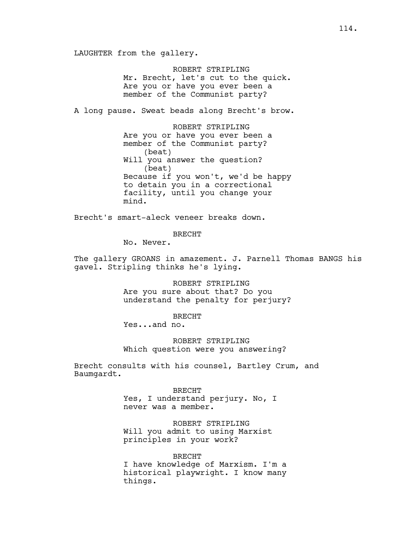LAUGHTER from the gallery.

ROBERT STRIPLING Mr. Brecht, let's cut to the quick. Are you or have you ever been a member of the Communist party?

A long pause. Sweat beads along Brecht's brow.

ROBERT STRIPLING Are you or have you ever been a member of the Communist party? (beat) Will you answer the question? (beat) Because if you won't, we'd be happy to detain you in a correctional facility, until you change your mind.

Brecht's smart-aleck veneer breaks down.

BRECHT

No. Never.

The gallery GROANS in amazement. J. Parnell Thomas BANGS his gavel. Stripling thinks he's lying.

> ROBERT STRIPLING Are you sure about that? Do you understand the penalty for perjury?

BRECHT Yes...and no.

ROBERT STRIPLING Which question were you answering?

Brecht consults with his counsel, Bartley Crum, and Baumgardt.

> BRECHT Yes, I understand perjury. No, I never was a member.

ROBERT STRIPLING Will you admit to using Marxist principles in your work?

BRECHT I have knowledge of Marxism. I'm a historical playwright. I know many things.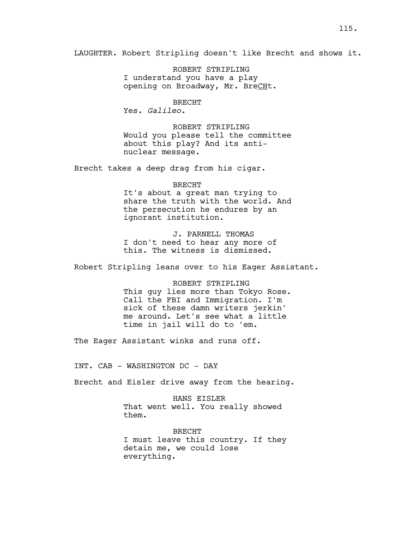LAUGHTER. Robert Stripling doesn't like Brecht and shows it.

ROBERT STRIPLING I understand you have a play opening on Broadway, Mr. BreCHt.

BRECHT Yes. *Galileo*.

ROBERT STRIPLING Would you please tell the committee about this play? And its antinuclear message.

Brecht takes a deep drag from his cigar.

# BRECHT It's about a great man trying to share the truth with the world. And the persecution he endures by an ignorant institution.

J. PARNELL THOMAS I don't need to hear any more of this. The witness is dismissed.

Robert Stripling leans over to his Eager Assistant.

ROBERT STRIPLING This guy lies more than Tokyo Rose. Call the FBI and Immigration. I'm sick of these damn writers jerkin' me around. Let's see what a little time in jail will do to 'em.

The Eager Assistant winks and runs off.

INT. CAB - WASHINGTON DC - DAY

Brecht and Eisler drive away from the hearing.

HANS EISLER That went well. You really showed them.

BRECHT I must leave this country. If they detain me, we could lose everything.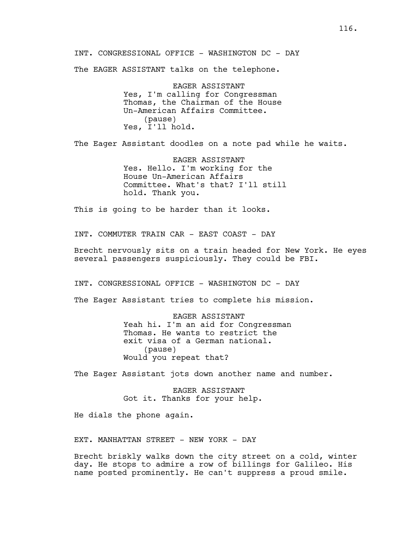INT. CONGRESSIONAL OFFICE - WASHINGTON DC - DAY

The EAGER ASSISTANT talks on the telephone.

EAGER ASSISTANT Yes, I'm calling for Congressman Thomas, the Chairman of the House Un-American Affairs Committee. (pause) Yes, I'll hold.

The Eager Assistant doodles on a note pad while he waits.

EAGER ASSISTANT Yes. Hello. I'm working for the House Un-American Affairs Committee. What's that? I'll still hold. Thank you.

This is going to be harder than it looks.

INT. COMMUTER TRAIN CAR - EAST COAST - DAY

Brecht nervously sits on a train headed for New York. He eyes several passengers suspiciously. They could be FBI.

INT. CONGRESSIONAL OFFICE - WASHINGTON DC - DAY

The Eager Assistant tries to complete his mission.

EAGER ASSISTANT Yeah hi. I'm an aid for Congressman Thomas. He wants to restrict the exit visa of a German national. (pause) Would you repeat that?

The Eager Assistant jots down another name and number.

EAGER ASSISTANT Got it. Thanks for your help.

He dials the phone again.

EXT. MANHATTAN STREET - NEW YORK - DAY

Brecht briskly walks down the city street on a cold, winter day. He stops to admire a row of billings for Galileo. His name posted prominently. He can't suppress a proud smile.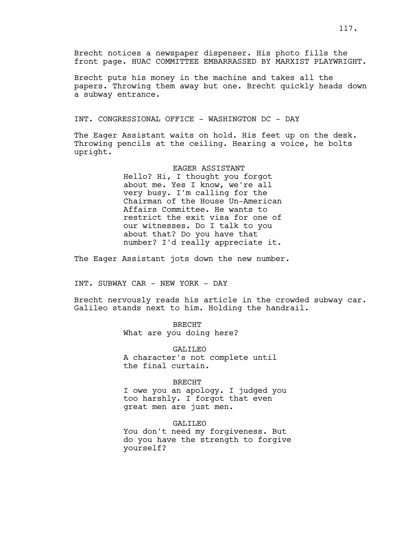Brecht notices a newspaper dispenser. His photo fills the front page. HUAC COMMITTEE EMBARRASSED BY MARXIST PLAYWRIGHT.

Brecht puts his money in the machine and takes all the papers. Throwing them away but one. Brecht quickly heads down a subway entrance.

INT. CONGRESSIONAL OFFICE - WASHINGTON DC - DAY

The Eager Assistant waits on hold. His feet up on the desk. Throwing pencils at the ceiling. Hearing a voice, he bolts upright.

# EAGER ASSISTANT

Hello? Hi, I thought you forgot about me. Yes I know, we're all very busy. I'm calling for the Chairman of the House Un-American Affairs Committee. He wants to restrict the exit visa for one of our witnesses. Do I talk to you about that? Do you have that number? I'd really appreciate it.

The Eager Assistant jots down the new number.

INT. SUBWAY CAR - NEW YORK - DAY

Brecht nervously reads his article in the crowded subway car. Galileo stands next to him. Holding the handrail.

> BRECHT What are you doing here?

GALILEO A character's not complete until the final curtain.

### BRECHT

I owe you an apology. I judged you too harshly. I forgot that even great men are just men.

GALILEO You don't need my forgiveness. But do you have the strength to forgive yourself?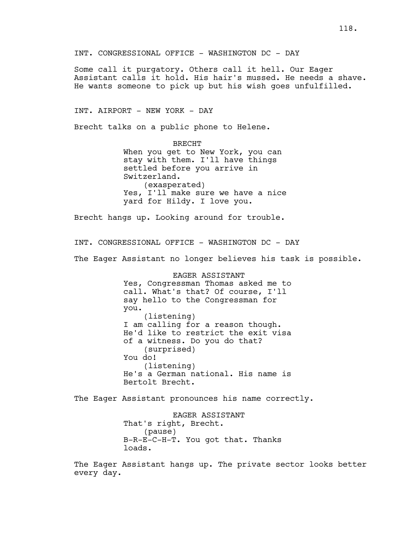INT. CONGRESSIONAL OFFICE - WASHINGTON DC - DAY

Some call it purgatory. Others call it hell. Our Eager Assistant calls it hold. His hair's mussed. He needs a shave. He wants someone to pick up but his wish goes unfulfilled.

INT. AIRPORT - NEW YORK - DAY

Brecht talks on a public phone to Helene.

BRECHT When you get to New York, you can stay with them. I'll have things settled before you arrive in Switzerland. (exasperated) Yes, I'll make sure we have a nice yard for Hildy. I love you.

Brecht hangs up. Looking around for trouble.

INT. CONGRESSIONAL OFFICE - WASHINGTON DC - DAY

The Eager Assistant no longer believes his task is possible.

EAGER ASSISTANT Yes, Congressman Thomas asked me to call. What's that? Of course, I'll say hello to the Congressman for you. (listening) I am calling for a reason though. He'd like to restrict the exit visa of a witness. Do you do that? (surprised) You do! (listening) He's a German national. His name is Bertolt Brecht.

The Eager Assistant pronounces his name correctly.

EAGER ASSISTANT That's right, Brecht. (pause) B-R-E-C-H-T. You got that. Thanks loads.

The Eager Assistant hangs up. The private sector looks better every day.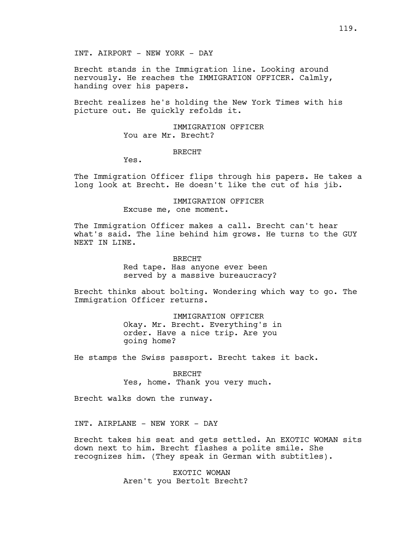Brecht stands in the Immigration line. Looking around nervously. He reaches the IMMIGRATION OFFICER. Calmly, handing over his papers.

Brecht realizes he's holding the New York Times with his picture out. He quickly refolds it.

> IMMIGRATION OFFICER You are Mr. Brecht?

### BRECHT

Yes.

The Immigration Officer flips through his papers. He takes a long look at Brecht. He doesn't like the cut of his jib.

> IMMIGRATION OFFICER Excuse me, one moment.

The Immigration Officer makes a call. Brecht can't hear what's said. The line behind him grows. He turns to the GUY NEXT IN LINE.

BRECHT

Red tape. Has anyone ever been served by a massive bureaucracy?

Brecht thinks about bolting. Wondering which way to go. The Immigration Officer returns.

> IMMIGRATION OFFICER Okay. Mr. Brecht. Everything's in order. Have a nice trip. Are you going home?

He stamps the Swiss passport. Brecht takes it back.

BRECHT Yes, home. Thank you very much.

Brecht walks down the runway.

INT. AIRPLANE - NEW YORK - DAY

Brecht takes his seat and gets settled. An EXOTIC WOMAN sits down next to him. Brecht flashes a polite smile. She recognizes him. (They speak in German with subtitles).

> EXOTIC WOMAN Aren't you Bertolt Brecht?